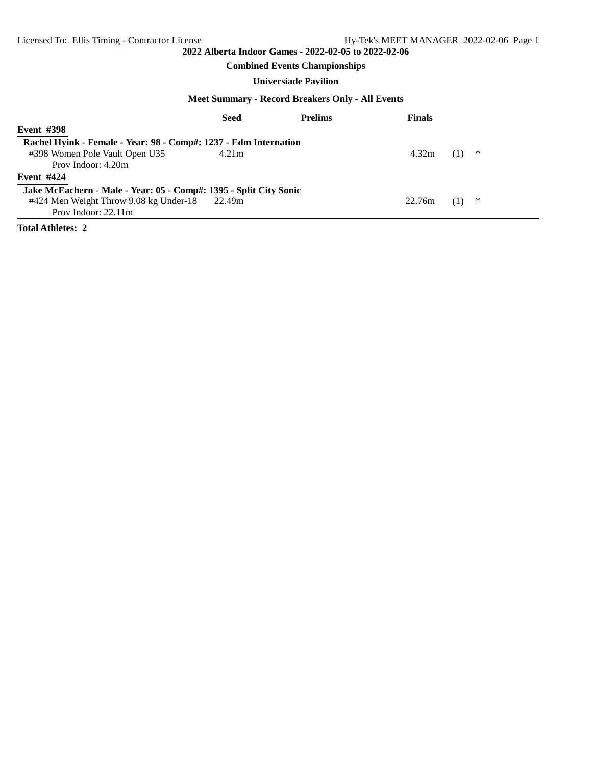## **Combined Events Championships**

## **Universiade Pavilion**

#### **Meet Summary - Record Breakers Only - All Events**

|                                                                   | <b>Seed</b> | <b>Prelims</b> | <b>Finals</b> |   |
|-------------------------------------------------------------------|-------------|----------------|---------------|---|
| <b>Event #398</b>                                                 |             |                |               |   |
| Rachel Hyink - Female - Year: 98 - Comp#: 1237 - Edm Internation  |             |                |               |   |
| #398 Women Pole Vault Open U35                                    | 4.21m       |                | 4.32m         | ∗ |
| Prov Indoor: 4.20m                                                |             |                |               |   |
| <b>Event #424</b>                                                 |             |                |               |   |
| Jake McEachern - Male - Year: 05 - Comp#: 1395 - Split City Sonic |             |                |               |   |
| #424 Men Weight Throw 9.08 kg Under-18 22.49m                     |             |                | 22.76m        | ∗ |
| Prov Indoor: $22.11m$                                             |             |                |               |   |

**Total Athletes: 2**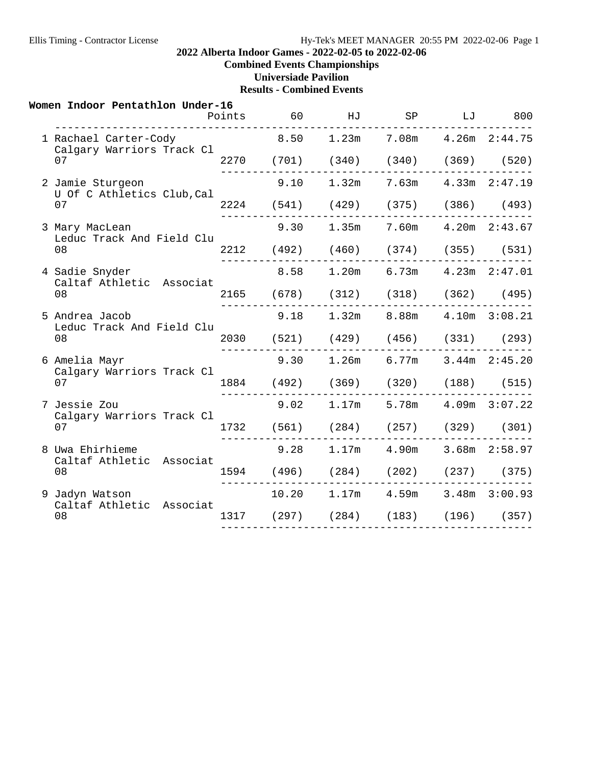## **2022 Alberta Indoor Games - 2022-02-05 to 2022-02-06**

**Combined Events Championships**

**Universiade Pavilion**

| Women Indoor Pentathlon Under-16                             | Points | 60 | HJ |                                          | SP<br>LJ | 800               |
|--------------------------------------------------------------|--------|----|----|------------------------------------------|----------|-------------------|
| ___________________________________<br>1 Rachael Carter-Cody |        |    |    | $8.50$ $1.23m$ $7.08m$ $4.26m$ $2:44.75$ |          |                   |
| Calgary Warriors Track Cl<br>07                              |        |    |    | 2270 (701) (340) (340) (369) (520)       |          |                   |
| 2 Jamie Sturgeon<br>U Of C Athletics Club, Cal               |        |    |    | $9.10$ $1.32m$ $7.63m$                   |          | $4.33m$ $2:47.19$ |
| 07                                                           |        |    |    | 2224 (541) (429) (375) (386) (493)       |          |                   |
| 3 Mary MacLean<br>Leduc Track And Field Clu                  |        |    |    | 9.30 1.35m 7.60m 4.20m 2:43.67           |          |                   |
| 08                                                           |        |    |    | 2212 (492) (460) (374) (355) (531)       |          |                   |
| 4 Sadie Snyder<br>Caltaf Athletic Associat                   |        |    |    | 8.58 1.20m 6.73m 4.23m 2:47.01           |          |                   |
| 08                                                           |        |    |    | 2165 (678) (312) (318) (362) (495)       |          |                   |
| 5 Andrea Jacob<br>Leduc Track And Field Clu                  |        |    |    | $9.18$ $1.32m$ $8.88m$ $4.10m$ $3:08.21$ |          |                   |
| 08                                                           |        |    |    | 2030 (521) (429) (456) (331) (293)       |          |                   |
| 6 Amelia Mayr<br>Calgary Warriors Track Cl                   |        |    |    | $9.30$ 1.26m 6.77m 3.44m 2:45.20         |          |                   |
| 07                                                           |        |    |    | 1884 (492) (369) (320) (188) (515)       |          |                   |
| 7 Jessie Zou<br>Calgary Warriors Track Cl                    |        |    |    | $9.02$ 1.17m 5.78m 4.09m 3:07.22         |          |                   |
| 07                                                           |        |    |    | 1732 (561) (284) (257) (329) (301)       |          |                   |
| 8 Uwa Ehirhieme<br>Caltaf Athletic Associat                  |        |    |    | 9.28 1.17m 4.90m 3.68m 2:58.97           |          |                   |
| 08                                                           |        |    |    | 1594 (496) (284) (202) (237) (375)       |          |                   |
| 9 Jadyn Watson<br>Caltaf Athletic Associat                   |        |    |    | 10.20  1.17m  4.59m  3.48m  3:00.93      |          |                   |
| 08                                                           |        |    |    | 1317 (297) (284) (183) (196) (357)       |          |                   |
|                                                              |        |    |    |                                          |          |                   |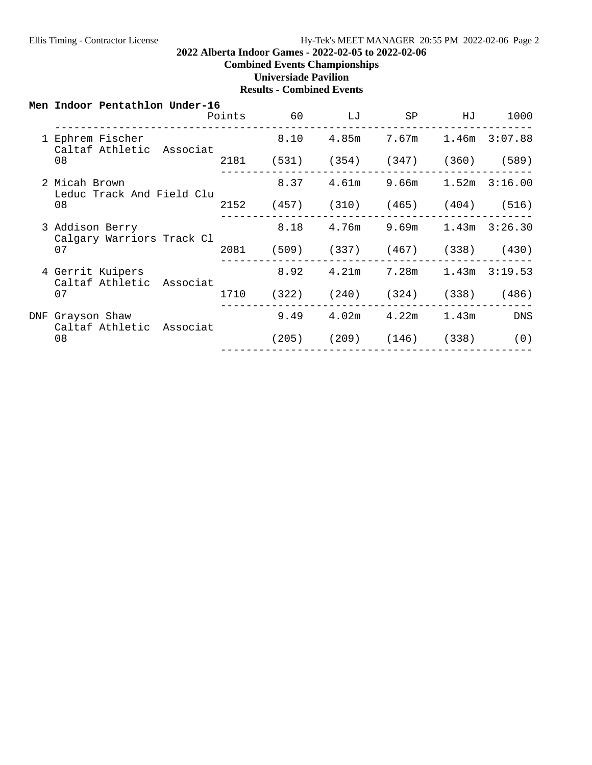-------------------------------------------------

#### **2022 Alberta Indoor Games - 2022-02-05 to 2022-02-06**

**Combined Events Championships**

**Universiade Pavilion**

| Men Indoor Pentathlon Under-16               |        |       |    |                                   |    |       |
|----------------------------------------------|--------|-------|----|-----------------------------------|----|-------|
|                                              | Points | 60    | LJ | SP                                | НJ | 1000  |
| 1 Ephrem Fischer<br>Caltaf Athletic Associat |        | 8.10  |    | 4.85m 7.67m 1.46m 3:07.88         |    |       |
| 08                                           | 2181   | (531) |    | $(354)$ $(347)$ $(360)$           |    | (589) |
| 2 Micah Brown                                |        | 8.37  |    | $4.61m$ $9.66m$ $1.52m$ $3:16.00$ |    |       |

|     | Leduc Track And Field Clu                    |      |       |       |       |       |                   |
|-----|----------------------------------------------|------|-------|-------|-------|-------|-------------------|
|     | 08                                           | 2152 | (457) | (310) | (465) | (404) | (516)             |
|     | 3 Addison Berry<br>Calgary Warriors Track Cl |      | 8.18  | 4.76m | 9.69m | 1.43m | 3:26.30           |
|     | 07                                           | 2081 | (509) | (337) | (467) | (338) | (430)             |
|     | 4 Gerrit Kuipers<br>Caltaf Athletic Associat |      | 8.92  | 4.21m | 7.28m |       | $1.43m$ $3:19.53$ |
|     | 07                                           | 1710 | (322) | (240) | (324) | (338) | (486)             |
| DNF | Grayson Shaw<br>Caltaf Athletic Associat     |      | 9.49  | 4.02m | 4.22m | 1.43m | <b>DNS</b>        |
|     | 08                                           |      | 205)  | (209) | (146) | (338) | (0)               |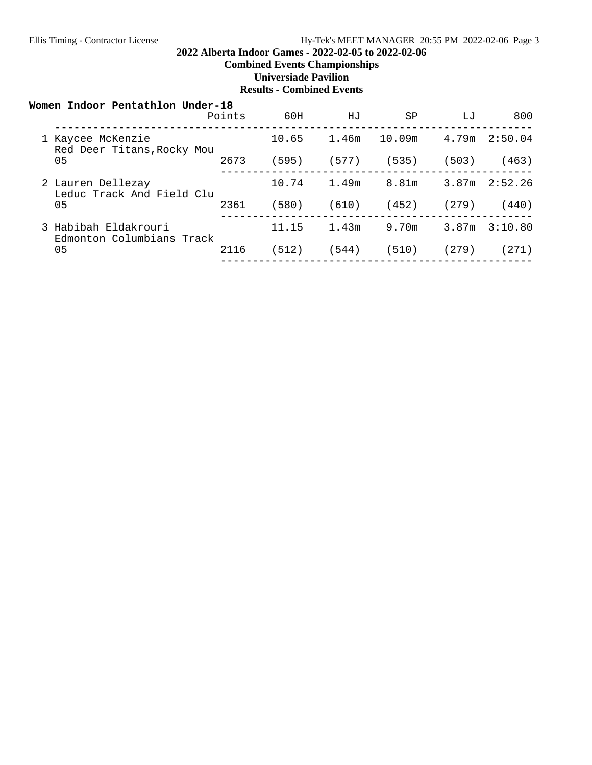## **2022 Alberta Indoor Games - 2022-02-05 to 2022-02-06**

**Combined Events Championships**

**Universiade Pavilion**

| Women Indoor Pentathlon Under-18                  | Points | 60H   | HJ    | SP     | LJ    | 800               |
|---------------------------------------------------|--------|-------|-------|--------|-------|-------------------|
| 1 Kaycee McKenzie<br>Red Deer Titans, Rocky Mou   |        | 10.65 | 1.46m | 10.09m | 4.79m | 2:50.04           |
| 05                                                | 2673   | (595) | (577) | (535)  | (503) | (463)             |
| 2 Lauren Dellezay<br>Leduc Track And Field Clu    |        | 10.74 | 1.49m | 8.81m  |       | $3.87m$ $2:52.26$ |
| 05                                                | 2361   | (580) | (610) | (452)  | (279) | (440)             |
| 3 Habibah Eldakrouri<br>Edmonton Columbians Track |        | 11.15 | 1.43m | 9.70m  | 3.87m | 3:10.80           |
| 05                                                | 2116   | (512) | (544) | (510)  | (279) | 271)              |
|                                                   |        |       |       |        |       |                   |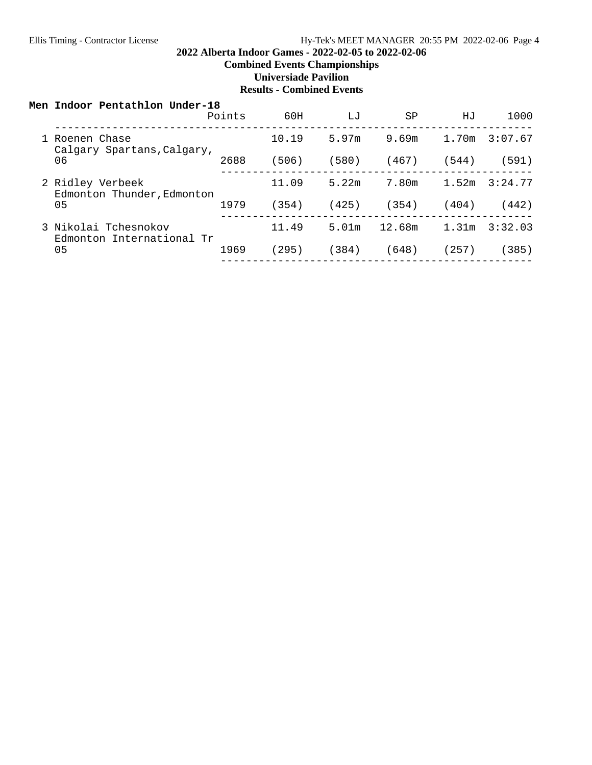## **2022 Alberta Indoor Games - 2022-02-05 to 2022-02-06**

**Combined Events Championships**

**Universiade Pavilion**

| Men Indoor Pentathlon Under-18                    |        |       |       |        |       |         |
|---------------------------------------------------|--------|-------|-------|--------|-------|---------|
|                                                   | Points | 60H   | LJ    | SP     | HJ    | 1000    |
| 1 Roenen Chase<br>Calgary Spartans, Calgary,      |        | 10.19 | 5.97m | 9.69m  | 1.70m | 3:07.67 |
| 06                                                | 2688   | (506) | (580) | (467)  | (544) | (591)   |
| 2 Ridley Verbeek<br>Edmonton Thunder, Edmonton    |        | 11.09 | 5.22m | 7.80m  | 1.52m | 3:24.77 |
| 05                                                | 1979   | (354) | (425) | (354)  | (404) | (442)   |
| 3 Nikolai Tchesnokov<br>Edmonton International Tr |        | 11.49 | 5.01m | 12.68m | 1.31m | 3:32.03 |
| 05                                                | 1969   | (295) | (384) | (648)  | (257) | (385)   |
|                                                   |        |       |       |        |       |         |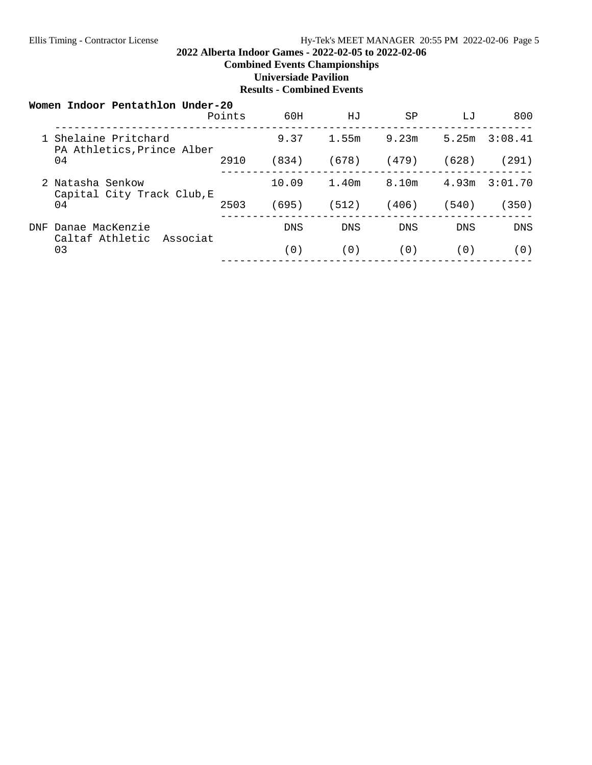## **2022 Alberta Indoor Games - 2022-02-05 to 2022-02-06**

**Combined Events Championships**

**Universiade Pavilion**

|            | Women Indoor Pentathlon Under-20                   | Points | 60H        | HJ    | SP         | T.T   | 800        |
|------------|----------------------------------------------------|--------|------------|-------|------------|-------|------------|
|            | 1 Shelaine Pritchard<br>PA Athletics, Prince Alber |        | 9.37       | 1.55m | 9.23m      | 5.25m | 3:08.41    |
|            | 04                                                 | 2910   | (834)      | (678) | (479)      | (628) | (291)      |
|            | 2 Natasha Senkow                                   |        | 10.09      | 1.40m | 8.10m      | 4.93m | 3:01.70    |
|            | Capital City Track Club, E<br>04                   |        | (695)      | (512) | (406)      | (540) | (350)      |
| <b>DNF</b> | Danae MacKenzie<br>Caltaf Athletic Associat        |        | <b>DNS</b> | DNS   | <b>DNS</b> | DNS.  | <b>DNS</b> |
|            | 03                                                 |        | (0)        | (0)   | (0)        | (0)   | (0)        |
|            |                                                    |        |            |       |            |       |            |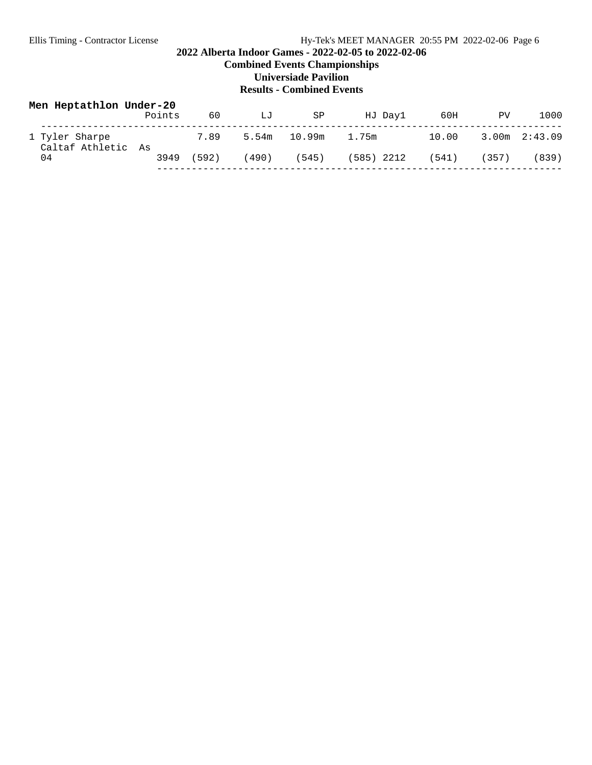## **2022 Alberta Indoor Games - 2022-02-05 to 2022-02-06**

**Combined Events Championships**

**Universiade Pavilion**

| Men Heptathlon Under-20              | Points | 60    | LJ    | SP     | HJ Dayl    | 60H   | PV                | 1000  |
|--------------------------------------|--------|-------|-------|--------|------------|-------|-------------------|-------|
| 1 Tyler Sharpe<br>Caltaf Athletic As |        | 7.89  | 5.54m | 10.99m | 1.75m      | 10.00 | $3.00m$ $2:43.09$ |       |
| 04                                   | 3949   | (592) | (490) | (545)  | (585) 2212 | (541) | (357)             | (839) |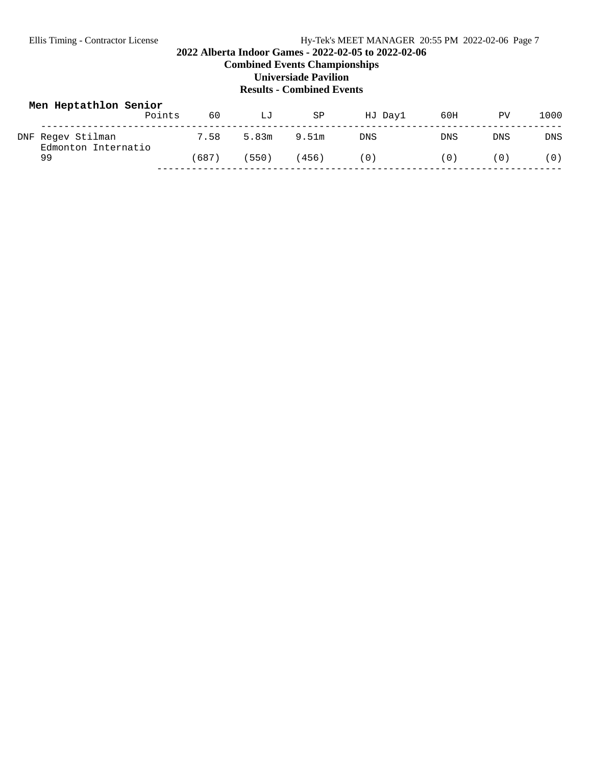## **2022 Alberta Indoor Games - 2022-02-05 to 2022-02-06**

**Combined Events Championships**

**Universiade Pavilion**

| Men Heptathlon Senior                    | Points | 60   | LJ    | SP          | HJ Dayl | 60H        | PV         | 1000       |
|------------------------------------------|--------|------|-------|-------------|---------|------------|------------|------------|
| DNF Regev Stilman<br>Edmonton Internatio |        | 7.58 |       | 5.83m 9.51m | DNS     | <b>DNS</b> | <b>DNS</b> | <b>DNS</b> |
| 99                                       |        | 687) | (550) | (456)       | (0)     | (0)        | (0)        | (0)        |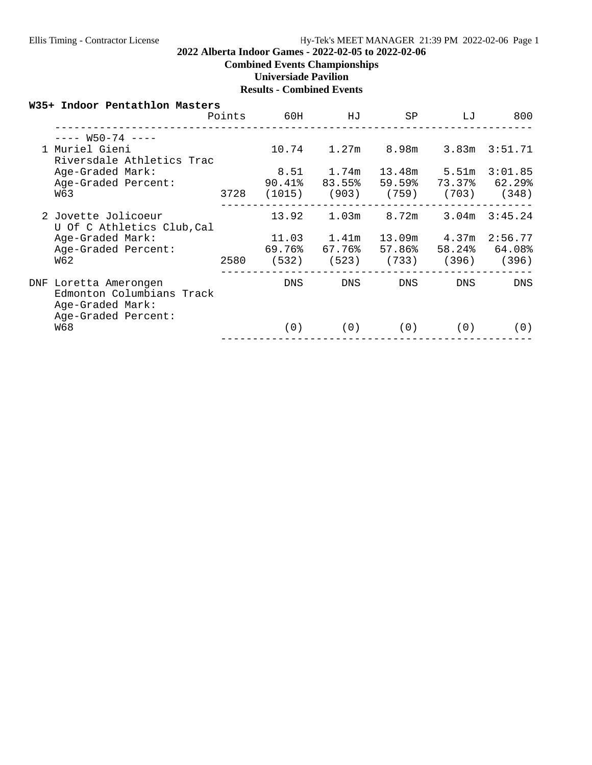## **2022 Alberta Indoor Games - 2022-02-05 to 2022-02-06**

## **Combined Events Championships**

**Universiade Pavilion**

## **Results - Combined Events**

#### **W35+ Indoor Pentathlon Masters**

|     |                                                                                           | Points | 60H             | HJ                                       | SP                                 | LJ                    | 800                                         |
|-----|-------------------------------------------------------------------------------------------|--------|-----------------|------------------------------------------|------------------------------------|-----------------------|---------------------------------------------|
|     | $-- W50-74$ $---$<br>1 Muriel Gieni<br>Riversdale Athletics Trac                          |        | 10.74           | 1.27m                                    | 8.98m                              | 3.83m                 | 3:51.71                                     |
|     | Age-Graded Mark:<br>Age-Graded Percent:<br>W63                                            | 3728   |                 | 8.51 1.74m<br>90.41% 83.55%              | 59.59%<br>$(1015)$ $(903)$ $(759)$ | 13.48m 5.51m          | 3:01.85<br>73.37% 62.29%<br>$(703)$ $(348)$ |
|     | 2 Jovette Jolicoeur<br>U Of C Athletics Club, Cal                                         |        | 13.92           | 1.03m                                    | 8.72m                              | 3.04m                 | 3:45.24                                     |
|     | Age-Graded Mark:<br>Age-Graded Percent:<br>W62                                            | 2580   | 69.76%<br>(532) | $11.03$ $1.41m$<br>67.76%<br>(523) (733) | 57.86%                             | 13.09m 4.37m<br>(396) | 2:56.77<br>58.24% 64.08%<br>(396)           |
| DNF | Loretta Amerongen<br>Edmonton Columbians Track<br>Age-Graded Mark:<br>Age-Graded Percent: |        | DNS.            | DNS.                                     | DNS.                               | DNS.                  | <b>DNS</b>                                  |
|     | W68                                                                                       |        | (0)             | (0)                                      | (0)                                | (0)                   | (0)                                         |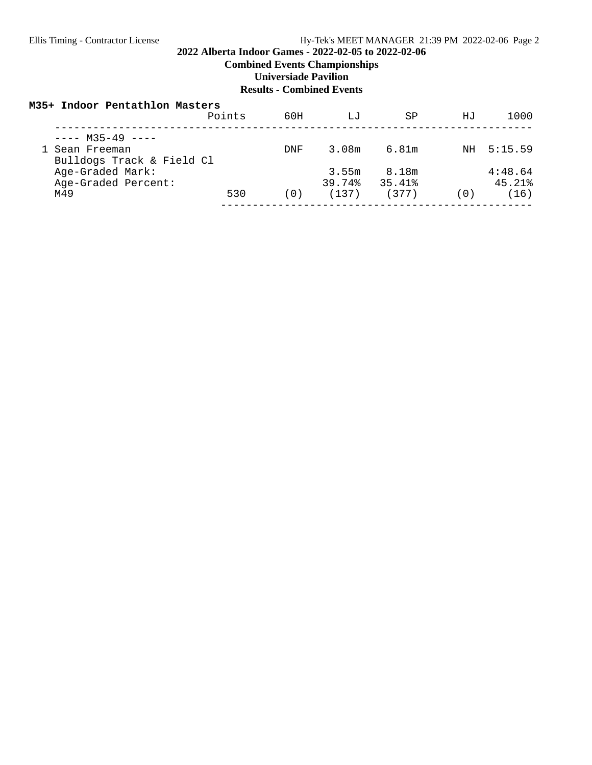## **2022 Alberta Indoor Games - 2022-02-05 to 2022-02-06**

**Combined Events Championships**

**Universiade Pavilion**

### **Results - Combined Events**

#### **M35+ Indoor Pentathlon Masters**

|                           | Points | 60H        | LJ     | SP     | ΗJ  | 1000       |
|---------------------------|--------|------------|--------|--------|-----|------------|
| $--- M35-49$ $---$        |        |            |        |        |     |            |
| 1 Sean Freeman            |        | <b>DNF</b> | 3.08m  | 6.81m  |     | NH 5:15.59 |
| Bulldogs Track & Field Cl |        |            |        |        |     |            |
| Age-Graded Mark:          |        |            | 3.55m  | 8.18m  |     | 4:48.64    |
| Age-Graded Percent:       |        |            | 39.74% | 35.41% |     | 45.21%     |
| M49                       | 530    | (0)        | (137)  | (377)  | (0) | (16)       |
|                           |        |            |        |        |     |            |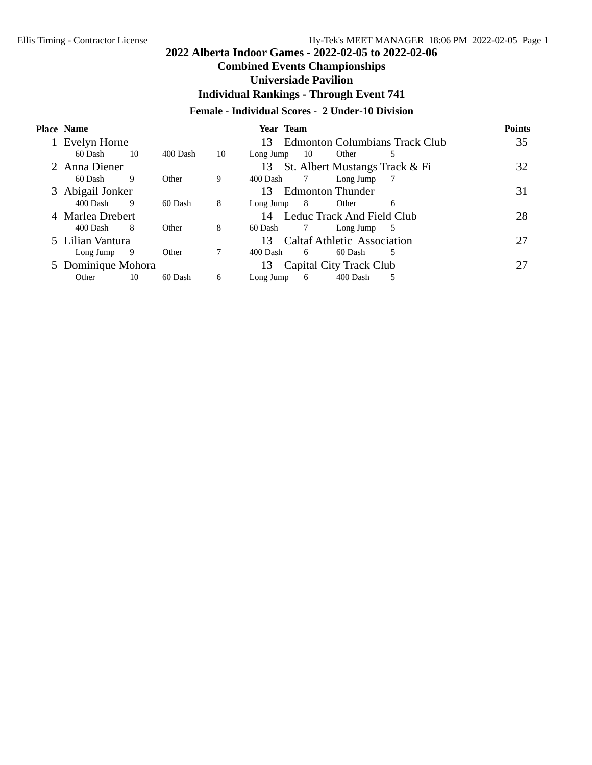## **Combined Events Championships**

## **Universiade Pavilion**

**Individual Rankings - Through Event 741**

## **Female - Individual Scores - 2 Under-10 Division**

|   | <b>Place Name</b>  |    |          |    | Year Team                                   | <b>Points</b> |
|---|--------------------|----|----------|----|---------------------------------------------|---------------|
|   | Evelyn Horne       |    |          |    | <b>Edmonton Columbians Track Club</b><br>13 | 35            |
|   | 60 Dash            | 10 | 400 Dash | 10 | 10<br>Other<br>Long Jump<br>5               |               |
|   | 2 Anna Diener      |    |          |    | St. Albert Mustangs Track & Fi<br>13        | 32            |
|   | 60 Dash            | 9  | Other    | 9  | 400 Dash<br>7<br>Long Jump                  |               |
| 3 | Abigail Jonker     |    |          |    | <b>Edmonton Thunder</b><br>13               | 31            |
|   | 400 Dash           | 9  | 60 Dash  | 8  | Long Jump<br>- 8<br>Other<br>6              |               |
|   | 4 Marlea Drebert   |    |          |    | Leduc Track And Field Club<br>14            | 28            |
|   | 400 Dash           | 8  | Other    | 8  | 60 Dash<br>Long Jump<br>5                   |               |
|   | 5 Lilian Vantura   |    |          |    | <b>Caltaf Athletic Association</b><br>13    | 27            |
|   | Long Jump          | 9  | Other    | 7  | 5<br>400 Dash<br>60 Dash<br>6               |               |
|   | 5 Dominique Mohora |    |          |    | <b>Capital City Track Club</b><br>13        | 27            |
|   | Other              | 10 | 60 Dash  | 6  | 400 Dash<br>5<br>6<br>Long Jump             |               |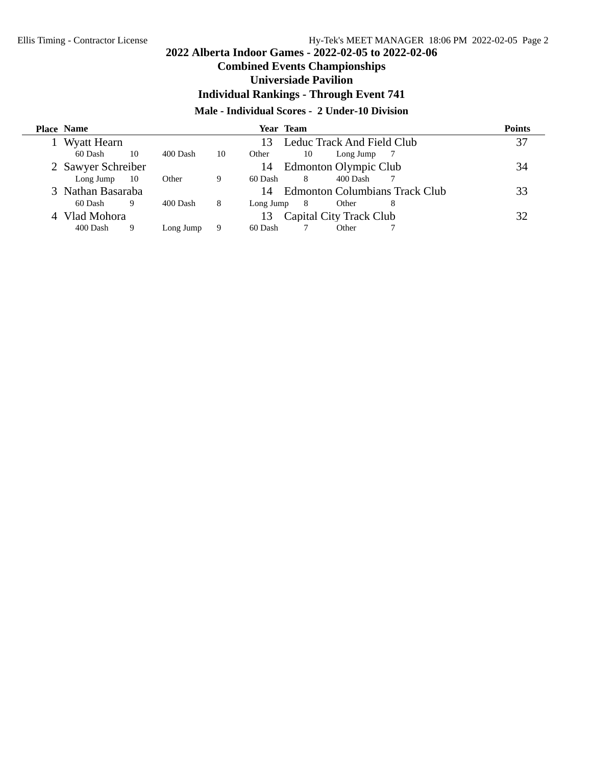## **Combined Events Championships**

## **Universiade Pavilion**

**Individual Rankings - Through Event 741**

## **Male - Individual Scores - 2 Under-10 Division**

| <b>Place Name</b>  |      |           |    | Year Team |    |                         |                                       | <b>Points</b> |
|--------------------|------|-----------|----|-----------|----|-------------------------|---------------------------------------|---------------|
| Wyatt Hearn        |      |           |    | 13        |    |                         | Leduc Track And Field Club            | 37            |
| 60 Dash            | 10   | 400 Dash  | 10 | Other     | 10 | Long Jump               |                                       |               |
| 2 Sawyer Schreiber |      |           |    | 14        |    | Edmonton Olympic Club   |                                       | 34            |
| Long Jump          | - 10 | Other     | 9  | 60 Dash   | 8  | 400 Dash                |                                       |               |
| 3 Nathan Basaraba  |      |           |    | 14        |    |                         | <b>Edmonton Columbians Track Club</b> | 33            |
| 60 Dash            | 9    | 400 Dash  | 8  | Long Jump | 8  | Other                   | 8                                     |               |
| Vlad Mohora        |      |           |    | 13        |    | Capital City Track Club |                                       | 32            |
| 400 Dash           |      | Long Jump | 9  | 60 Dash   |    | Other                   |                                       |               |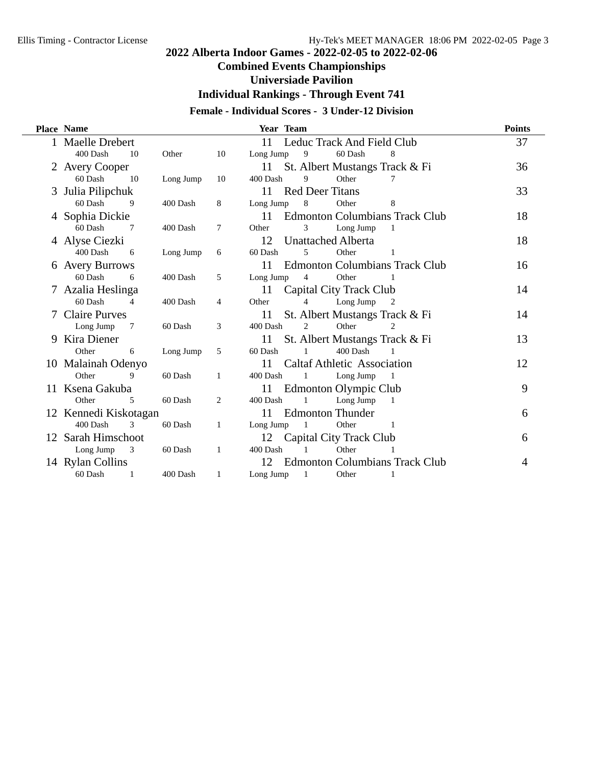## **Combined Events Championships**

## **Universiade Pavilion**

**Individual Rankings - Through Event 741**

## **Female - Individual Scores - 3 Under-12 Division**

|   | <b>Place Name</b>     |           |                | Year Team                                   | <b>Points</b> |
|---|-----------------------|-----------|----------------|---------------------------------------------|---------------|
|   | <b>Maelle Drebert</b> |           |                | Leduc Track And Field Club<br>11            | 37            |
|   | 400 Dash<br>10        | Other     | 10             | 9<br>60 Dash<br>8<br>Long Jump              |               |
|   | 2 Avery Cooper        |           |                | St. Albert Mustangs Track & Fi<br>11        | 36            |
|   | 60 Dash<br>10         | Long Jump | 10             | 400 Dash<br>9<br>Other<br>7                 |               |
|   | 3 Julia Pilipchuk     |           |                | <b>Red Deer Titans</b><br>11                | 33            |
|   | 60 Dash<br>9          | 400 Dash  | 8              | Other<br>Long Jump<br>8<br>8                |               |
|   | 4 Sophia Dickie       |           |                | <b>Edmonton Columbians Track Club</b><br>11 | 18            |
|   | 60 Dash<br>7          | 400 Dash  | 7              | 3<br>Other<br>Long Jump<br>1                |               |
|   | 4 Alyse Ciezki        |           |                | <b>Unattached Alberta</b><br>12             | 18            |
|   | 400 Dash<br>6         | Long Jump | 6              | 60 Dash<br>5<br>Other                       |               |
|   | 6 Avery Burrows       |           |                | <b>Edmonton Columbians Track Club</b><br>11 | 16            |
|   | 60 Dash<br>6          | 400 Dash  | 5              | 4<br>Other<br>Long Jump                     |               |
|   | 7 Azalia Heslinga     |           |                | Capital City Track Club<br>11               | 14            |
|   | 60 Dash<br>4          | 400 Dash  | $\overline{4}$ | 4<br>Long Jump<br>Other<br>2                |               |
|   | <b>Claire Purves</b>  |           |                | St. Albert Mustangs Track & Fi<br>11        | 14            |
|   | Long Jump<br>7        | 60 Dash   | 3              | 400 Dash<br>2<br>Other<br>2                 |               |
| 9 | Kira Diener           |           |                | St. Albert Mustangs Track & Fi<br>11        | 13            |
|   | Other<br>6            | Long Jump | 5              | 400 Dash<br>60 Dash                         |               |
|   | 10 Malainah Odenyo    |           |                | <b>Caltaf Athletic Association</b><br>11    | 12            |
|   | Other<br>9            | 60 Dash   | 1              | 400 Dash<br>Long Jump<br>1                  |               |
|   | 11 Ksena Gakuba       |           |                | Edmonton Olympic Club<br>11                 | 9             |
|   | Other<br>5            | 60 Dash   | 2              | 400 Dash<br>$\mathbf{1}$<br>Long Jump<br>1  |               |
|   | 12 Kennedi Kiskotagan |           |                | <b>Edmonton Thunder</b><br>11               | 6             |
|   | 400 Dash<br>3         | 60 Dash   | 1              | Long Jump<br>Other<br>1<br>-1               |               |
|   | 12 Sarah Himschoot    |           |                | Capital City Track Club<br>12               | 6             |
|   | Long Jump<br>3        | 60 Dash   | 1              | 400 Dash<br>Other<br>1                      |               |
|   | 14 Rylan Collins      |           |                | <b>Edmonton Columbians Track Club</b><br>12 | 4             |
|   | 60 Dash<br>1          | 400 Dash  | 1              | Long Jump<br>1<br>Other<br>1                |               |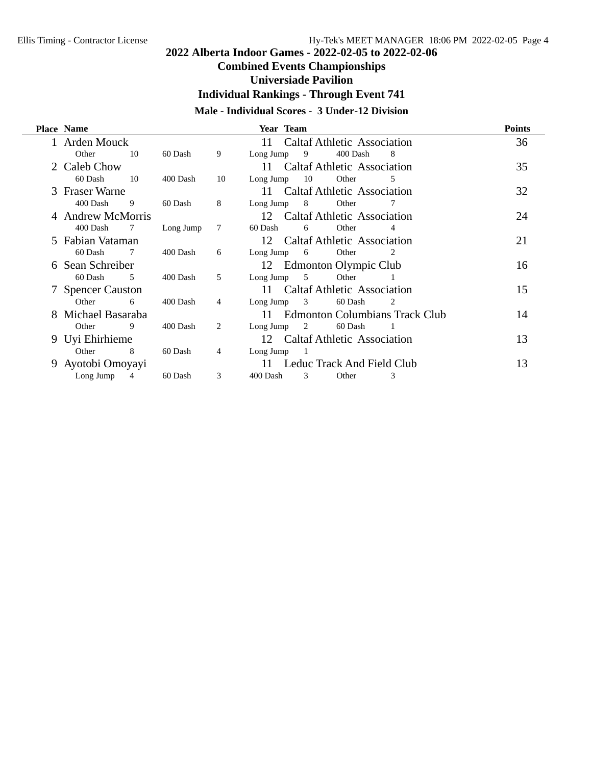## **Combined Events Championships**

## **Universiade Pavilion**

**Individual Rankings - Through Event 741**

## **Male - Individual Scores - 3 Under-12 Division**

| <b>Place Name</b> |             |           |    | Year Team                                     | <b>Points</b> |
|-------------------|-------------|-----------|----|-----------------------------------------------|---------------|
| Arden Mouck       |             |           |    | <b>Caltaf Athletic Association</b><br>11      | 36            |
| Other             | 10          | 60 Dash   | 9  | Long Jump 9<br>400 Dash<br>8                  |               |
| 2 Caleb Chow      |             |           |    | <b>Caltaf Athletic Association</b><br>$11 -$  | 35            |
| 60 Dash           | 10          | 400 Dash  | 10 | 10<br>Other<br>Long Jump<br>5                 |               |
| 3 Fraser Warne    |             |           |    | <b>Caltaf Athletic Association</b><br>11 -    | 32            |
| 400 Dash          | -9          | 60 Dash   | 8  | Long Jump 8<br>Other<br>7                     |               |
| 4 Andrew McMorris |             |           |    | 12 Caltaf Athletic Association                | 24            |
| 400 Dash          | -7          | Long Jump | 7  | 60 Dash<br>6<br>Other<br>4                    |               |
| 5 Fabian Vataman  |             |           |    | 12 Caltaf Athletic Association                | 21            |
| 60 Dash           | -7          | 400 Dash  | 6  | Long Jump $6$<br>Other<br>2                   |               |
| Sean Schreiber    |             |           |    | 12 Edmonton Olympic Club                      | 16            |
| 60 Dash           | $5^{\circ}$ | 400 Dash  | .5 | Long Jump 5<br>Other                          |               |
| 7 Spencer Causton |             |           |    | 11 Caltaf Athletic Association                | 15            |
| Other             | 6           | 400 Dash  | 4  | 60 Dash<br>Long Jump $3$<br>2                 |               |
| Michael Basaraba  |             |           |    | <b>Edmonton Columbians Track Club</b><br>11 - | 14            |
| Other             | 9           | 400 Dash  | 2  | $Long \, Jump$ 2<br>60 Dash                   |               |
| 9 Uyi Ehirhieme   |             |           |    | 12 Caltaf Athletic Association                | 13            |
| Other             | -8          | 60 Dash   | 4  | Long Jump<br>$\overline{\phantom{a}}$         |               |
| Ayotobi Omoyayi   |             |           |    | 11 Leduc Track And Field Club                 | 13            |
| Long Jump         | 4           | 60 Dash   | 3  | 400 Dash<br>3<br>Other<br>3                   |               |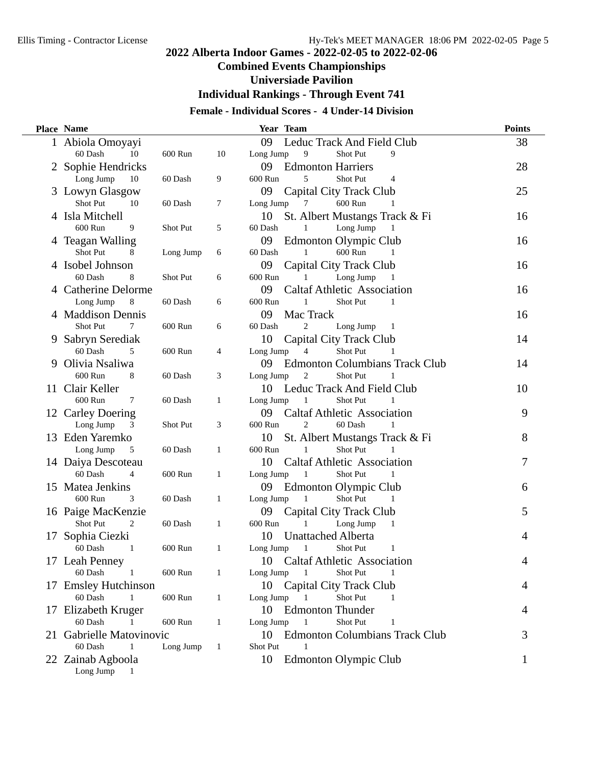## **Combined Events Championships**

## **Universiade Pavilion**

**Individual Rankings - Through Event 741**

## **Female - Individual Scores - 4 Under-14 Division**

|    | <b>Place Name</b>         |           |    | Year Team                                     | <b>Points</b> |
|----|---------------------------|-----------|----|-----------------------------------------------|---------------|
|    | 1 Abiola Omoyayi          |           |    | 09<br>Leduc Track And Field Club              | 38            |
|    | 60 Dash<br>10             | 600 Run   | 10 | Long Jump<br>9<br>9<br>Shot Put               |               |
|    | 2 Sophie Hendricks        |           |    | 09 Edmonton Harriers                          | 28            |
|    | Long Jump<br>10           | 60 Dash   | 9  | 5<br>600 Run<br>Shot Put<br>4                 |               |
|    | 3 Lowyn Glasgow           |           |    | 09<br>Capital City Track Club                 | 25            |
|    | <b>Shot Put</b><br>10     | 60 Dash   | 7  | Long Jump<br>600 Run<br>7                     |               |
|    | 4 Isla Mitchell           |           |    | St. Albert Mustangs Track & Fi<br>10          | 16            |
|    | 600 Run<br>9              | Shot Put  | 5  | Long Jump<br>60 Dash<br>1<br>1                |               |
|    | 4 Teagan Walling          |           |    | 09<br>Edmonton Olympic Club                   | 16            |
|    | Shot Put<br>8             | Long Jump | 6  | 600 Run<br>60 Dash<br>1<br>1                  |               |
|    | 4 Isobel Johnson          |           |    | 09<br>Capital City Track Club                 | 16            |
|    | 60 Dash<br>8              | Shot Put  | 6  | 600 Run<br>Long Jump<br>1<br>-1               |               |
|    | 4 Catherine Delorme       |           |    | 09<br><b>Caltaf Athletic Association</b>      | 16            |
|    | Long Jump<br>8            | 60 Dash   | 6  | 600 Run<br>Shot Put<br>1<br>1                 |               |
|    | 4 Maddison Dennis         |           |    | Mac Track<br>09                               | 16            |
|    | Shot Put<br>7             | 600 Run   | 6  | 60 Dash<br>2<br>Long Jump<br>-1               |               |
|    | 9 Sabryn Serediak         |           |    | 10<br>Capital City Track Club                 | 14            |
|    | 60 Dash<br>5              | 600 Run   | 4  | Long Jump<br>4<br><b>Shot Put</b><br>1        |               |
|    | 9 Olivia Nsaliwa          |           |    | 09<br><b>Edmonton Columbians Track Club</b>   | 14            |
|    | 600 Run<br>8              | 60 Dash   | 3  | Long Jump<br>2<br>Shot Put<br>1               |               |
|    | 11 Clair Keller           |           |    | Leduc Track And Field Club<br>10              | 10            |
|    | 600 Run<br>7              | 60 Dash   | 1  | Long Jump<br>Shot Put<br>1                    |               |
|    | 12 Carley Doering         |           |    | 09<br><b>Caltaf Athletic Association</b>      | 9             |
|    | Long Jump<br>3            | Shot Put  | 3  | 600 Run<br>2<br>60 Dash<br>1                  |               |
|    | 13 Eden Yaremko           |           |    | 10<br>St. Albert Mustangs Track & Fi          | 8             |
|    | Long Jump<br>5            | 60 Dash   | 1  | Shot Put<br>600 Run<br>1<br>1                 |               |
|    | 14 Daiya Descoteau        |           |    | 10<br><b>Caltaf Athletic Association</b>      | 7             |
|    | 60 Dash<br>$\overline{4}$ | 600 Run   | 1  | Long Jump<br>$\overline{1}$<br>Shot Put<br>-1 |               |
| 15 | Matea Jenkins             |           |    | 09<br>Edmonton Olympic Club                   | 6             |
|    | 600 Run<br>3              | 60 Dash   | 1  | Long Jump<br>Shot Put<br>1                    |               |
|    | 16 Paige MacKenzie        |           |    | 09<br>Capital City Track Club                 | 5             |
|    | <b>Shot Put</b><br>2      | 60 Dash   | 1  | 600 Run<br>Long Jump<br>1<br>1                |               |
| 17 | Sophia Ciezki             |           |    | 10<br>Unattached Alberta                      | 4             |
|    | 60 Dash<br>1              | 600 Run   | 1  | Long Jump<br>1<br>Shot Put<br>1               |               |
|    | 17 Leah Penney            |           |    | 10<br><b>Caltaf Athletic Association</b>      | 4             |
|    | 60 Dash<br>$\overline{1}$ | 600 Run   | 1  | Long Jump<br>Shot Put<br>1<br>-1              |               |
|    | 17 Emsley Hutchinson      |           |    | 10<br>Capital City Track Club                 | 4             |
|    | 60 Dash                   | 600 Run   | 1  | Long Jump<br>Shot Put                         |               |
|    | 17 Elizabeth Kruger       |           |    | 10<br><b>Edmonton Thunder</b>                 | 4             |
|    | 60 Dash                   | 600 Run   | 1  | Long Jump<br>Shot Put<br>1<br>1               |               |
|    | 21 Gabrielle Matovinovic  |           |    | <b>Edmonton Columbians Track Club</b><br>10   | 3             |
|    | 60 Dash<br>1              | Long Jump | 1  | Shot Put<br>1                                 |               |
|    | 22 Zainab Agboola         |           |    | Edmonton Olympic Club<br>10                   | 1             |
|    | Long Jump 1               |           |    |                                               |               |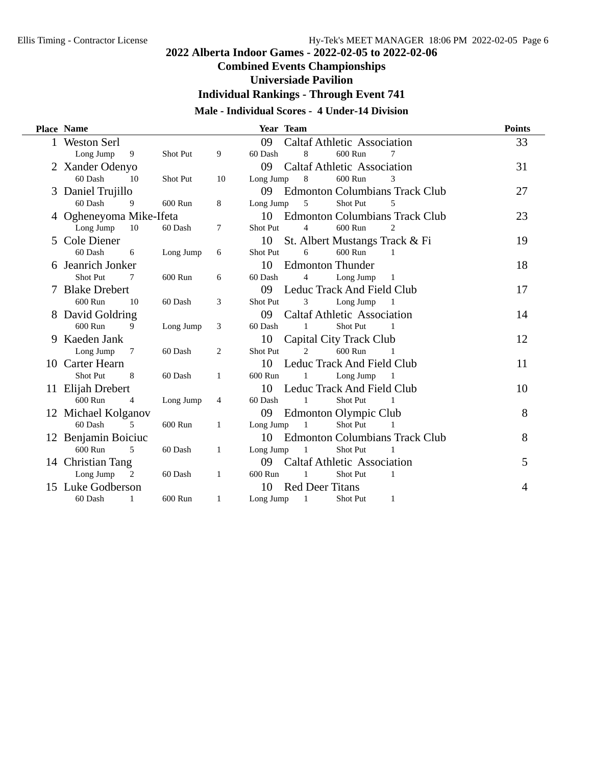## **Combined Events Championships**

## **Universiade Pavilion**

**Individual Rankings - Through Event 741**

## **Male - Individual Scores - 4 Under-14 Division**

|    | Place Name              |                |           |                | Year Team |                             |                                    |                                       | <b>Points</b> |
|----|-------------------------|----------------|-----------|----------------|-----------|-----------------------------|------------------------------------|---------------------------------------|---------------|
|    | <b>Weston Serl</b>      |                |           |                | 09        |                             | <b>Caltaf Athletic Association</b> |                                       | 33            |
|    | Long Jump               | 9              | Shot Put  | 9              | 60 Dash   | 8                           | 600 Run                            | 7                                     |               |
|    | 2 Xander Odenyo         |                |           |                | 09        |                             | <b>Caltaf Athletic Association</b> |                                       | 31            |
|    | 60 Dash                 | 10             | Shot Put  | 10             | Long Jump | 8                           | 600 Run                            | 3                                     |               |
|    | 3 Daniel Trujillo       |                |           |                | 09        |                             |                                    | <b>Edmonton Columbians Track Club</b> | 27            |
|    | 60 Dash                 | 9              | 600 Run   | 8              | Long Jump | 5                           | Shot Put                           | 5                                     |               |
|    | 4 Ogheneyoma Mike-Ifeta |                |           |                | 10        |                             |                                    | <b>Edmonton Columbians Track Club</b> | 23            |
|    | Long Jump               | 10             | 60 Dash   | $\tau$         | Shot Put  | $\overline{4}$              | 600 Run                            | $\overline{2}$                        |               |
| 5. | Cole Diener             |                |           |                | 10        |                             | St. Albert Mustangs Track & Fi     |                                       | 19            |
|    | 60 Dash                 | 6              | Long Jump | 6              | Shot Put  | 6                           | 600 Run                            | 1                                     |               |
|    | Jeanrich Jonker         |                |           |                | 10        |                             | <b>Edmonton Thunder</b>            |                                       | 18            |
|    | Shot Put                | 7              | 600 Run   | 6              | 60 Dash   | $\overline{4}$              | Long Jump                          | 1                                     |               |
|    | 7 Blake Drebert         |                |           |                | 09        |                             | <b>Leduc Track And Field Club</b>  |                                       | 17            |
|    | 600 Run                 | 10             | 60 Dash   | 3              | Shot Put  | 3                           | Long Jump                          |                                       |               |
|    | 8 David Goldring        |                |           |                | 09        |                             | <b>Caltaf Athletic Association</b> |                                       | 14            |
|    | 600 Run                 | 9              | Long Jump | 3              | 60 Dash   | 1                           | Shot Put                           | $\blacksquare$                        |               |
| 9  | Kaeden Jank             |                |           |                | 10        |                             | Capital City Track Club            |                                       | 12            |
|    | Long Jump               | 7              | 60 Dash   | 2              | Shot Put  | $\mathcal{D}_{\mathcal{L}}$ | 600 Run                            | $\mathbf{1}$                          |               |
|    | 10 Carter Hearn         |                |           |                | 10        |                             | Leduc Track And Field Club         |                                       | 11            |
|    | Shot Put                | 8              | 60 Dash   | 1              | 600 Run   | 1                           | Long Jump                          | -1                                    |               |
|    | 11 Elijah Drebert       |                |           |                | 10        |                             | Leduc Track And Field Club         |                                       | 10            |
|    | 600 Run                 | $\overline{4}$ | Long Jump | $\overline{4}$ | 60 Dash   | 1                           | Shot Put                           |                                       |               |
|    | 12 Michael Kolganov     |                |           |                | 09        |                             | Edmonton Olympic Club              |                                       | 8             |
|    | 60 Dash                 | $\overline{5}$ | 600 Run   | 1              | Long Jump | $\mathbf{1}$                | Shot Put                           |                                       |               |
|    | 12 Benjamin Boiciuc     |                |           |                | 10        |                             |                                    | <b>Edmonton Columbians Track Club</b> | 8             |
|    | 600 Run                 | 5              | 60 Dash   | 1              | Long Jump | $\overline{1}$              | Shot Put                           |                                       |               |
|    | 14 Christian Tang       |                |           |                | 09        |                             | <b>Caltaf Athletic Association</b> |                                       | 5             |
|    | Long Jump               | 2              | 60 Dash   | 1              | 600 Run   | 1                           | Shot Put                           | -1                                    |               |
|    | 15 Luke Godberson       |                |           |                | 10        | <b>Red Deer Titans</b>      |                                    |                                       | 4             |
|    | 60 Dash                 | 1              | 600 Run   | 1              | Long Jump | $\mathbf{1}$                | Shot Put                           | 1                                     |               |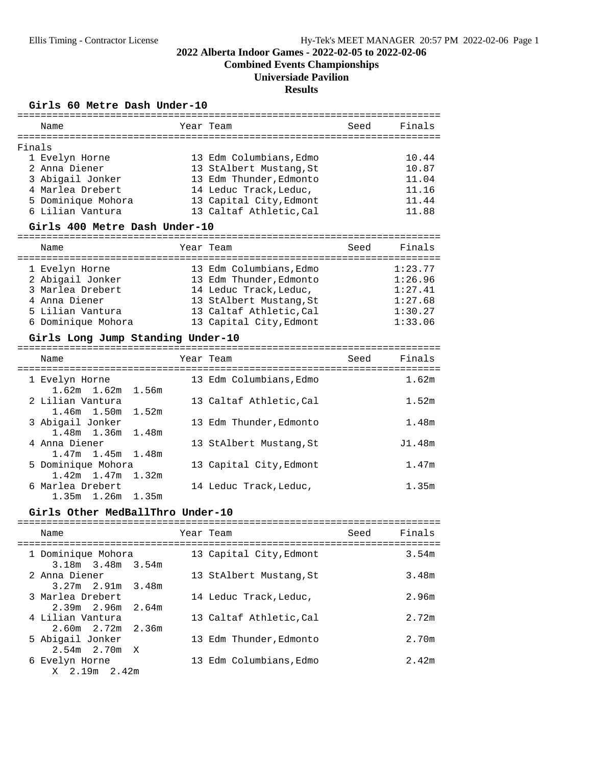**Combined Events Championships**

## **Universiade Pavilion**

#### **Results**

#### Girls 60 Metre Dash Under-10

|        | Name               | Year Team               | Seed | Finals |
|--------|--------------------|-------------------------|------|--------|
| Finals |                    |                         |      |        |
|        | 1 Evelyn Horne     | 13 Edm Columbians, Edmo |      | 10.44  |
|        | 2 Anna Diener      | 13 StAlbert Mustang, St |      | 10.87  |
|        | 3 Abigail Jonker   | 13 Edm Thunder, Edmonto |      | 11.04  |
|        | 4 Marlea Drebert   | 14 Leduc Track, Leduc,  |      | 11.16  |
|        | 5 Dominique Mohora | 13 Capital City, Edmont |      | 11.44  |
|        | 6 Lilian Vantura   | 13 Caltaf Athletic.Cal  |      | 11.88  |
|        |                    |                         |      |        |

#### Girls 400 Metre Dash Under-10

| Name               | Year Team               | Seed | Finals  |
|--------------------|-------------------------|------|---------|
| 1 Evelyn Horne     | 13 Edm Columbians, Edmo |      | 1:23.77 |
| 2 Abigail Jonker   | 13 Edm Thunder, Edmonto |      | 1:26.96 |
| 3 Marlea Drebert   | 14 Leduc Track, Leduc,  |      | 1:27.41 |
| 4 Anna Diener      | 13 StAlbert Mustang, St |      | 1:27.68 |
| 5 Lilian Vantura   | 13 Caltaf Athletic.Cal  |      | 1:30.27 |
| 6 Dominique Mohora | 13 Capital City, Edmont |      | 1:33.06 |

# **Girls Long Jump Standing Under-10** =========================================================================

| Name                                        | Year Team               | Seed | Finals |
|---------------------------------------------|-------------------------|------|--------|
| 1 Evelyn Horne                              | 13 Edm Columbians, Edmo |      | 1.62m  |
| $1.62m$ $1.62m$ $1.56m$<br>2 Lilian Vantura | 13 Caltaf Athletic, Cal |      | 1.52m  |
| $1.46m$ $1.50m$ $1.52m$<br>3 Abigail Jonker | 13 Edm Thunder.Edmonto  |      | 1.48m  |
| 1.48m 1.36m 1.48m<br>4 Anna Diener          | 13 StAlbert Mustang, St |      | J1.48m |
| $1.47m$ 1.45m 1.48m                         |                         |      |        |
| 5 Dominique Mohora<br>$1.42m$ 1.47m 1.32m   | 13 Capital City, Edmont |      | 1.47m  |
| 6 Marlea Drebert<br>$1.35m$ $1.26m$ $1.35m$ | 14 Leduc Track, Leduc,  |      | 1.35m  |

#### Girls Other MedBallThro Under-10

| Name                                                       | Year Team               | Seed | Finals |
|------------------------------------------------------------|-------------------------|------|--------|
| 1 Dominique Mohora<br>$3.18m$ $3.48m$ $3.54m$              | 13 Capital City, Edmont |      | 3.54m  |
| 2 Anna Diener<br>$3.27m$ $2.91m$ $3.48m$                   | 13 StAlbert Mustang, St |      | 3.48m  |
| 3 Marlea Drebert<br>$2.39m$ 2.96m 2.64m                    | 14 Leduc Track, Leduc,  |      | 2.96m  |
| 4 Lilian Vantura<br>$2.60m$ $2.72m$ $2.36m$                | 13 Caltaf Athletic, Cal |      | 2.72m  |
| 5 Abigail Jonker                                           | 13 Edm Thunder, Edmonto |      | 2.70m  |
| $2.54m$ $2.70m$ X<br>6 Evelyn Horne<br>$X = 2.19m = 2.42m$ | 13 Edm Columbians, Edmo |      | 2.42m  |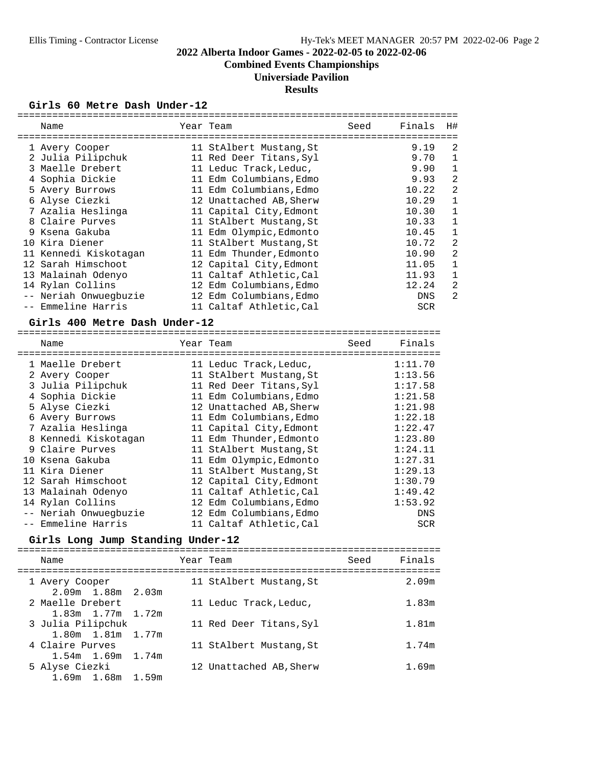**Combined Events Championships**

## **Universiade Pavilion**

**Results**

#### Girls 60 Metre Dash Under-12

| Name                  |    | Year Team               | Seed | Finals     | H#             |
|-----------------------|----|-------------------------|------|------------|----------------|
|                       |    |                         |      |            |                |
| 1 Avery Cooper        |    | 11 StAlbert Mustang, St |      | 9.19       | 2              |
| 2 Julia Pilipchuk     |    | 11 Red Deer Titans, Syl |      | 9.70       |                |
| 3 Maelle Drebert      |    | 11 Leduc Track, Leduc,  |      | 9.90       | 1              |
| 4 Sophia Dickie       |    | 11 Edm Columbians, Edmo |      | 9.93       | $\overline{2}$ |
| 5 Avery Burrows       | 11 | Edm Columbians, Edmo    |      | 10.22      | $\overline{2}$ |
| 6 Alyse Ciezki        |    | 12 Unattached AB, Sherw |      | 10.29      | 1              |
| 7 Azalia Heslinga     |    | 11 Capital City, Edmont |      | 10.30      | 1              |
| 8 Claire Purves       |    | 11 StAlbert Mustang, St |      | 10.33      | 1              |
| 9 Ksena Gakuba        |    | 11 Edm Olympic, Edmonto |      | 10.45      | 1              |
| 10 Kira Diener        |    | 11 StAlbert Mustang, St |      | 10.72      | $\overline{2}$ |
| 11 Kennedi Kiskotagan | 11 | Edm Thunder,Edmonto     |      | 10.90      | $\overline{2}$ |
| 12 Sarah Himschoot    |    | 12 Capital City, Edmont |      | 11.05      | 1              |
| 13 Malainah Odenyo    |    | 11 Caltaf Athletic, Cal |      | 11.93      | 1              |
| 14 Rylan Collins      | 12 | Edm Columbians, Edmo    |      | 12.24      | 2              |
| -- Neriah Onwuegbuzie |    | 12 Edm Columbians, Edmo |      | <b>DNS</b> | 2              |
| -- Emmeline Harris    |    | 11 Caltaf Athletic, Cal |      | <b>SCR</b> |                |

# **Girls 400 Metre Dash Under-12** =========================================================================

| Name                  | Year Team               | Seed | Finals     |
|-----------------------|-------------------------|------|------------|
| 1 Maelle Drebert      | 11 Leduc Track, Leduc,  |      | 1:11.70    |
| 2 Avery Cooper        | 11 StAlbert Mustang, St |      | 1:13.56    |
| 3 Julia Pilipchuk     | 11 Red Deer Titans, Syl |      | 1:17.58    |
| 4 Sophia Dickie       | 11 Edm Columbians, Edmo |      | 1:21.58    |
| 5 Alyse Ciezki        | 12 Unattached AB, Sherw |      | 1:21.98    |
| 6 Avery Burrows       | 11 Edm Columbians, Edmo |      | 1:22.18    |
| 7 Azalia Heslinga     | 11 Capital City, Edmont |      | 1:22.47    |
| 8 Kennedi Kiskotagan  | 11 Edm Thunder, Edmonto |      | 1:23.80    |
| 9 Claire Purves       | 11 StAlbert Mustang, St |      | 1:24.11    |
| 10 Ksena Gakuba       | 11 Edm Olympic, Edmonto |      | 1:27.31    |
| 11 Kira Diener        | 11 StAlbert Mustang, St |      | 1:29.13    |
| 12 Sarah Himschoot    | 12 Capital City, Edmont |      | 1:30.79    |
| 13 Malainah Odenyo    | 11 Caltaf Athletic, Cal |      | 1:49.42    |
| 14 Rylan Collins      | 12 Edm Columbians, Edmo |      | 1:53.92    |
| -- Neriah Onwuegbuzie | 12 Edm Columbians, Edmo |      | <b>DNS</b> |
| -- Emmeline Harris    | 11 Caltaf Athletic, Cal |      | <b>SCR</b> |

# **Girls Long Jump Standing Under-12** =========================================================================

| Name                                        | Year Team               | Seed | Finals |
|---------------------------------------------|-------------------------|------|--------|
| 1 Avery Cooper<br>$2.09m$ 1.88 $m$ 2.03 $m$ | 11 StAlbert Mustang, St |      | 2.09m  |
| 2 Maelle Drebert<br>1.83m 1.77m 1.72m       | 11 Leduc Track, Leduc,  |      | 1.83m  |
| 3 Julia Pilipchuk<br>1.80m 1.81m 1.77m      | 11 Red Deer Titans, Syl |      | 1.81m  |
| 4 Claire Purves<br>$1.54m$ $1.69m$ $1.74m$  | 11 StAlbert Mustang, St |      | 1.74m  |
| 5 Alyse Ciezki<br>1.69m 1.68m 1.59m         | 12 Unattached AB, Sherw |      | 1.69m  |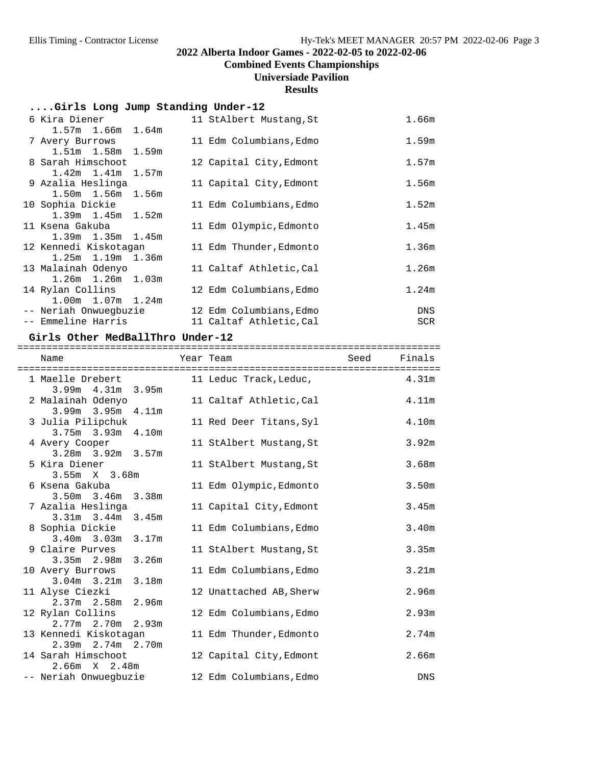**Combined Events Championships**

## **Universiade Pavilion**

#### **Results**

## **....Girls Long Jump Standing Under-12**

| 6 Kira Diener           | 11 StAlbert Mustang, St | 1.66m      |
|-------------------------|-------------------------|------------|
| $1.57m$ $1.66m$ $1.64m$ |                         |            |
| 7 Avery Burrows         | 11 Edm Columbians, Edmo | 1.59m      |
| 1.51m 1.58m 1.59m       |                         |            |
| 8 Sarah Himschoot       | 12 Capital City, Edmont | 1.57m      |
| $1.42m$ $1.41m$ $1.57m$ |                         |            |
| 9 Azalia Heslinga       | 11 Capital City, Edmont | 1.56m      |
| $1.50m$ $1.56m$ $1.56m$ |                         |            |
| 10 Sophia Dickie        | 11 Edm Columbians, Edmo | 1.52m      |
| $1.39m$ $1.45m$ $1.52m$ |                         |            |
| 11 Ksena Gakuba         | 11 Edm Olympic, Edmonto | 1.45m      |
| $1.39m$ $1.35m$ $1.45m$ |                         |            |
| 12 Kennedi Kiskotagan   | 11 Edm Thunder, Edmonto | 1.36m      |
| $1.25m$ $1.19m$ $1.36m$ |                         |            |
| 13 Malainah Odenyo      | 11 Caltaf Athletic, Cal | 1.26m      |
| $1.26m$ $1.26m$ $1.03m$ |                         |            |
| 14 Rylan Collins        | 12 Edm Columbians, Edmo | 1.24m      |
| $1.00m$ $1.07m$ $1.24m$ |                         |            |
| -- Neriah Onwuegbuzie   | 12 Edm Columbians, Edmo | DNS        |
| -- Emmeline Harris      | 11 Caltaf Athletic, Cal | <b>SCR</b> |

**Girls Other MedBallThro Under-12** =========================================================================

| Name<br>----------------------------------     | Year Team                                                      | Seed | Finals            |
|------------------------------------------------|----------------------------------------------------------------|------|-------------------|
| 1 Maelle Drebert<br>$3.99m$ 4.31m 3.95m        | ====================================<br>11 Leduc Track, Leduc, |      | 4.31 <sub>m</sub> |
| 2 Malainah Odenyo<br>$3.99m$ $3.95m$ $4.11m$   | 11 Caltaf Athletic, Cal                                        |      | 4.11m             |
| 3 Julia Pilipchuk<br>$3.75m$ $3.93m$ $4.10m$   | 11 Red Deer Titans, Syl                                        |      | 4.10 <sub>m</sub> |
| 4 Avery Cooper<br>$3.28m$ $3.92m$ $3.57m$      | 11 StAlbert Mustang, St                                        |      | 3.92m             |
| 5 Kira Diener<br>$3.55m \t X \t 3.68m$         | 11 StAlbert Mustang, St                                        |      | 3.68m             |
| 6 Ksena Gakuba                                 | 11 Edm Olympic, Edmonto                                        |      | 3.50 <sub>m</sub> |
| $3.50m$ $3.46m$ $3.38m$<br>7 Azalia Heslinga   | 11 Capital City, Edmont                                        |      | 3.45m             |
| $3.31m$ $3.44m$ $3.45m$<br>8 Sophia Dickie     | 11 Edm Columbians, Edmo                                        |      | 3.40m             |
| 3.40m 3.03m 3.17m<br>9 Claire Purves           | 11 StAlbert Mustang, St                                        |      | 3.35m             |
| $3.35m$ $2.98m$ $3.26m$<br>10 Avery Burrows    | 11 Edm Columbians, Edmo                                        |      | 3.21m             |
| $3.04m$ $3.21m$ $3.18m$<br>11 Alyse Ciezki     | 12 Unattached AB, Sherw                                        |      | 2.96m             |
| 2.37m 2.58m 2.96m<br>12 Rylan Collins          | 12 Edm Columbians, Edmo                                        |      | 2.93m             |
| 2.77m 2.70m 2.93m<br>13 Kennedi Kiskotagan     | 11 Edm Thunder, Edmonto                                        |      | 2.74m             |
| $2.39m$ $2.74m$ $2.70m$<br>14 Sarah Himschoot  | 12 Capital City, Edmont                                        |      | 2.66m             |
| $2.66m \t X \t 2.48m$<br>-- Neriah Onwuegbuzie | 12 Edm Columbians, Edmo                                        |      | <b>DNS</b>        |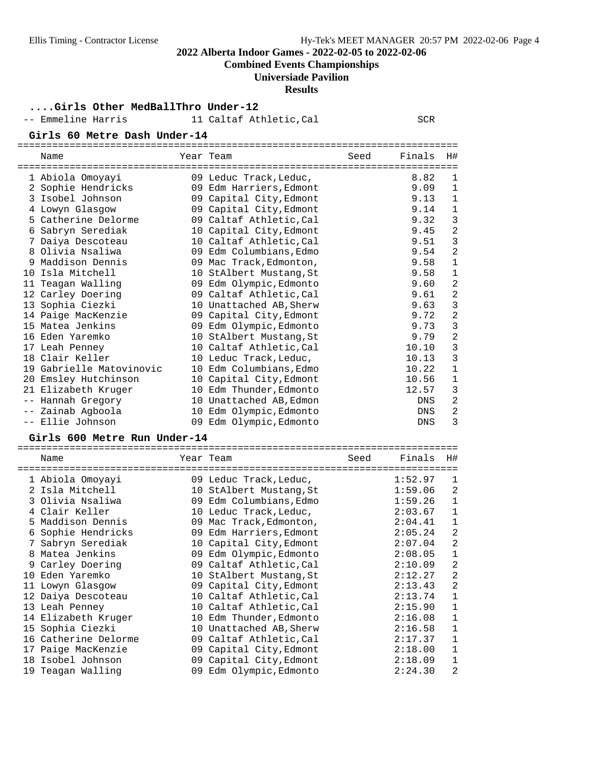**Combined Events Championships**

## **Universiade Pavilion**

#### **Results**

**....Girls Other MedBallThro Under-12**

|      | -- Emmeline Harris           | 11 Caltaf Athletic, Cal |      | <b>SCR</b> |                |
|------|------------------------------|-------------------------|------|------------|----------------|
|      | Girls 60 Metre Dash Under-14 |                         |      |            |                |
|      | Name                         | Year Team               | Seed | Finals     | H#             |
|      | 1 Abiola Omoyayi             | 09 Leduc Track, Leduc,  |      | 8.82       | 1              |
|      | 2 Sophie Hendricks           | 09 Edm Harriers, Edmont |      | 9.09       | 1              |
|      | 3 Isobel Johnson             | 09 Capital City, Edmont |      | 9.13       | $\mathbf 1$    |
|      | 4 Lowyn Glasgow              | 09 Capital City, Edmont |      | 9.14       | $\mathbf 1$    |
|      | 5 Catherine Delorme          | 09 Caltaf Athletic, Cal |      | 9.32       | 3              |
|      | 6 Sabryn Serediak            | 10 Capital City, Edmont |      | 9.45       | $\overline{a}$ |
|      | 7 Daiya Descoteau            | 10 Caltaf Athletic, Cal |      | 9.51       | 3              |
|      | 8 Olivia Nsaliwa             | 09 Edm Columbians, Edmo |      | 9.54       | $\overline{a}$ |
|      | 9 Maddison Dennis            | 09 Mac Track, Edmonton, |      | 9.58       | $\mathbf 1$    |
|      | 10 Isla Mitchell             | 10 StAlbert Mustang, St |      | 9.58       | $1\,$          |
|      | 11 Teagan Walling            | 09 Edm Olympic, Edmonto |      | 9.60       | $\overline{2}$ |
|      | 12 Carley Doering            | 09 Caltaf Athletic, Cal |      | 9.61       | $\overline{a}$ |
|      | 13 Sophia Ciezki             | 10 Unattached AB, Sherw |      | 9.63       | 3              |
|      | 14 Paige MacKenzie           | 09 Capital City, Edmont |      | 9.72       | $\overline{a}$ |
|      | 15 Matea Jenkins             | 09 Edm Olympic, Edmonto |      | 9.73       | 3              |
|      | 16 Eden Yaremko              | 10 StAlbert Mustang, St |      | 9.79       | $\overline{a}$ |
|      | 17 Leah Penney               | 10 Caltaf Athletic, Cal |      | 10.10      | 3              |
|      | 18 Clair Keller              | 10 Leduc Track, Leduc,  |      | 10.13      | 3              |
|      | 19 Gabrielle Matovinovic     | 10 Edm Columbians, Edmo |      | 10.22      | $\mathbf 1$    |
|      | 20 Emsley Hutchinson         | 10 Capital City, Edmont |      | 10.56      | $1\,$          |
|      | 21 Elizabeth Kruger          | 10 Edm Thunder, Edmonto |      | 12.57      | 3              |
| $ -$ | Hannah Gregory               | 10 Unattached AB, Edmon |      | <b>DNS</b> | $\overline{a}$ |
|      | Zainab Agboola               | 10 Edm Olympic, Edmonto |      | <b>DNS</b> | 2              |
|      | -- Ellie Johnson             | 09 Edm Olympic, Edmonto |      | <b>DNS</b> | 3              |

# **Girls 600 Metre Run Under-14** ============================================================================

|   | Name                 | Year Team               | Seed | Finals  | H#             |
|---|----------------------|-------------------------|------|---------|----------------|
|   | 1 Abiola Omoyayi     | 09 Leduc Track, Leduc,  |      | 1:52.97 | 1              |
|   | 2 Isla Mitchell      | 10 StAlbert Mustang, St |      | 1:59.06 | $\overline{a}$ |
|   | 3 Olivia Nsaliwa     | 09 Edm Columbians, Edmo |      | 1:59.26 | $\mathbf 1$    |
|   | 4 Clair Keller       | 10 Leduc Track, Leduc,  |      | 2:03.67 | $\mathbf{1}$   |
|   | 5 Maddison Dennis    | 09 Mac Track, Edmonton, |      | 2:04.41 | 1              |
|   | 6 Sophie Hendricks   | 09 Edm Harriers, Edmont |      | 2:05.24 | $\overline{a}$ |
| 7 | Sabryn Serediak      | 10 Capital City, Edmont |      | 2:07.04 | $\overline{a}$ |
| 8 | Matea Jenkins        | 09 Edm Olympic, Edmonto |      | 2:08.05 | $\mathbf{1}$   |
|   | 9 Carley Doering     | 09 Caltaf Athletic, Cal |      | 2:10.09 | $\overline{a}$ |
|   | 10 Eden Yaremko      | 10 StAlbert Mustang, St |      | 2:12.27 | $\overline{c}$ |
|   | 11 Lowyn Glasgow     | 09 Capital City, Edmont |      | 2:13.43 | $\overline{a}$ |
|   | 12 Daiya Descoteau   | 10 Caltaf Athletic, Cal |      | 2:13.74 | $\mathbf 1$    |
|   | 13 Leah Penney       | 10 Caltaf Athletic, Cal |      | 2:15.90 | $\mathbf 1$    |
|   | 14 Elizabeth Kruger  | 10 Edm Thunder, Edmonto |      | 2:16.08 | 1              |
|   | 15 Sophia Ciezki     | 10 Unattached AB, Sherw |      | 2:16.58 | $\mathbf{1}$   |
|   | 16 Catherine Delorme | 09 Caltaf Athletic, Cal |      | 2:17.37 | 1              |
|   | 17 Paige MacKenzie   | 09 Capital City, Edmont |      | 2:18.00 | 1              |
|   | 18 Isobel Johnson    | 09 Capital City, Edmont |      | 2:18.09 | 1              |
|   | 19 Teagan Walling    | 09 Edm Olympic, Edmonto |      | 2:24.30 | 2              |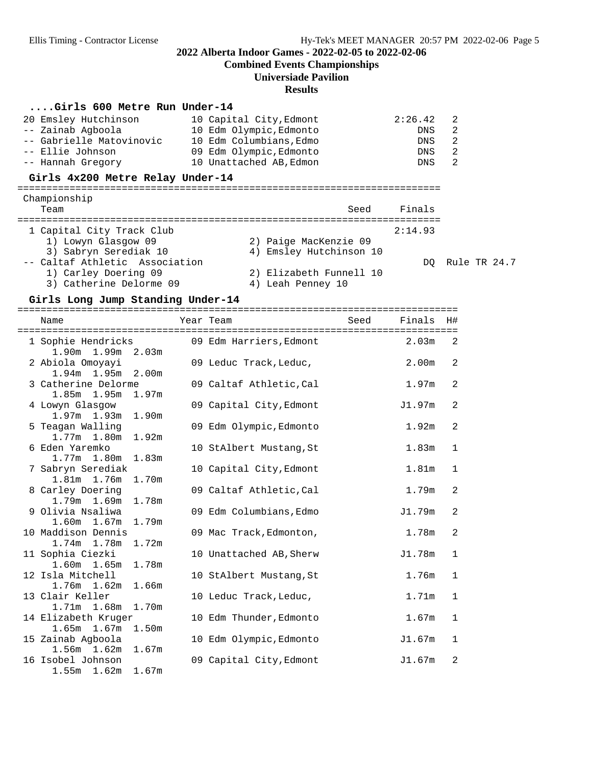**Combined Events Championships**

# **Universiade Pavilion**

## **Results**

## **....Girls 600 Metre Run Under-14**

| 20 Emsley Hutchinson<br>-- Zainab Aqboola<br>-- Gabrielle Matovinovic<br>-- Ellie Johnson<br>-- Hannah Gregory                                                 | 10 Capital City, Edmont<br>10 Edm Olympic, Edmonto<br>10 Edm Columbians, Edmo<br>09 Edm Olympic, Edmonto<br>10 Unattached AB, Edmon | 2:26.42<br>DNS<br><b>DNS</b><br>DNS<br>DNS | 2<br>2<br>2<br>2<br>2 |  |
|----------------------------------------------------------------------------------------------------------------------------------------------------------------|-------------------------------------------------------------------------------------------------------------------------------------|--------------------------------------------|-----------------------|--|
| Girls 4x200 Metre Relay Under-14                                                                                                                               |                                                                                                                                     |                                            |                       |  |
| Championship<br>Team                                                                                                                                           | ==========================<br>Seed                                                                                                  | Finals                                     |                       |  |
| 1 Capital City Track Club<br>1) Lowyn Glasgow 09<br>3) Sabryn Serediak 10<br>-- Caltaf Athletic Association<br>1) Carley Doering 09<br>3) Catherine Delorme 09 | 2) Paige MacKenzie 09<br>4) Emsley Hutchinson 10<br>2) Elizabeth Funnell 10<br>4) Leah Penney 10                                    | 2:14.93<br>DO.                             | Rule TR 24.7          |  |

#### Girls Long Jump Standing Under-14

| Name                                                            | Year Team               | Seed | Finals            | H#           |
|-----------------------------------------------------------------|-------------------------|------|-------------------|--------------|
| 1 Sophie Hendricks 69 Edm Harriers, Edmont<br>1.90m 1.99m 2.03m |                         |      | 2.03 <sub>m</sub> | 2            |
| 2 Abiola Omoyayi<br>$1.94m$ 1.95m $2.00m$                       | 09 Leduc Track, Leduc,  |      | 2.00 <sub>m</sub> | 2            |
| 3 Catherine Delorme<br>1.85m 1.95m 1.97m                        | 09 Caltaf Athletic, Cal |      | 1.97m             | 2            |
| 4 Lowyn Glasgow<br>$1.97m$ $1.93m$<br>1.90m                     | 09 Capital City, Edmont |      | J1.97m            | 2            |
| 5 Teagan Walling<br>1.92m<br>1.77m 1.80m                        | 09 Edm Olympic, Edmonto |      | 1.92 <sub>m</sub> | 2            |
| 6 Eden Yaremko<br>1.77m 1.80m 1.83m                             | 10 StAlbert Mustang, St |      | 1.83 <sub>m</sub> | 1            |
| 7 Sabryn Serediak<br>1.81m 1.76m<br>1.70m                       | 10 Capital City, Edmont |      | 1.81 <sub>m</sub> | $\mathbf 1$  |
| 8 Carley Doering<br>1.79m 1.69m<br>1.78m                        | 09 Caltaf Athletic, Cal |      | 1.79m             | 2            |
| 9 Olivia Nsaliwa<br>$1.60m$ $1.67m$<br>1.79m                    | 09 Edm Columbians, Edmo |      | J1.79m            | 2            |
| 10 Maddison Dennis<br>1.72m<br>$1.74m$ $1.78m$                  | 09 Mac Track, Edmonton, |      | 1.78m             | 2            |
| 11 Sophia Ciezki<br>1.78m<br>1.60m 1.65m                        | 10 Unattached AB, Sherw |      | J1.78m            | $\mathbf{1}$ |
| 12 Isla Mitchell<br>$1.76m$ $1.62m$<br>1.66m                    | 10 StAlbert Mustang, St |      | 1.76m             | $\mathbf{1}$ |
| 13 Clair Keller<br>1.71m 1.68m<br>1.70m                         | 10 Leduc Track, Leduc,  |      | 1.71m             | $\mathbf{1}$ |
| 14 Elizabeth Kruger<br>$1.65m$ $1.67m$<br>1.50m                 | 10 Edm Thunder, Edmonto |      | 1.67 <sub>m</sub> | $\mathbf{1}$ |
| 15 Zainab Agboola<br>1.56m 1.62m 1.67m                          | 10 Edm Olympic, Edmonto |      | J1.67m            | $\mathbf 1$  |
| 16 Isobel Johnson<br>$1.55m$ $1.62m$ $1.67m$                    | 09 Capital City, Edmont |      | J1.67m            | 2            |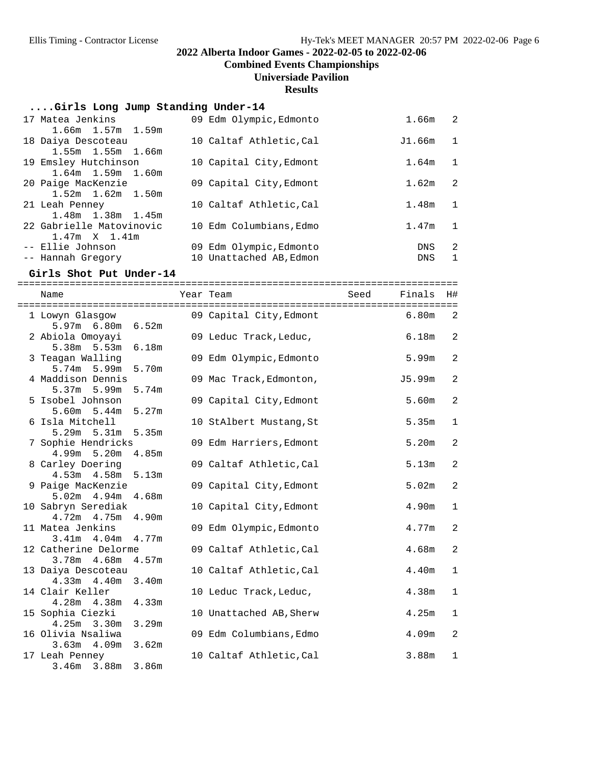**Combined Events Championships**

#### **Universiade Pavilion**

**Results**

#### **....Girls Long Jump Standing Under-14**

| 17 Matea Jenkins         | 09 Edm Olympic, Edmonto | 1.66m      | - 2            |
|--------------------------|-------------------------|------------|----------------|
| $1.66m$ $1.57m$ $1.59m$  |                         |            |                |
| 18 Daiya Descoteau       | 10 Caltaf Athletic, Cal | J1.66m     | $\overline{1}$ |
| 1.55m 1.55m 1.66m        |                         |            |                |
| 19 Emsley Hutchinson     | 10 Capital City, Edmont | 1.64m      | $\mathbf{1}$   |
| $1.64m$ $1.59m$ $1.60m$  |                         |            |                |
| 20 Paige MacKenzie       | 09 Capital City, Edmont | 1.62m      | 2              |
| $1.52m$ $1.62m$ $1.50m$  |                         |            |                |
| 21 Leah Penney           | 10 Caltaf Athletic, Cal | 1.48m      | 1              |
| 1.48m 1.38m 1.45m        |                         |            |                |
| 22 Gabrielle Matovinovic | 10 Edm Columbians, Edmo | 1.47m      | $\mathbf{1}$   |
| $1.47m \times 1.41m$     |                         |            |                |
| -- Ellie Johnson         | 09 Edm Olympic, Edmonto | <b>DNS</b> | -2             |
| -- Hannah Gregory        | 10 Unattached AB, Edmon | <b>DNS</b> | $\mathbf{1}$   |
|                          |                         |            |                |

**Girls Shot Put Under-14** ============================================================================ Name Tear Team Seed Finals H# ============================================================================ 1 Lowyn Glasgow 09 Capital City,Edmont 6.80m 2 5.97m 6.80m 6.52m 09 Leduc Track,Leduc, 6.18m 2 5.38m 5.53m 6.18m<br>3 Teagan Walling 09 Edm Olympic,Edmonto 5.99m 2 5.74m 5.99m 5.70m 4 Maddison Dennis 609 Mac Track, Edmonton, 15.99m 2 5.37m 5.99m 5.74m<br>5 Isobel Johnson 09 Capital City, Edmont 5.60m 2 5.60m 5.44m 5.27m 10 StAlbert Mustang, St 5.35m 1 5.29m 5.31m 5.35m 7 Sophie Hendricks 09 Edm Harriers,Edmont 5.20m 2 4.99m 5.20m 4.85m 09 Caltaf Athletic,Cal 5.13m 2 4.53m 4.58m 5.13m 9 Paige MacKenzie **3.02m** 09 Capital City, Edmont 5.02m 2 5.02m 4.94m 4.68m 10 Sabryn Serediak 10 Capital City,Edmont 4.90m 1 4.72m 4.75m 4.90m 11 Matea Jenkins 09 Edm Olympic,Edmonto 4.77m 2 3.41m 4.04m 4.77m 12 Catherine Delorme 09 Caltaf Athletic,Cal 4.68m 2 3.78m 4.68m 4.57m 13 Daiya Descoteau 10 Caltaf Athletic,Cal 4.40m 1 4.33m 4.40m 3.40m 10 Leduc Track, Leduc, 4.38m 1 4.28m 4.38m 4.33m 15 Sophia Ciezki 10 Unattached AB,Sherw 4.25m 1 4.25m 3.30m 3.29m 16 Olivia Nsaliwa 09 Edm Columbians,Edmo 4.09m 2 3.63m 4.09m 3.62m 17 Leah Penney 10 Caltaf Athletic, Cal 3.88m 1 3.46m 3.88m 3.86m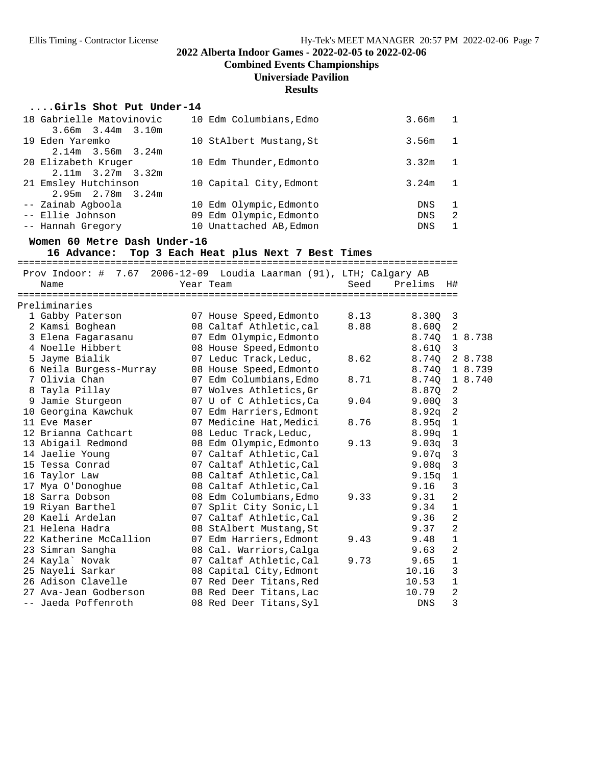**Combined Events Championships**

## **Universiade Pavilion**

**Results**

## **....Girls Shot Put Under-14**

| 18 Gabrielle Matovinovic | 10 Edm Columbians, Edmo | 3.66m      | $\overline{1}$ |
|--------------------------|-------------------------|------------|----------------|
| $3.66m$ $3.44m$ $3.10m$  |                         |            |                |
| 19 Eden Yaremko          | 10 StAlbert Mustang, St | 3.56m      | $\overline{1}$ |
| $2.14m$ 3.56m 3.24m      |                         |            |                |
| 20 Elizabeth Kruger      | 10 Edm Thunder, Edmonto | 3.32m      |                |
| $2.11m$ $3.27m$ $3.32m$  |                         |            |                |
| 21 Emsley Hutchinson     | 10 Capital City, Edmont | 3.24m      |                |
| $2.95m$ $2.78m$ $3.24m$  |                         |            |                |
| -- Zainab Aqboola        | 10 Edm Olympic, Edmonto | <b>DNS</b> |                |
| -- Ellie Johnson         | 09 Edm Olympic, Edmonto | <b>DNS</b> | -2             |
| -- Hannah Gregory        | 10 Unattached AB, Edmon | <b>DNS</b> |                |

#### **Women 60 Metre Dash Under-16**

16 Advance: Top 3 Each Heat plus Next 7 Best Times

|                        |                                                                     |      | ========================== |                          |         |
|------------------------|---------------------------------------------------------------------|------|----------------------------|--------------------------|---------|
|                        | Prov Indoor: # 7.67 2006-12-09 Loudia Laarman (91), LTH; Calgary AB | Seed | Prelims                    |                          |         |
| Name                   | Year Team                                                           |      |                            | H#                       |         |
| Preliminaries          |                                                                     |      |                            |                          |         |
| 1 Gabby Paterson       | 07 House Speed, Edmonto                                             | 8.13 | 8.30Q                      | $\overline{\mathbf{3}}$  |         |
| 2 Kamsi Boghean        | 08 Caltaf Athletic, cal                                             | 8.88 | 8.600                      | $\overline{2}$           |         |
| 3 Elena Fagarasanu     | 07 Edm Olympic, Edmonto                                             |      | 8.740                      |                          | 1 8.738 |
| 4 Noelle Hibbert       | 08 House Speed, Edmonto                                             |      | 8.610                      | $\overline{3}$           |         |
| 5 Jayme Bialik         | 07 Leduc Track, Leduc,                                              | 8.62 | 8.740                      |                          | 2 8.738 |
| 6 Neila Burgess-Murray | 08 House Speed, Edmonto                                             |      | 8.740 1 8.739              |                          |         |
| 7 Olivia Chan          | 07 Edm Columbians, Edmo                                             | 8.71 | 8.740 1 8.740              |                          |         |
| 8 Tayla Pillay         | 07 Wolves Athletics, Gr                                             |      | 8.87Q                      | $\overline{\phantom{a}}$ |         |
| 9 Jamie Sturgeon       | 07 U of C Athletics, Ca                                             | 9.04 | 9.00Q                      | $\overline{\mathbf{3}}$  |         |
| 10 Georgina Kawchuk    | 07 Edm Harriers, Edmont                                             |      | $8.92q$ 2                  |                          |         |
| 11 Eve Maser           | 07 Medicine Hat, Medici                                             | 8.76 | $8.95q$ 1                  |                          |         |
| 12 Brianna Cathcart    | 08 Leduc Track, Leduc,                                              |      | 8.99q                      | $\overline{1}$           |         |
| 13 Abigail Redmond     | 08 Edm Olympic, Edmonto                                             | 9.13 | 9.03q                      | $\overline{\mathbf{3}}$  |         |
| 14 Jaelie Young        | 07 Caltaf Athletic, Cal                                             |      | 9.07q                      | $\overline{\mathbf{3}}$  |         |
| 15 Tessa Conrad        | 07 Caltaf Athletic, Cal                                             |      | 9.08q                      | $\overline{3}$           |         |
| 16 Taylor Law          | 08 Caltaf Athletic, Cal                                             |      | 9.15q                      | $\mathbf{1}$             |         |
| 17 Mya O'Donoghue      | 08 Caltaf Athletic, Cal                                             |      | 9.16                       | 3                        |         |
| 18 Sarra Dobson        | 08 Edm Columbians, Edmo                                             | 9.33 | 9.31                       | $\overline{a}$           |         |
| 19 Riyan Barthel       | 07 Split City Sonic, Ll                                             |      | 9.34                       | $\mathbf{1}$             |         |
| 20 Kaeli Ardelan       | 07 Caltaf Athletic, Cal                                             |      | 9.36                       | 2                        |         |
| 21 Helena Hadra        | 08 StAlbert Mustang, St                                             |      | 9.37                       | $\overline{2}$           |         |
| 22 Katherine McCallion | 07 Edm Harriers, Edmont                                             | 9.43 | 9.48                       | $\mathbf 1$              |         |
| 23 Simran Sangha       | 08 Cal. Warriors, Calga                                             |      | 9.63                       | $\overline{2}$           |         |
| 24 Kayla` Novak        | 07 Caltaf Athletic, Cal                                             | 9.73 | 9.65                       | $\mathbf{1}$             |         |
| 25 Nayeli Sarkar       | 08 Capital City, Edmont                                             |      | 10.16                      | $\overline{3}$           |         |
| 26 Adison Clavelle     | 07 Red Deer Titans, Red                                             |      | 10.53                      | $\mathbf{1}$             |         |
| 27 Ava-Jean Godberson  | 08 Red Deer Titans, Lac                                             |      | 10.79                      | $\overline{a}$           |         |
| -- Jaeda Poffenroth    | 08 Red Deer Titans, Syl                                             |      | <b>DNS</b>                 | 3                        |         |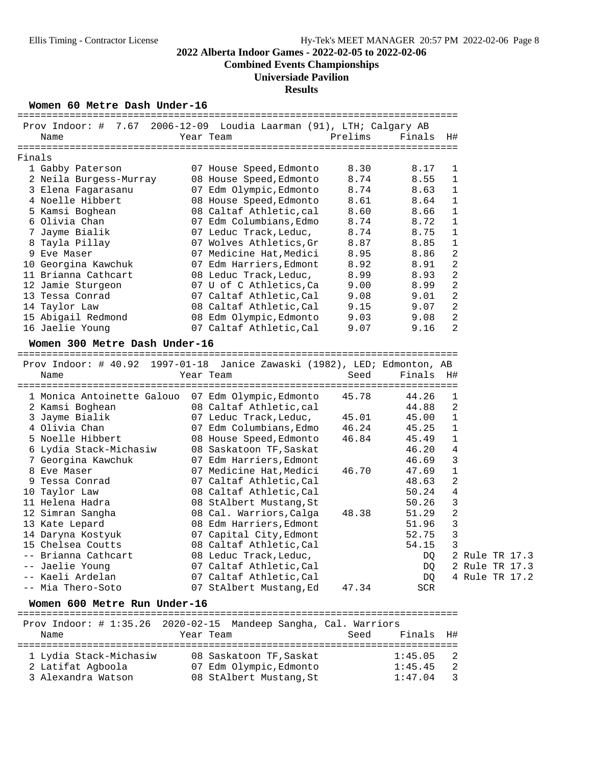**Combined Events Championships**

#### **Universiade Pavilion**

### **Results**

#### Women 60 Metre Dash Under-16

|        | Prov Indoor: $\#$ 7.67        |           | 2006-12-09 Loudia Laarman (91), LTH; Calgary AB |         |        |                |
|--------|-------------------------------|-----------|-------------------------------------------------|---------|--------|----------------|
|        | Name                          | Year Team |                                                 | Prelims | Finals | H#             |
|        |                               |           |                                                 |         |        |                |
| Finals |                               |           |                                                 |         |        |                |
|        | 1 Gabby Paterson              |           | 07 House Speed, Edmonto                         | 8.30    | 8.17   | $\mathbf{1}$   |
|        | 2 Neila Burgess-Murray        |           | 08 House Speed, Edmonto                         | 8.74    | 8.55   | 1              |
|        | 3 Elena Fagarasanu            |           | 07 Edm Olympic, Edmonto                         | 8.74    | 8.63   | 1              |
|        | 4 Noelle Hibbert              |           | 08 House Speed, Edmonto                         | 8.61    | 8.64   | 1              |
|        | 5 Kamsi Boghean               |           | 08 Caltaf Athletic, cal                         | 8.60    | 8.66   | $\mathbf 1$    |
|        | 6 Olivia Chan                 |           | 07 Edm Columbians,Edmo                          | 8.74    | 8.72   | 1              |
|        | 7 Jayme Bialik                |           | 07 Leduc Track, Leduc,                          | 8.74    | 8.75   | $\mathbf{1}$   |
|        | 8 Tayla Pillay                |           | 07 Wolves Athletics, Gr                         | 8.87    | 8.85   | 1              |
|        | 9 Eve Maser                   | 07        | Medicine Hat, Medici                            | 8.95    | 8.86   | $\overline{2}$ |
|        | 10 Georgina Kawchuk           |           | 07 Edm Harriers, Edmont                         | 8.92    | 8.91   | 2              |
|        | 11 Brianna Cathcart           |           | 08 Leduc Track, Leduc,                          | 8.99    | 8.93   | $\overline{2}$ |
|        | 12 Jamie Sturgeon             |           | 07 U of C Athletics, Ca                         | 9.00    | 8.99   | $\overline{2}$ |
|        | 13 Tessa Conrad               |           | 07 Caltaf Athletic, Cal                         | 9.08    | 9.01   | 2              |
|        | 14 Taylor Law                 |           | 08 Caltaf Athletic, Cal                         | 9.15    | 9.07   | $\overline{2}$ |
|        | 15 Abigail Redmond            |           | 08 Edm Olympic, Edmonto                         | 9.03    | 9.08   | $\overline{2}$ |
|        | 16 Jaelie Young               |           | 07 Caltaf Athletic, Cal                         | 9.07    | 9.16   | $\mathfrak{D}$ |
|        | Women 300 Metre Dash Under-16 |           |                                                 |         |        |                |
|        |                               |           |                                                 |         |        |                |

 Prov Indoor: # 40.92 1997-01-18 Janice Zawaski (1982), LED; Edmonton, AB Name Year Team Seed Finals H# ============================================================================ 1 Monica Antoinette Galouo 07 Edm Olympic,Edmonto 45.78 44.26 1 2 Kamsi Boghean 08 Caltaf Athletic,cal 44.88 2 3 Jayme Bialik 07 Leduc Track,Leduc, 45.01 45.00 1 4 Olivia Chan 07 Edm Columbians,Edmo 46.24 45.25 1 5 Noelle Hibbert 08 House Speed,Edmonto 46.84 45.49 1 6 Lydia Stack-Michasiw 08 Saskatoon TF,Saskat 46.20 4 7 Georgina Kawchuk 07 Edm Harriers,Edmont 46.69 3 8 Eve Maser 07 Medicine Hat,Medici 46.70 47.69 1 9 Tessa Conrad 07 Caltaf Athletic,Cal 48.63 2 10 Taylor Law 108 Caltaf Athletic,Cal 50.24 4 11 Helena Hadra 08 StAlbert Mustang,St 50.26 3 12 Simran Sangha 08 Cal. Warriors,Calga 48.38 51.29 2 13 Kate Lepard 08 Edm Harriers,Edmont 51.96 3 14 Daryna Kostyuk 07 Capital City,Edmont 52.75 3 15 Chelsea Coutts 08 Caltaf Athletic,Cal 54.15 3 -- Brianna Cathcart 108 Leduc Track,Leduc, 1988 1992 2 Rule TR 17.3 -- Jaelie Young 07 Caltaf Athletic,Cal DQ 2 Rule TR 17.3 -- Kaeli Ardelan 07 Caltaf Athletic,Cal DQ 4 Rule TR 17.2 -- Mia Thero-Soto 07 StAlbert Mustang,Ed 47.34 SCR

**Women 600 Metre Run Under-16** ============================================================================ Prov Indoor: # 1:35.26 2020-02-15 Mandeep Sangha, Cal. Warriors Name Year Team Seed Finals H# ============================================================================ 1 Lydia Stack-Michasiw 08 Saskatoon TF,Saskat 1:45.05 2 2 Latifat Agboola 07 Edm Olympic,Edmonto 1:45.45 2 3 Alexandra Watson 08 StAlbert Mustang,St 1:47.04 3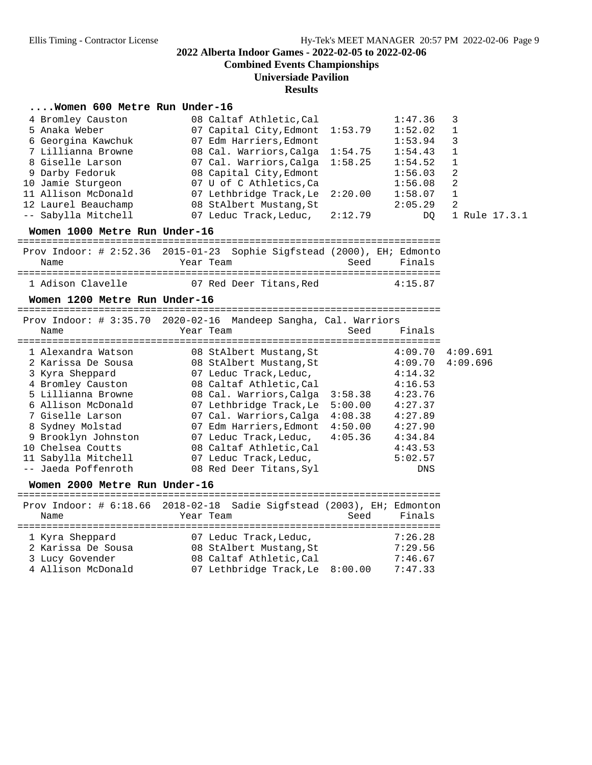**Combined Events Championships**

**Universiade Pavilion**

#### **Results**

#### **....Women 600 Metre Run Under-16**

| 4 Bromley Causton   | 08 Caltaf Athletic, Cal         | 1:47.36 |               |
|---------------------|---------------------------------|---------|---------------|
| 5 Anaka Weber       | 07 Capital City, Edmont 1:53.79 | 1:52.02 | $\mathbf{1}$  |
| 6 Georgina Kawchuk  | 07 Edm Harriers, Edmont         | 1:53.94 | 3             |
| 7 Lillianna Browne  | 08 Cal. Warriors, Calga 1:54.75 | 1:54.43 | -1            |
| 8 Giselle Larson    | 07 Cal. Warriors, Calga 1:58.25 | 1:54.52 | $\mathbf{1}$  |
| 9 Darby Fedoruk     | 08 Capital City, Edmont         | 1:56.03 | -2            |
| 10 Jamie Sturgeon   | 07 U of C Athletics, Ca         | 1:56.08 | -2            |
| 11 Allison McDonald | 07 Lethbridge Track, Le 2:20.00 | 1:58.07 |               |
| 12 Laurel Beauchamp | 08 StAlbert Mustang, St         | 2:05.29 | -2            |
| -- Sabylla Mitchell | 07 Leduc Track, Leduc, 2:12.79  | DO.     | 1 Rule 17.3.1 |
|                     |                                 |         |               |

**Women 1000 Metre Run Under-16** ========================================================================= Prov Indoor: # 2:52.36 2015-01-23 Sophie Sigfstead (2000), EH; Edmonto Name Year Team Seed Finals =========================================================================

| 1 Adison Clavelle | 07 Red Deer Titans, Red | 4:15.87 |
|-------------------|-------------------------|---------|
|-------------------|-------------------------|---------|

#### Women 1200 Metre Run Under-16

|                     | Prov Indoor: # 3:35.70 2020-02-16 Mandeep Sangha, Cal. Warriors |                     |  |
|---------------------|-----------------------------------------------------------------|---------------------|--|
| Name                | Year Team                                                       | Finals<br>Seed      |  |
| 1 Alexandra Watson  | 08 StAlbert Mustang, St                                         | 4:09.691<br>4:09.70 |  |
| 2 Karissa De Sousa  | 08 StAlbert Mustang, St                                         | 4:09.696<br>4:09.70 |  |
| 3 Kyra Sheppard     | 07 Leduc Track, Leduc,                                          | 4:14.32             |  |
| 4 Bromley Causton   | 08 Caltaf Athletic, Cal                                         | 4:16.53             |  |
| 5 Lillianna Browne  | 08 Cal. Warriors, Calga                                         | 4:23.76<br>3:58.38  |  |
| 6 Allison McDonald  | 07 Lethbridge Track, Le                                         | 4:27.37<br>5:00.00  |  |
| 7 Giselle Larson    | 07 Cal. Warriors, Calga                                         | 4:08.38<br>4:27.89  |  |
| 8 Sydney Molstad    | 07 Edm Harriers, Edmont                                         | 4:50.00<br>4:27.90  |  |
| 9 Brooklyn Johnston | 07 Leduc Track, Leduc, $4:05.36$                                | 4:34.84             |  |
| 10 Chelsea Coutts   | 08 Caltaf Athletic, Cal                                         | 4:43.53             |  |
| 11 Sabylla Mitchell | 07 Leduc Track, Leduc,                                          | 5:02.57             |  |
| -- Jaeda Poffenroth | 08 Red Deer Titans, Syl                                         | DNS                 |  |

**Women 2000 Metre Run Under-16** ========================================================================= Prov Indoor: # 6:18.66 2018-02-18 Sadie Sigfstead (2003), EH; Edmonton Name Tear Team Seed Finals ========================================================================= 1 Kyra Sheppard 07 Leduc Track,Leduc, 7:26.28 2 Karissa De Sousa 08 StAlbert Mustang,St 7:29.56 3 Lucy Govender 08 Caltaf Athletic,Cal 7:46.67 4 Allison McDonald 07 Lethbridge Track,Le 8:00.00 7:47.33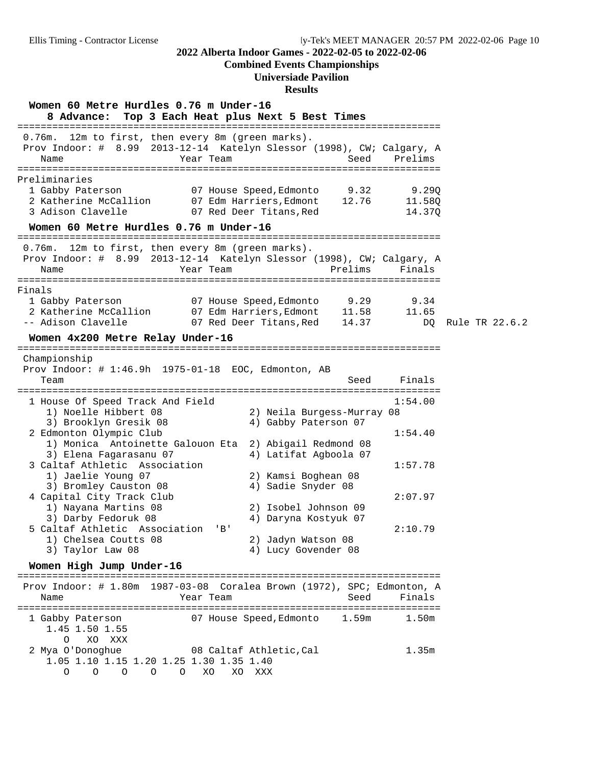#### **Combined Events Championships**

#### **Universiade Pavilion**

#### **Results**

**Women 60 Metre Hurdles 0.76 m Under-16 8 Advance: Top 3 Each Heat plus Next 5 Best Times** ========================================================================= 0.76m. 12m to first, then every 8m (green marks). Prov Indoor: # 8.99 2013-12-14 Katelyn Slessor (1998), CW; Calgary, A Name Seed Prelims Year Team Seed Prelims ========================================================================= Preliminaries 1 Gabby Paterson 07 House Speed,Edmonto 9.32 9.29Q 2 Katherine McCallion 07 Edm Harriers,Edmont 12.76 11.58Q 3 Adison Clavelle 07 Red Deer Titans,Red 14.37Q **Women 60 Metre Hurdles 0.76 m Under-16** ========================================================================= 0.76m. 12m to first, then every 8m (green marks). Prov Indoor: # 8.99 2013-12-14 Katelyn Slessor (1998), CW; Calgary, A Name Tear Team Prelims Finals ========================================================================= Finals 1 Gabby Paterson 07 House Speed,Edmonto 9.29 9.34 2 Katherine McCallion 07 Edm Harriers,Edmont 11.58 11.65 -- Adison Clavelle 07 Red Deer Titans,Red 14.37 DQ Rule TR 22.6.2 **Women 4x200 Metre Relay Under-16** ========================================================================= Championship Prov Indoor: # 1:46.9h 1975-01-18 EOC, Edmonton, AB Team Seed Finals ========================================================================= 1 House Of Speed Track And Field 1:54.00 1) Noelle Hibbert 08 2) Neila Burgess-Murray 08 3) Brooklyn Gresik 08 4) Gabby Paterson 07 2 Edmonton Olympic Club 1:54.40 1) Monica Antoinette Galouon Eta 2) Abigail Redmond 08 3) Elena Fagarasanu 07 4) Latifat Agboola 07 3 Caltaf Athletic Association 1:57.78 1) Jaelie Young 07 2) Kamsi Boghean 08 3) Bromley Causton 08 4) Sadie Snyder 08 4 Capital City Track Club<br>1) Nayana Martins 08 2) Isobel Johnson 09 1) Nayana Martins 08 2) Isobel Johnson 09 3) Darby Fedoruk 08 4) Daryna Kostyuk 07 5 Caltaf Athletic Association 'B' 2:10.79 1) Chelsea Coutts 08 3) Taylor Law 08 4) Lucy Govender 08 **Women High Jump Under-16** ========================================================================= Prov Indoor: # 1.80m 1987-03-08 Coralea Brown (1972), SPC; Edmonton, A Name Tear Team Seed Finals ========================================================================= 1 Gabby Paterson 07 House Speed,Edmonto 1.59m 1.50m 1.45 1.50 1.55 O XO XXX 2 Mya O'Donoghue 08 Caltaf Athletic,Cal 1.35m

 1.05 1.10 1.15 1.20 1.25 1.30 1.35 1.40 O O O O O XO XO XXX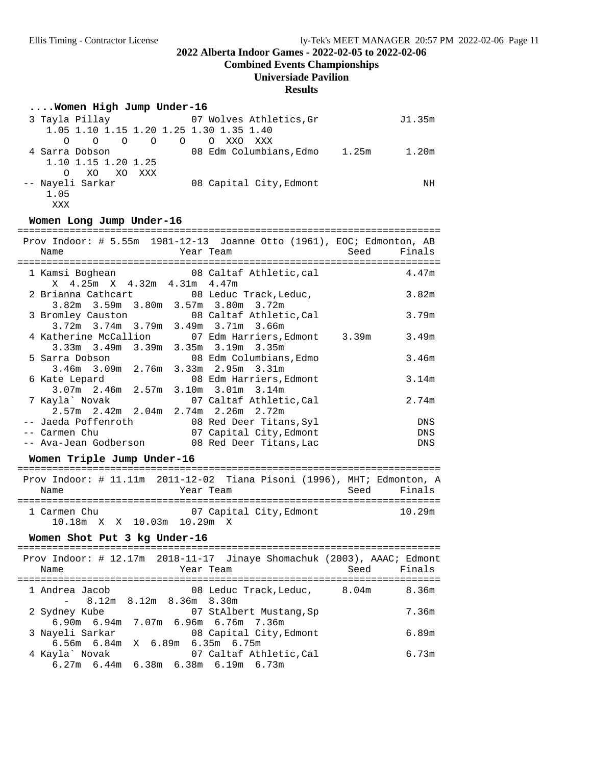**Combined Events Championships**

## **Universiade Pavilion**

#### **Results**

## **....Women High Jump Under-16**

| 3 Tayla Pillay        |                    | 07 Wolves Athletics, Gr                 | J1.35m |
|-----------------------|--------------------|-----------------------------------------|--------|
|                       |                    | 1.05 1.10 1.15 1.20 1.25 1.30 1.35 1.40 |        |
| $\Omega$<br>$\circ$ O | $\circ$<br>$\circ$ | XXO<br>$\Omega$<br>xxx                  |        |
| 4 Sarra Dobson        |                    | 08 Edm Columbians. Edmo<br>1.25m        | 1.20m  |
| 1.10 1.15 1.20 1.25   |                    |                                         |        |
| XO XO<br>∩            | XXX                |                                         |        |
| -- Nayeli Sarkar      |                    | 08 Capital City, Edmont                 | ΝH     |
| 1.05                  |                    |                                         |        |
| XXX                   |                    |                                         |        |

## Women Long Jump Under-16

| Name<br>==============================                                                |  | <b>Example 21 Year Team</b> |                                                 |  | Prov Indoor: $\#$ 5.55m 1981-12-13 Joanne Otto (1961), EOC; Edmonton, AB<br>Seed<br>Finals |
|---------------------------------------------------------------------------------------|--|-----------------------------|-------------------------------------------------|--|--------------------------------------------------------------------------------------------|
| 1 Kamsi Boghean 68 Caltaf Athletic, cal<br>X 4.25m X 4.32m 4.31m 4.47m                |  |                             |                                                 |  | 4.47m                                                                                      |
| 2 Brianna Cathcart 08 Leduc Track, Leduc,                                             |  |                             | 3.82m 3.59m 3.80m 3.57m 3.80m 3.72m             |  | 3.82m                                                                                      |
| 3 Bromley Causton 08 Caltaf Athletic, Cal                                             |  |                             | 3.72m 3.74m 3.79m 3.49m 3.71m 3.66m             |  | 3.79m                                                                                      |
|                                                                                       |  |                             | 3.33m 3.49m 3.39m 3.35m 3.19m 3.35m             |  | 4 Katherine McCallion 07 Edm Harriers, Edmont 3.39m 3.49m                                  |
| 5 Sarra Dobson 68 Edm Columbians, Edmo                                                |  |                             | 3.46m 3.09m 2.76m 3.33m 2.95m 3.31m             |  | 3.46m                                                                                      |
| 6 Kate Lepard 6 28 Edm Harriers, Edmont                                               |  |                             | 3.07m 2.46m 2.57m 3.10m 3.01m 3.14m             |  | 3.14m                                                                                      |
| 7 Kayla` Novak 67 Caltaf Athletic, Cal                                                |  |                             | $2.57m$ $2.42m$ $2.04m$ $2.74m$ $2.26m$ $2.72m$ |  | 2.74m                                                                                      |
| -- Jaeda Poffenroth 68 Red Deer Titans, Syl<br>-- Carmen Chu (07 Capital City, Edmont |  |                             |                                                 |  | <b>DNS</b><br>DNS                                                                          |
| -- Ava-Jean Godberson 68 Red Deer Titans, Lac<br>Women Triple Jump Under-16           |  |                             |                                                 |  | DNS                                                                                        |
|                                                                                       |  |                             |                                                 |  | Prov Indoor: # 11.11m 2011-12-02 Tiana Pisoni (1996), MHT; Edmonton, A                     |

| Name         | Year Team                  | Seed | Finals |
|--------------|----------------------------|------|--------|
|              |                            |      |        |
| 1 Carmen Chu | 07 Capital City, Edmont    |      | 10.29m |
|              | 10.18m X X 10.03m 10.29m X |      |        |

## Women Shot Put 3 kg Under-16

| Name            |                                 | Prov Indoor: $\#$ 12.17m 2018-11-17 Jinaye Shomachuk (2003), AAAC; Edmont<br>Year Team | Seed Finals |       |
|-----------------|---------------------------------|----------------------------------------------------------------------------------------|-------------|-------|
| 1 Andrea Jacob  |                                 | 08  Leduc  Track,Leduc,           8.04m           8.36m                                |             |       |
| 2 Sydney Kube   | $-$ 8.12m 8.12m 8.36m 8.30m     | 07 StAlbert Mustang,Sp                                                                 |             | 7.36m |
|                 |                                 | 6.90m 6.94m 7.07m 6.96m 6.76m 7.36m                                                    |             |       |
| 3 Nayeli Sarkar |                                 | 08 Capital City, Edmont                                                                |             | 6.89m |
| 4 Kayla` Novak  | 6.56m 6.84m X 6.89m 6.35m 6.75m | 07 Caltaf Athletic,Cal                                                                 |             | 6.73m |
|                 |                                 | $6.27m$ $6.44m$ $6.38m$ $6.38m$ $6.19m$ $6.73m$                                        |             |       |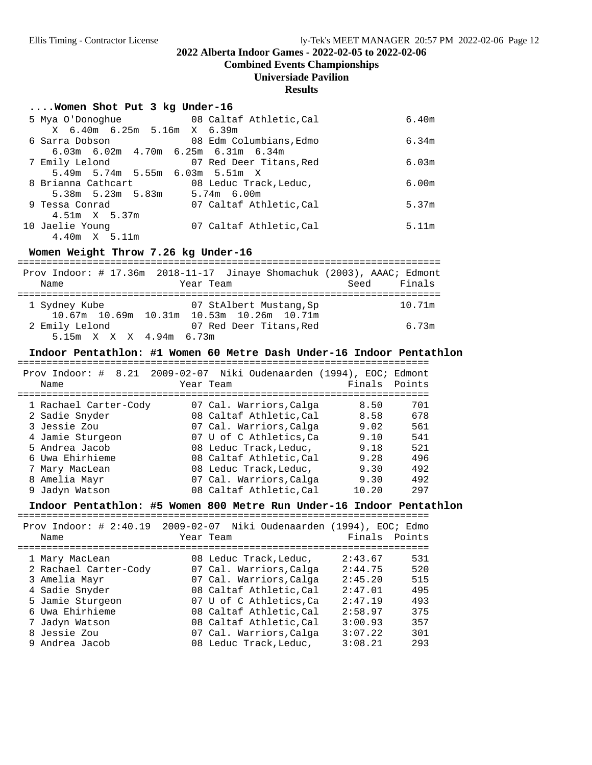**Combined Events Championships**

## **Universiade Pavilion**

#### **Results**

#### **....Women Shot Put 3 kg Under-16**

| 5 Mya O'Donoghue                                | 08 Caltaf Athletic, Cal | 6.40m |
|-------------------------------------------------|-------------------------|-------|
| X 6.40m 6.25m 5.16m X 6.39m                     |                         |       |
| 6 Sarra Dobson                                  | 08 Edm Columbians, Edmo | 6.34m |
| $6.03m$ $6.02m$ $4.70m$ $6.25m$ $6.31m$ $6.34m$ |                         |       |
| 7 Emily Lelond                                  | 07 Red Deer Titans, Red | 6.03m |
| 5.49m 5.74m 5.55m 6.03m 5.51m X                 |                         |       |
| 8 Brianna Cathcart                              | 08 Leduc Track, Leduc,  | 6.00m |
| 5.38m 5.23m 5.83m                               | 5.74m 6.00m             |       |
| 9 Tessa Conrad                                  | 07 Caltaf Athletic, Cal | 5.37m |
| 4.51m X 5.37m                                   |                         |       |
| 10 Jaelie Young                                 | 07 Caltaf Athletic, Cal | 5.11m |
| $4.40m \times 5.11m$                            |                         |       |

#### Women Weight Throw 7.26 kg Under-16

| Prov Indoor: $\#$ 17.36m 2018-11-17 Jinaye Shomachuk (2003), AAAC; Edmont |  |           |                                           |             |        |
|---------------------------------------------------------------------------|--|-----------|-------------------------------------------|-------------|--------|
| Name                                                                      |  | Year Team |                                           | Seed Finals |        |
|                                                                           |  |           |                                           |             |        |
| 1 Sydney Kube                                                             |  |           | 07 StAlbert Mustang, Sp                   |             | 10.71m |
|                                                                           |  |           | 10.67m 10.69m 10.31m 10.53m 10.26m 10.71m |             |        |
| 2 Emily Lelond                                                            |  |           | 07 Red Deer Titans,Red                    |             | 6.73m  |
| 5.15m X X X 4.94m 6.73m                                                   |  |           |                                           |             |        |

#### Indoor Pentathlon: #1 Women 60 Metre Dash Under-16 Indoor Pentathlon

| Prov Indoor: # 8.21 2009-02-07 Niki Oudenaarden (1994), EOC; Edmont<br>Name | Year Team |                         | Finals Points |     |
|-----------------------------------------------------------------------------|-----------|-------------------------|---------------|-----|
| 1 Rachael Carter-Cody                                                       |           | 07 Cal. Warriors, Calga | 8.50          | 701 |
| 2 Sadie Snyder                                                              |           | 08 Caltaf Athletic, Cal | 8.58          | 678 |
| 3 Jessie Zou                                                                |           | 07 Cal. Warriors, Calga | 9.02          | 561 |
| 4 Jamie Sturgeon                                                            |           | 07 U of C Athletics, Ca | 9.10          | 541 |
| 5 Andrea Jacob                                                              |           | 08 Leduc Track, Leduc,  | 9.18          | 521 |
| 6 Uwa Ehirhieme                                                             |           | 08 Caltaf Athletic, Cal | 9.28          | 496 |
| 7 Mary MacLean                                                              |           | 08 Leduc Track, Leduc,  | 9.30          | 492 |
| 8 Amelia Mayr                                                               |           | 07 Cal. Warriors, Calga | 9.30          | 492 |
| 9 Jadyn Watson                                                              |           | 08 Caltaf Athletic, Cal | 10.20         | 297 |

# **Indoor Pentathlon: #5 Women 800 Metre Run Under-16 Indoor Pentathlon** =======================================================================

| Name                  | Prov Indoor: # 2:40.19 2009-02-07 Niki Oudenaarden (1994), EOC; Edmo<br>Year Team | Finals Points  |
|-----------------------|-----------------------------------------------------------------------------------|----------------|
| 1 Mary MacLean        | 08 Leduc Track, Leduc,                                                            | 2:43.67<br>531 |
| 2 Rachael Carter-Cody | 07 Cal. Warriors, Calga                                                           | 2:44.75<br>520 |
| 3 Amelia Mayr         | 07 Cal. Warriors, Calga                                                           | 2:45.20<br>515 |
| 4 Sadie Snyder        | 08 Caltaf Athletic, Cal                                                           | 495<br>2:47.01 |
| 5 Jamie Sturgeon      | 07 U of C Athletics, Ca                                                           | 493<br>2:47.19 |
| 6 Uwa Ehirhieme       | 08 Caltaf Athletic, Cal                                                           | 2:58.97<br>375 |
| 7 Jadyn Watson        | 08 Caltaf Athletic, Cal                                                           | 357<br>3:00.93 |
| 8 Jessie Zou          | 07 Cal. Warriors, Calqa                                                           | 3:07.22<br>301 |
| 9 Andrea Jacob        | 08 Leduc Track, Leduc,                                                            | 293<br>3:08.21 |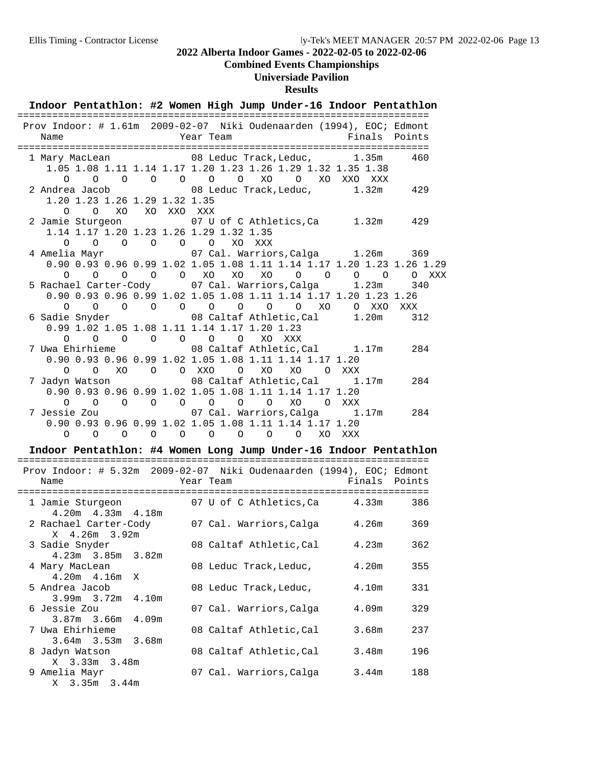## **Combined Events Championships**

## **Universiade Pavilion**

## **Results**

|                           | Indoor Pentathlon: #2 Women High Jump Under-16 Indoor Pentathlon                                                                                                          |                                                                                 |                                              |    |                                 |                                                                                  |                                     |        |           |
|---------------------------|---------------------------------------------------------------------------------------------------------------------------------------------------------------------------|---------------------------------------------------------------------------------|----------------------------------------------|----|---------------------------------|----------------------------------------------------------------------------------|-------------------------------------|--------|-----------|
| Name                      | Prov Indoor: # 1.61m 2009-02-07 Niki Oudenaarden (1994), EOC; Edmont                                                                                                      | Year Team                                                                       |                                              |    |                                 |                                                                                  |                                     | Finals | Points    |
| $\Omega$                  | 1 Mary MacLean<br>1.05 1.08 1.11 1.14 1.17 1.20 1.23 1.26 1.29 1.32 1.35 1.38<br>$\Omega$                                                                                 | 08 Leduc Track, Leduc, 1.35m<br>$\begin{matrix} 0 & 0 & 0 & 0 & 0 \end{matrix}$ |                                              |    |                                 | XO O XO XXO XXX                                                                  |                                     |        | 460       |
| $\Omega$                  | 2 Andrea Jacob<br>1.20 1.23 1.26 1.29 1.32 1.35<br>$\Omega$                                                                                                               | 08 Leduc Track, Leduc, 1.32m 429<br>XO XO XXO XXX                               |                                              |    |                                 |                                                                                  |                                     |        |           |
| $\Omega$                  | 2 Jamie Sturgeon<br>1.14 1.17 1.20 1.23 1.26 1.29 1.32 1.35<br>$\Omega$ $\Omega$                                                                                          | 07 U of C Athletics, Ca<br>$\begin{matrix} 0 & 0 & 0 \end{matrix}$              |                                              |    | XO XXX                          |                                                                                  |                                     |        | 1.32m 429 |
| 4 Amelia Mayr<br>$\Omega$ | 0.90 0.93 0.96 0.99 1.02 1.05 1.08 1.11 1.14 1.17 1.20 1.23 1.26 1.29<br>$\Omega$                                                                                         | $0$ 0 0 $X0$                                                                    |                                              | XO | XO                              | 07 Cal. Warriors, Calga 1.26m 369<br>$\circ$ $\circ$                             | $\begin{matrix} 0 & 0 \end{matrix}$ |        | O XXX     |
| $\Omega$                  | 5 Rachael Carter-Cody 07 Cal. Warriors, Calga 1.23m<br>0.90 0.93 0.96 0.99 1.02 1.05 1.08 1.11 1.14 1.17 1.20 1.23 1.26<br>$\begin{matrix} 0 & 0 \end{matrix}$<br>$\circ$ |                                                                                 |                                              |    |                                 | $\begin{matrix} 0 & 0 & 0 & 0 & 0 & 0 \end{matrix}$                              | O XXO XXX                           |        | 340       |
| $\Omega$                  | 6 Sadie Snyder 6 08 Caltaf Athletic, Cal 1.20m<br>0.99 1.02 1.05 1.08 1.11 1.14 1.17 1.20 1.23<br>$\overline{O}$<br>$\Omega$                                              | $\begin{array}{ccccccccc}\n0 & 0 & 0 & \n\end{array}$                           |                                              |    | $\circ$                         | XQ XXX                                                                           |                                     |        | 312       |
| $\Omega$                  | 7 Uwa Ehirhieme<br>0.90 0.93 0.96 0.99 1.02 1.05 1.08 1.11 1.14 1.17 1.20<br>XO<br>$\Omega$                                                                               | 08 Caltaf Athletic, Cal 1.17m 284<br>O O XXO                                    |                                              |    |                                 | O XO XO                                                                          | O XXX                               |        |           |
| $\Omega$                  | 7 Jadyn Watson<br>0.90 0.93 0.96 0.99 1.02 1.05 1.08 1.11 1.14 1.17 1.20<br>$\circ$<br>$\Omega$                                                                           | $\overline{O}$                                                                  | $\begin{matrix} 0 & 0 \\ 0 & 0 \end{matrix}$ |    | $\begin{matrix}0&0\end{matrix}$ | 08 Caltaf Athletic, Cal 1.17m<br>XO                                              | O XXX                               |        | 284       |
| 7 Jessie Zou<br>$\Omega$  | 0.90 0.93 0.96 0.99 1.02 1.05 1.08 1.11 1.14 1.17 1.20<br>$\Omega$<br>$\Omega$                                                                                            | $\overline{O}$                                                                  |                                              |    |                                 | 07 Cal. Warriors, Calga 1.17m<br>$\begin{matrix} 0 & 0 & 0 & 0 & 0 \end{matrix}$ | XO XXX                              |        | 284       |
|                           | Indoor Pentathlon: #4 Women Long Jump Under-16 Indoor Pentathlon                                                                                                          |                                                                                 |                                              |    |                                 |                                                                                  |                                     |        |           |
| Name                      | Prov Indoor: # 5.32m 2009-02-07 Niki Oudenaarden (1994), EOC; Edmont                                                                                                      |                                                                                 | Year Team                                    |    |                                 |                                                                                  |                                     | Finals | Points    |
|                           | 1 Jamie Sturgeon 107 U of C Athletics, Ca 4.33m                                                                                                                           |                                                                                 |                                              |    |                                 |                                                                                  |                                     |        | 386       |
|                           | $4.20m$ $4.33m$ $4.18m$<br>2 Rachael Carter-Cody 07 Cal. Warriors, Calga 4.26m                                                                                            |                                                                                 |                                              |    |                                 |                                                                                  |                                     |        | 369       |
|                           | X 4.26m 3.92m<br>3 Sadie Snyder<br>$4.23m$ $3.85m$                                                                                                                        | 3.82m                                                                           |                                              |    |                                 | 08 Caltaf Athletic, Cal                                                          |                                     | 4.23m  | 362       |
|                           | 4 Mary MacLean<br>4.20m 4.16m<br>Χ                                                                                                                                        |                                                                                 |                                              |    |                                 | 08 Leduc Track, Leduc,                                                           |                                     | 4.20m  | 355       |
|                           | 5 Andrea Jacob<br>3.99m 3.72m                                                                                                                                             | 4.10m                                                                           |                                              |    |                                 | 08 Leduc Track, Leduc,                                                           |                                     | 4.10m  | 331       |
| 6 Jessie Zou              | 3.87m<br>3.66m                                                                                                                                                            | 4.09m                                                                           |                                              |    |                                 | 07 Cal. Warriors, Calga                                                          |                                     | 4.09m  | 329       |
|                           | 7 Uwa Ehirhieme<br>$3.64m$ $3.53m$                                                                                                                                        | 3.68m                                                                           |                                              |    |                                 | 08 Caltaf Athletic, Cal                                                          |                                     | 3.68m  | 237       |
|                           | 8 Jadyn Watson<br>X 3.33m 3.48m                                                                                                                                           |                                                                                 |                                              |    |                                 | 08 Caltaf Athletic, Cal                                                          |                                     | 3.48m  | 196       |
| 9 Amelia Mayr             | X 3.35m 3.44m                                                                                                                                                             |                                                                                 |                                              |    |                                 | 07 Cal. Warriors, Calga                                                          |                                     | 3.44m  | 188       |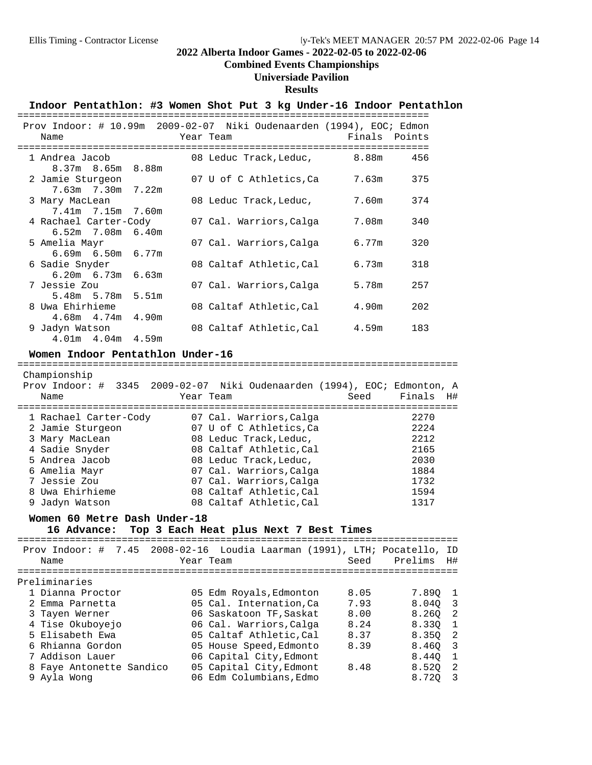## **Combined Events Championships**

## **Universiade Pavilion**

#### **Results**

#### Indoor Pentathlon: #3 Women Shot Put 3 kg Under-16 Indoor Pentathlon

|                         |  | Prov Indoor: # 10.99m 2009-02-07 Niki Oudenaarden (1994), EOC; Edmon |  |           |                              |  |       |               |     |
|-------------------------|--|----------------------------------------------------------------------|--|-----------|------------------------------|--|-------|---------------|-----|
| Name                    |  |                                                                      |  | Year Team |                              |  |       | Finals Points |     |
|                         |  | ============================                                         |  |           |                              |  |       |               |     |
| 1 Andrea Jacob          |  |                                                                      |  |           | 08 Leduc Track, Leduc, 8.88m |  |       |               | 456 |
| $8.37m$ $8.65m$ $8.88m$ |  |                                                                      |  |           |                              |  |       |               |     |
| 2 Jamie Sturgeon        |  |                                                                      |  |           | 07 U of C Athletics,Ca       |  | 7.63m |               | 375 |
| 7.63m 7.30m 7.22m       |  |                                                                      |  |           |                              |  |       |               |     |
| 3 Mary MacLean          |  |                                                                      |  |           | 08 Leduc Track, Leduc,       |  | 7.60m |               | 374 |
| 7.41m 7.15m 7.60m       |  |                                                                      |  |           |                              |  |       |               |     |
| 4 Rachael Carter-Cody   |  |                                                                      |  |           | 07 Cal. Warriors, Calga      |  | 7.08m |               | 340 |
| $6.52m$ 7.08m $6.40m$   |  |                                                                      |  |           |                              |  |       |               |     |
| 5 Amelia Mayr           |  |                                                                      |  |           | 07 Cal. Warriors, Calga      |  | 6.77m |               | 320 |
| $6.69m$ $6.50m$ $6.77m$ |  |                                                                      |  |           |                              |  |       |               |     |
| 6 Sadie Snyder          |  |                                                                      |  |           | 08 Caltaf Athletic, Cal      |  | 6.73m |               | 318 |
| $6.20m$ $6.73m$ $6.63m$ |  |                                                                      |  |           |                              |  |       |               |     |
| 7 Jessie Zou            |  |                                                                      |  |           | 07 Cal. Warriors, Calga      |  | 5.78m |               | 257 |
| 5.48m 5.78m 5.51m       |  |                                                                      |  |           |                              |  |       |               |     |
| 8 Uwa Ehirhieme         |  |                                                                      |  |           | 08 Caltaf Athletic, Cal      |  | 4.90m |               | 202 |
| 4.68m 4.74m 4.90m       |  |                                                                      |  |           |                              |  |       |               |     |
| 9 Jadyn Watson          |  |                                                                      |  |           | 08 Caltaf Athletic, Cal      |  | 4.59m |               | 183 |
| $4.01m$ $4.04m$ $4.59m$ |  |                                                                      |  |           |                              |  |       |               |     |

Championship

# **Women Indoor Pentathlon Under-16** ============================================================================

| Name                  | Prov Indoor: # 3345 2009-02-07 Niki Oudenaarden (1994), EOC; Edmonton, A<br>Year Team | Finals<br>H#<br>Seed |
|-----------------------|---------------------------------------------------------------------------------------|----------------------|
| 1 Rachael Carter-Cody | 07 Cal. Warriors, Calga                                                               | 2270                 |
| 2 Jamie Sturgeon      | 07 U of C Athletics, Ca                                                               | 2224                 |
| 3 Mary MacLean        | 08 Leduc Track, Leduc,                                                                | 2212                 |
| 4 Sadie Snyder        | 08 Caltaf Athletic, Cal                                                               | 2165                 |
| 5 Andrea Jacob        | 08 Leduc Track, Leduc,                                                                | 2030                 |
| 6 Amelia Mayr         | 07 Cal. Warriors, Calga                                                               | 1884                 |
| 7 Jessie Zou          | 07 Cal. Warriors, Calga                                                               | 1732                 |
| 8 Uwa Ehirhieme       | 08 Caltaf Athletic, Cal                                                               | 1594                 |
| 9 Jadyn Watson        | 08 Caltaf Athletic, Cal                                                               | 1317                 |

#### **Women 60 Metre Dash Under-18**

## 16 Advance: Top 3 Each Heat plus Next 7 Best Times

|                          | Prov Indoor: # 7.45 2008-02-16 Loudia Laarman (1991), LTH; Pocatello, ID |      |         |                            |
|--------------------------|--------------------------------------------------------------------------|------|---------|----------------------------|
| Name                     | Year Team                                                                | Seed | Prelims | H#                         |
| Preliminaries            |                                                                          |      |         |                            |
| 1 Dianna Proctor         | 05 Edm Royals, Edmonton                                                  | 8.05 | 7.89Q 1 |                            |
| 2 Emma Parnetta          | 05 Cal. Internation, Ca                                                  | 7.93 | 8.040 3 |                            |
| 3 Tayen Werner           | 06 Saskatoon TF, Saskat                                                  | 8.00 | 8.260   | $\overline{\phantom{0}}^2$ |
| 4 Tise Okuboyejo         | 06 Cal. Warriors, Calga                                                  | 8.24 | 8.330   | $\overline{1}$             |
| 5 Elisabeth Ewa          | 05 Caltaf Athletic, Cal                                                  | 8.37 | 8.350 2 |                            |
| 6 Rhianna Gordon         | 05 House Speed, Edmonto                                                  | 8.39 | 8.460 3 |                            |
| 7 Addison Lauer          | 06 Capital City, Edmont                                                  |      | 8.440   | $\overline{1}$             |
| 8 Faye Antonette Sandico | 05 Capital City, Edmont                                                  | 8.48 | 8.520   | $\overline{\phantom{0}}^2$ |
| 9 Avla Wong              | 06 Edm Columbians, Edmo                                                  |      | 8.720   | - 3                        |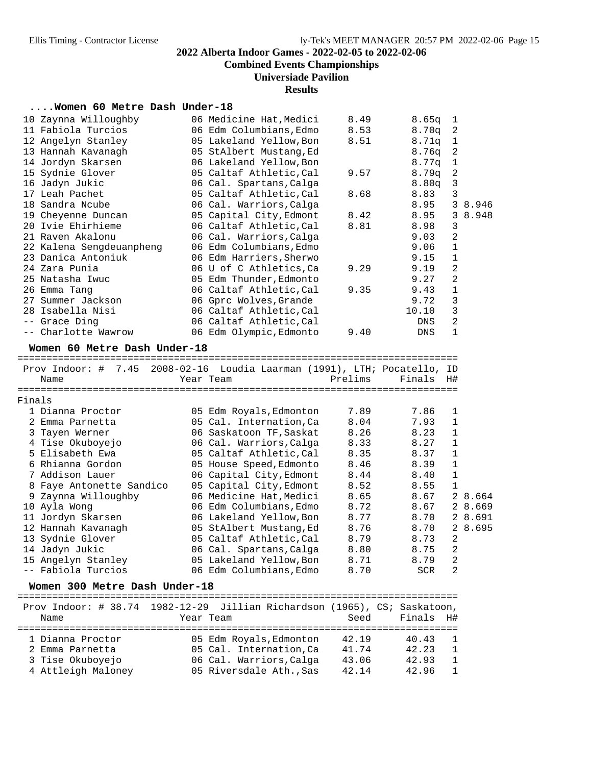**Combined Events Championships**

**Universiade Pavilion**

## **Results**

## **....Women 60 Metre Dash Under-18**

|        | 10 Zaynna Willoughby                                                     | 06 Medicine Hat, Medici                              | 8.49    | 8.65q  | 1              |         |
|--------|--------------------------------------------------------------------------|------------------------------------------------------|---------|--------|----------------|---------|
|        | 11 Fabiola Turcios                                                       | 06 Edm Columbians, Edmo                              | 8.53    | 8.70q  | 2              |         |
|        | 12 Angelyn Stanley                                                       | 05 Lakeland Yellow, Bon                              | 8.51    | 8.71q  | 1              |         |
|        | 13 Hannah Kavanagh                                                       | 05 StAlbert Mustang, Ed                              |         | 8.76q  | 2              |         |
|        | 14 Jordyn Skarsen                                                        | 06 Lakeland Yellow, Bon                              |         | 8.77q  | 1              |         |
|        | 15 Sydnie Glover                                                         | 05 Caltaf Athletic, Cal                              | 9.57    | 8.79q  | $\sqrt{2}$     |         |
|        | 16 Jadyn Jukic                                                           | 06 Cal. Spartans, Calga                              |         | 8.80q  | 3              |         |
|        | 17 Leah Pachet                                                           | 05 Caltaf Athletic, Cal                              | 8.68    | 8.83   | 3              |         |
|        | 18 Sandra Ncube                                                          | 06 Cal. Warriors, Calga                              |         | 8.95   |                | 3 8.946 |
|        | 19 Cheyenne Duncan                                                       | 05 Capital City, Edmont                              | 8.42    | 8.95   | 3              | 8.948   |
|        | 20 Ivie Ehirhieme                                                        | 06 Caltaf Athletic, Cal                              | 8.81    | 8.98   | $\mathsf 3$    |         |
|        | 21 Raven Akalonu                                                         | 06 Cal. Warriors, Calga                              |         | 9.03   | $\sqrt{2}$     |         |
|        | 22 Kalena Sengdeuanpheng                                                 | 06 Edm Columbians, Edmo                              |         | 9.06   | $\mathbf 1$    |         |
|        | 23 Danica Antoniuk                                                       | 06 Edm Harriers, Sherwo                              |         | 9.15   | 1              |         |
|        | 24 Zara Punia                                                            | 06 U of C Athletics, Ca                              | 9.29    | 9.19   | $\sqrt{2}$     |         |
|        | 25 Natasha Iwuc                                                          | 05 Edm Thunder, Edmonto                              |         | 9.27   | 2              |         |
|        | 26 Emma Tang                                                             | 06 Caltaf Athletic, Cal                              | 9.35    | 9.43   | $\mathbf 1$    |         |
|        | 27 Summer Jackson                                                        | 06 Gprc Wolves, Grande                               |         | 9.72   | $\mathsf 3$    |         |
|        | 28 Isabella Nisi                                                         | 06 Caltaf Athletic, Cal                              |         | 10.10  | 3              |         |
|        | -- Grace Ding                                                            | 06 Caltaf Athletic, Cal                              |         | DNS    | 2              |         |
|        | -- Charlotte Wawrow                                                      | 06 Edm Olympic, Edmonto                              | 9.40    | DNS    | 1              |         |
|        |                                                                          |                                                      |         |        |                |         |
|        | Women 60 Metre Dash Under-18                                             |                                                      |         |        |                |         |
|        |                                                                          |                                                      |         |        |                |         |
|        | Prov Indoor: # 7.45 2008-02-16 Loudia Laarman (1991), LTH; Pocatello, ID |                                                      |         |        |                |         |
|        | Name                                                                     | Year Team                                            | Prelims | Finals | H#             |         |
|        |                                                                          |                                                      |         |        |                |         |
| Finals | 1 Dianna Proctor                                                         |                                                      |         |        |                |         |
|        |                                                                          | 05 Edm Royals, Edmonton                              | 7.89    | 7.86   | 1              |         |
|        | 2 Emma Parnetta                                                          | 05 Cal. Internation, Ca                              | 8.04    | 7.93   | 1              |         |
|        | 3 Tayen Werner                                                           | 06 Saskatoon TF, Saskat                              | 8.26    | 8.23   | 1              |         |
|        | 4 Tise Okuboyejo                                                         | 06 Cal. Warriors, Calga                              | 8.33    | 8.27   | 1              |         |
|        | 5 Elisabeth Ewa                                                          | 05 Caltaf Athletic, Cal                              | 8.35    | 8.37   | $\mathbf{1}$   |         |
|        | 6 Rhianna Gordon                                                         | 05 House Speed, Edmonto                              | 8.46    | 8.39   | $\mathbf{1}$   |         |
|        | 7 Addison Lauer                                                          | 06 Capital City, Edmont                              | 8.44    | 8.40   | $\mathbf{1}$   |         |
|        | 8 Faye Antonette Sandico                                                 | 05 Capital City, Edmont                              | 8.52    | 8.55   | $\mathbf{1}$   |         |
|        | 9 Zaynna Willoughby                                                      | 06 Medicine Hat, Medici                              | 8.65    | 8.67   |                | 2 8.664 |
|        | 10 Ayla Wong                                                             | 06 Edm Columbians, Edmo                              | 8.72    | 8.67   |                | 2 8.669 |
|        | 11 Jordyn Skarsen                                                        | 06 Lakeland Yellow, Bon                              | 8.77    | 8.70   |                | 2 8.691 |
|        | 12 Hannah Kavanagh                                                       | 05 StAlbert Mustang, Ed                              | 8.76    | 8.70   |                | 2 8.695 |
|        | 13 Sydnie Glover                                                         | 05 Caltaf Athletic, Cal                              | 8.79    | 8.73   | 2              |         |
|        | 14 Jadyn Jukic                                                           | 06 Cal. Spartans, Calga                              | 8.80    | 8.75   | $\overline{a}$ |         |
|        | 15 Angelyn Stanley                                                       | 05 Lakeland Yellow, Bon                              | 8.71    | 8.79   | 2              |         |
|        | -- Fabiola Turcios                                                       | 06 Edm Columbians, Edmo                              | 8.70    | SCR    | 2              |         |
|        | Women 300 Metre Dash Under-18                                            |                                                      |         |        |                |         |
|        |                                                                          |                                                      |         |        |                |         |
|        | Prov Indoor: # 38.74                                                     | 1982-12-29 Jillian Richardson (1965), CS; Saskatoon, |         |        |                |         |
|        | Name                                                                     | Year Team                                            | Seed    | Finals | H#             |         |
|        |                                                                          |                                                      |         |        |                |         |
|        | 1 Dianna Proctor                                                         | 05 Edm Royals, Edmonton                              | 42.19   | 40.43  | 1              |         |
|        | 2 Emma Parnetta                                                          | 05 Cal. Internation, Ca                              | 41.74   | 42.23  | 1              |         |
|        | 3 Tise Okuboyejo                                                         | 06 Cal. Warriors, Calga                              | 43.06   | 42.93  | 1              |         |
|        | 4 Attleigh Maloney                                                       | 05 Riversdale Ath., Sas                              | 42.14   | 42.96  | 1              |         |
|        |                                                                          |                                                      |         |        |                |         |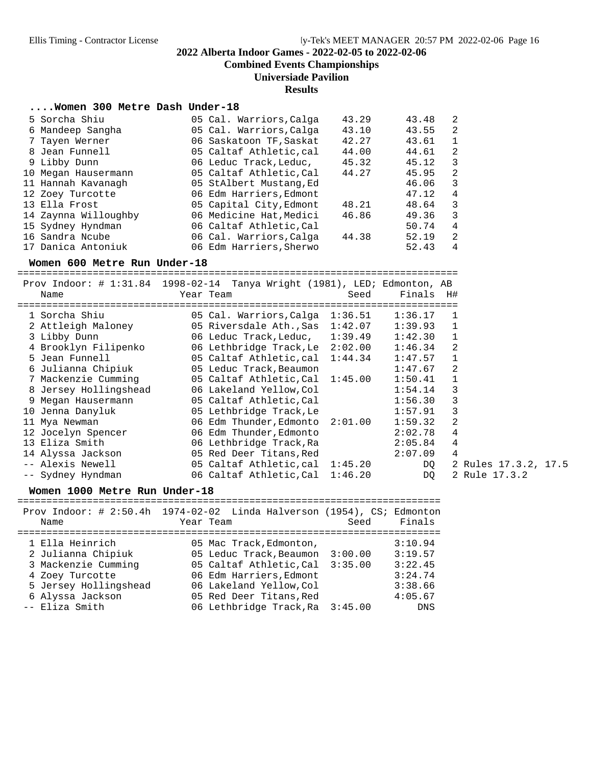**Combined Events Championships**

#### **Universiade Pavilion**

**Results**

#### **....Women 300 Metre Dash Under-18**

| 5 Sorcha Shiu        | 05 Cal. Warriors, Calga | 43.29 | 43.48 | $\overline{2}$ |
|----------------------|-------------------------|-------|-------|----------------|
| 6 Mandeep Sangha     | 05 Cal. Warriors, Calga | 43.10 | 43.55 | 2              |
| 7 Tayen Werner       | 06 Saskatoon TF, Saskat | 42.27 | 43.61 | $\mathbf{1}$   |
| 8 Jean Funnell       | 05 Caltaf Athletic, cal | 44.00 | 44.61 | 2              |
| 9 Libby Dunn         | 06 Leduc Track, Leduc,  | 45.32 | 45.12 | 3              |
| 10 Megan Hausermann  | 05 Caltaf Athletic, Cal | 44.27 | 45.95 | 2              |
| 11 Hannah Kavanagh   | 05 StAlbert Mustang, Ed |       | 46.06 | 3              |
| 12 Zoey Turcotte     | 06 Edm Harriers, Edmont |       | 47.12 | $\overline{4}$ |
| 13 Ella Frost        | 05 Capital City, Edmont | 48.21 | 48.64 | 3              |
| 14 Zaynna Willoughby | 06 Medicine Hat, Medici | 46.86 | 49.36 | 3              |
| 15 Sydney Hyndman    | 06 Caltaf Athletic, Cal |       | 50.74 | 4              |
| 16 Sandra Ncube      | 06 Cal. Warriors, Calga | 44.38 | 52.19 | 2              |
| 17 Danica Antoniuk   | 06 Edm Harriers, Sherwo |       | 52.43 | 4              |

**Women 600 Metre Run Under-18** ============================================================================ Prov Indoor: # 1:31.84 1998-02-14 Tanya Wright (1981), LED; Edmonton, AB

| Prov Indoor: # 1:31.84 1998-02-14 Tanya Wright (1981), LED; Edmonton, AB |           |                                   |      |           |                      |
|--------------------------------------------------------------------------|-----------|-----------------------------------|------|-----------|----------------------|
| Name                                                                     | Year Team |                                   | Seed | Finals H# |                      |
| ================                                                         |           |                                   |      |           |                      |
| 1 Sorcha Shiu                                                            |           | 05 Cal. Warriors, Calga 1:36.51   |      | 1:36.17   |                      |
| 2 Attleigh Maloney                                                       |           | 05 Riversdale Ath., Sas 1:42.07   |      | 1:39.93   |                      |
| 3 Libby Dunn                                                             |           | 06 Leduc Track, Leduc, 1:39.49    |      | 1:42.30   |                      |
| 4 Brooklyn Filipenko                                                     |           | 06 Lethbridge Track, Le $2:02.00$ |      | 1:46.34   | $\mathfrak{D}$       |
| 5 Jean Funnell                                                           |           | 05 Caltaf Athletic, cal $1:44.34$ |      | 1:47.57   |                      |
| 6 Julianna Chipiuk                                                       |           | 05 Leduc Track, Beaumon           |      | 1:47.67   | $\mathfrak{D}$       |
| 7 Mackenzie Cumming                                                      |           | 05 Caltaf Athletic, Cal 1:45.00   |      | 1:50.41   |                      |
| 8 Jersey Hollingshead                                                    |           | 06 Lakeland Yellow,Col            |      | 1:54.14   | 3                    |
| 9 Megan Hausermann                                                       |           | 05 Caltaf Athletic,Cal            |      | 1:56.30   | 3                    |
| 10 Jenna Danyluk                                                         |           | 05 Lethbridge Track,Le            |      | 1:57.91   | 3                    |
| 11 Mya Newman                                                            |           | 06 Edm Thunder, Edmonto 2:01.00   |      | 1:59.32   | $\mathfrak{D}$       |
| 12 Jocelyn Spencer                                                       |           | 06 Edm Thunder, Edmonto           |      | 2:02.78   | 4                    |
| 13 Eliza Smith                                                           |           | 06 Lethbridge Track,Ra            |      | 2:05.84   | 4                    |
| 14 Alyssa Jackson                                                        |           | 05 Red Deer Titans, Red           |      | 2:07.09   | 4                    |
| -- Alexis Newell                                                         |           | 05 Caltaf Athletic, cal 1:45.20   |      | DO        | 2 Rules 17.3.2, 17.5 |
| -- Sydney Hyndman                                                        |           | 06 Caltaf Athletic, Cal 1:46.20   |      | DQ        | 2 Rule 17.3.2        |
|                                                                          |           |                                   |      |           |                      |

**Women 1000 Metre Run Under-18** ========================================================================= Prov Indoor: # 2:50.4h 1974-02-02 Linda Halverson (1954), CS; Edmonton Name Year Team Seed Finals ========================================================================= 1 Ella Heinrich 05 Mac Track,Edmonton, 3:10.94 2 Julianna Chipiuk 05 Leduc Track,Beaumon 3:00.00 3:19.57 3 Mackenzie Cumming 05 Caltaf Athletic,Cal 3:35.00 3:22.45 4 Zoey Turcotte 06 Edm Harriers,Edmont 3:24.74 5 Jersey Hollingshead 06 Lakeland Yellow,Col 3:38.66 6 Alyssa Jackson 05 Red Deer Titans,Red 4:05.67 -- Eliza Smith 06 Lethbridge Track,Ra 3:45.00 DNS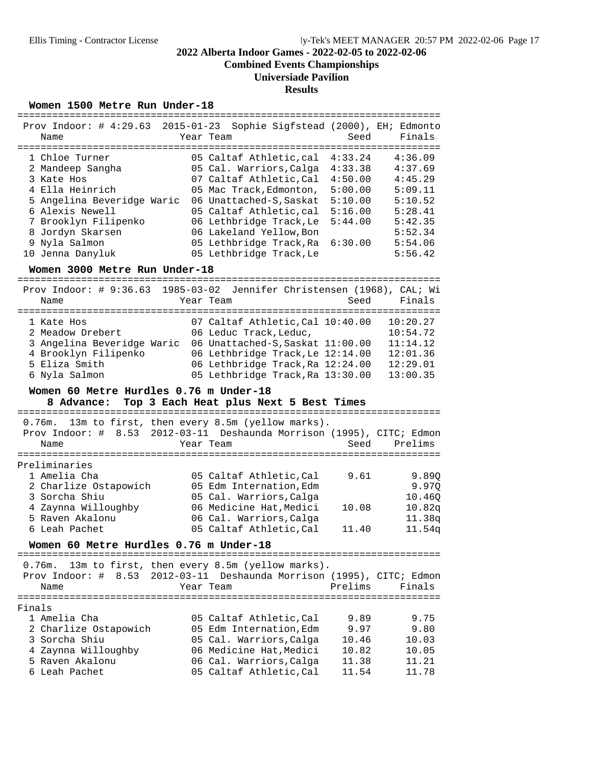**Combined Events Championships**

#### **Universiade Pavilion**

#### **Results**

#### Women 1500 Metre Run Under-18

| Prov Indoor: $\#$ 4:29.63 2015-01-23<br>Name                                                                                                                                                          | Sophie Sigfstead (2000), EH; Edmonto<br>Year Team                                                                                                                                                                                                                          | Seed                                                                                 | Finals                                                                                                     |
|-------------------------------------------------------------------------------------------------------------------------------------------------------------------------------------------------------|----------------------------------------------------------------------------------------------------------------------------------------------------------------------------------------------------------------------------------------------------------------------------|--------------------------------------------------------------------------------------|------------------------------------------------------------------------------------------------------------|
| 1 Chloe Turner<br>2 Mandeep Sangha<br>3 Kate Hos<br>4 Ella Heinrich<br>5 Angelina Beveridge Waric<br>6 Alexis Newell<br>7 Brooklyn Filipenko<br>8 Jordyn Skarsen<br>9 Nyla Salmon<br>10 Jenna Danyluk | 05 Caltaf Athletic, cal<br>05 Cal. Warriors, Calga<br>07 Caltaf Athletic, Cal<br>05 Mac Track, Edmonton,<br>06 Unattached-S, Saskat<br>05 Caltaf Athletic, cal<br>06 Lethbridge Track, Le<br>06 Lakeland Yellow, Bon<br>05 Lethbridge Track, Ra<br>05 Lethbridge Track, Le | 4:33.24<br>4:33.38<br>4:50.00<br>5:00.00<br>5:10.00<br>5:16.00<br>5:44.00<br>6:30.00 | 4:36.09<br>4:37.69<br>4:45.29<br>5:09.11<br>5:10.52<br>5:28.41<br>5:42.35<br>5:52.34<br>5:54.06<br>5:56.42 |

**Women 3000 Metre Run Under-18** =========================================================================

| Prov Indoor: # 9:36.63 1985-03-02 Jennifer Christensen (1968), CAL; Wi<br>Name                                         | Year Team              | Seed                                                                                                                                                                             | Finals                                                               |
|------------------------------------------------------------------------------------------------------------------------|------------------------|----------------------------------------------------------------------------------------------------------------------------------------------------------------------------------|----------------------------------------------------------------------|
| 1 Kate Hos<br>2 Meadow Drebert<br>3 Angelina Beveridge Waric<br>4 Brooklyn Filipenko<br>5 Eliza Smith<br>6 Nyla Salmon | 06 Leduc Track, Leduc, | 07 Caltaf Athletic, Cal 10:40.00<br>06 Unattached-S, Saskat 11:00.00<br>06 Lethbridge Track, Le 12:14.00<br>06 Lethbridge Track, Ra 12:24.00<br>05 Lethbridge Track, Ra 13:30.00 | 10:20.27<br>10:54.72<br>11:14.12<br>12:01.36<br>12:29.01<br>13:00.35 |

#### **Women 60 Metre Hurdles 0.76 m Under-18**

# **8 Advance: Top 3 Each Heat plus Next 5 Best Times** =========================================================================

 0.76m. 13m to first, then every 8.5m (yellow marks). Prov Indoor: # 8.53 2012-03-11 Deshaunda Morrison (1995), CITC; Edmon Name **Seed** Prelims **Name** Seed Prelims ========================================================================= Preliminaries 1 Amelia Cha 05 Caltaf Athletic,Cal 9.61 9.89Q 2 Charlize Ostapowich 05 Edm Internation,Edm 9.97Q 3 Sorcha Shiu 05 Cal. Warriors,Calga 10.46Q 4 Zaynna Willoughby 06 Medicine Hat,Medici 10.08 10.82q 5 Raven Akalonu 06 Cal. Warriors,Calga 11.38q 6 Leah Pachet 05 Caltaf Athletic,Cal 11.40 11.54q

# **Women 60 Metre Hurdles 0.76 m Under-18** =========================================================================

 0.76m. 13m to first, then every 8.5m (yellow marks). Prov Indoor: # 8.53 2012-03-11 Deshaunda Morrison (1995), CITC; Edmon Name Team Year Team Prelims Finals ========================================================================= Finals 1 Amelia Cha 05 Caltaf Athletic,Cal 9.89 9.75 2 Charlize Ostapowich 05 Edm Internation,Edm 9.97 9.80 3 Sorcha Shiu 05 Cal. Warriors,Calga 10.46 10.03 4 Zaynna Willoughby 06 Medicine Hat,Medici 10.82 10.05 5 Raven Akalonu 06 Cal. Warriors,Calga 11.38 11.21 6 Leah Pachet 05 Caltaf Athletic,Cal 11.54 11.78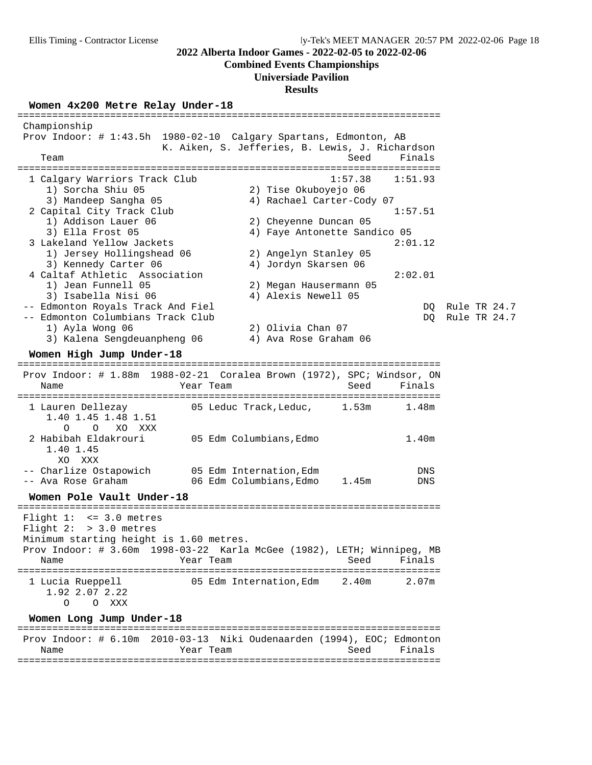#### **Combined Events Championships**

#### **Universiade Pavilion**

#### **Results**

**Women 4x200 Metre Relay Under-18** ========================================================================= Championship Prov Indoor: # 1:43.5h 1980-02-10 Calgary Spartans, Edmonton, AB K. Aiken, S. Jefferies, B. Lewis, J. Richardson Team Seed Finals ========================================================================= 1 Calgary Warriors Track Club 1:57.38 1:51.93 1) Sorcha Shiu 05 2) Tise Okuboyejo 06 3) Mandeep Sangha 05 4) Rachael Carter-Cody 07 2 Capital City Track Club 1:57.51 1) Addison Lauer 06 1) Addison Lauer 06 (2) Cheyenne Duncan 05<br>3) Ella Frost 05 (4) Faye Antonette Sandico 05 3 Lakeland Yellow Jackets 2:01.12 1) Jersey Hollingshead 06 2) Angelyn Stanley 05 3) Kennedy Carter 06 4) Jordyn Skarsen 06 4 Caltaf Athletic Association 2:02.01 1) Jean Funnell 05 2) Megan Hausermann 05 3) Isabella Nisi 06 4) Alexis Newell 05 -- Edmonton Royals Track And Fiel DQ Rule TR 24.7 -- Edmonton Columbians Track Club 1) Ayla Wong 06 2) Olivia Chan 07 3) Kalena Sengdeuanpheng 06 4) Ava Rose Graham 06 **Women High Jump Under-18** ========================================================================= Prov Indoor: # 1.88m 1988-02-21 Coralea Brown (1972), SPC; Windsor, ON Name Year Team ========================================================================= 1 Lauren Dellezay 1.53m 1.53m 1.53m 1.53m 1.53m 1.53m 1.53m 1.53m 1.53m 1.53m 1.53m 1.53m 1.53m 1.53m 1.53m 1. 1.40 1.45 1.48 1.51 O O XO XXX 2 Habibah Eldakrouri 05 Edm Columbians,Edmo 1.40m 1.40 1.45 XO XXX -- Charlize Ostapowich 05 Edm Internation, Edm -- Ava Rose Graham 06 Edm Columbians,Edmo 1.45m DNS **Women Pole Vault Under-18** ========================================================================= Flight 1: <= 3.0 metres Flight 2: > 3.0 metres Minimum starting height is 1.60 metres. Prov Indoor: # 3.60m 1998-03-22 Karla McGee (1982), LETH; Winnipeg, MB Name Team Team Seed Finals ========================================================================= 1 Lucia Rueppell 05 Edm Internation,Edm 2.40m 2.07m 1.92 2.07 2.22 O O XXX **Women Long Jump Under-18** ========================================================================= Prov Indoor: # 6.10m 2010-03-13 Niki Oudenaarden (1994), EOC; Edmonton

 Name Year Team Seed Finals =========================================================================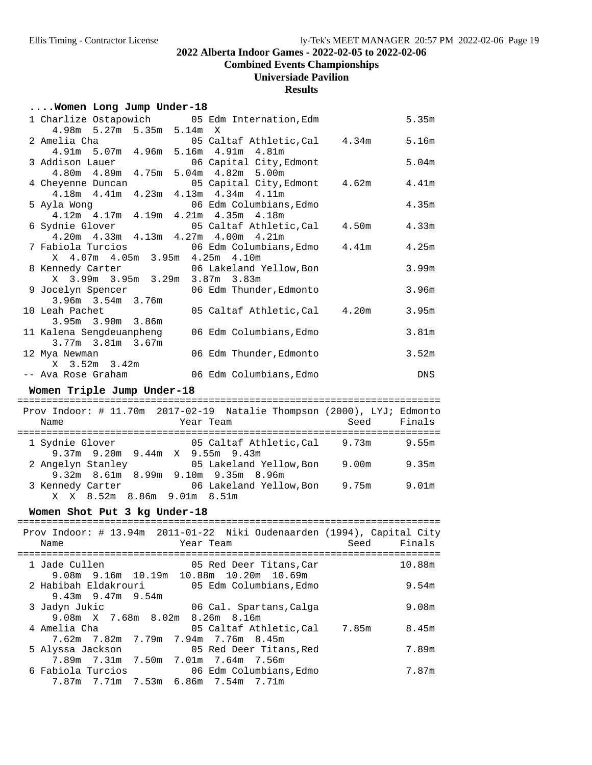**Combined Events Championships**

## **Universiade Pavilion**

#### **Results**

## **....Women Long Jump Under-18**

|                                                                      |           | 1 Charlize Ostapowich 05 Edm Internation, Edm                            |      | 5.35m             |
|----------------------------------------------------------------------|-----------|--------------------------------------------------------------------------|------|-------------------|
| 4.98m 5.27m 5.35m 5.14m<br>2 Amelia Cha                              |           | $\mathbf{X}$<br>05 Caltaf Athletic, Cal 4.34m 5.16m                      |      |                   |
| 4.91m 5.07m 4.96m 5.16m 4.91m                                        |           | 4.81m                                                                    |      | 5.04m             |
| 3 Addison Lauer<br>4.80m  4.89m  4.75m  5.04m  4.82m  5.00m          |           | 06 Capital City, Edmont                                                  |      |                   |
| 4 Cheyenne Duncan                                                    |           | 05 Capital City, Edmont 4.62m                                            |      | 4.41m             |
| 4.18m  4.41m  4.23m  4.13m  4.34m  4.11m                             |           |                                                                          |      | 4.35m             |
| 5 Ayla Wong 06 Edm Columbians<br>4.12m 4.17m 4.19m 4.21m 4.35m 4.18m |           | 06 Edm Columbians, Edmo                                                  |      |                   |
| 6 Sydnie Glover                                                      |           | 05 Caltaf Athletic, Cal 4.50m                                            |      | 4.33m             |
| 4.20m  4.33m  4.13m  4.27m  4.00m  4.21m                             |           |                                                                          |      |                   |
| X 4.07m 4.05m 3.95m 4.25m 4.10m                                      |           | 7 Fabiola Turcios 600 06 Edm Columbians, Edmo 4.41m                      |      | 4.25m             |
|                                                                      |           |                                                                          |      | 3.99m             |
|                                                                      |           | 8 Kennedy Carter 06 Lakeland Yellow, Bon X 3.99m 3.95m 3.29m 3.87m 3.83m |      |                   |
|                                                                      |           | 9 Jocelyn Spencer 106 Edm Thunder, Edmonto                               |      | 3.96 <sub>m</sub> |
| 3.96m 3.54m 3.76m                                                    |           |                                                                          |      |                   |
| 10 Leah Pachet<br>3.95m 3.90m 3.86m                                  |           | 05 Caltaf Athletic, Cal 4.20m                                            |      | 3.95m             |
| 11 Kalena Sengdeuanpheng                                             |           | 06 Edm Columbians, Edmo                                                  |      | 3.81 <sub>m</sub> |
| $3.77m$ $3.81m$ $3.67m$                                              |           |                                                                          |      |                   |
| 12 Mya Newman                                                        |           | 06 Edm Thunder, Edmonto                                                  |      | 3.52m             |
| X 3.52m 3.42m                                                        |           | -- Ava Rose Graham (16 Edm Columbians, Edmo)                             |      | DNS               |
|                                                                      |           |                                                                          |      |                   |
| Women Triple Jump Under-18                                           |           |                                                                          |      |                   |
|                                                                      |           | Prov Indoor: # 11.70m 2017-02-19 Natalie Thompson (2000), LYJ; Edmonto   |      |                   |
| Name                                                                 | Year Team |                                                                          | Seed | Finals            |
|                                                                      |           | 1 Sydnie Glover 65 Caltaf Athletic, Cal 9.73m 9.55m                      |      |                   |
| 9.37m 9.20m 9.44m X 9.55m 9.43m                                      |           |                                                                          |      |                   |
|                                                                      |           | 2 Angelyn Stanley 105 Lakeland Yellow, Bon 9.00m 9.35m                   |      |                   |
| 9.32m 8.61m 8.99m 9.10m 9.35m 8.96m                                  |           |                                                                          |      |                   |
| X X 8.52m 8.86m 9.01m 8.51m                                          |           | 3 Kennedy Carter 6 06 Lakeland Yellow, Bon 9.75m                         |      | 9.01m             |
|                                                                      |           |                                                                          |      |                   |

# **Women Shot Put 3 kg Under-18** =========================================================================

|                                                     | Prov Indoor: # 13.94m 2011-01-22 Niki Oudenaarden (1994), Capital City |                |
|-----------------------------------------------------|------------------------------------------------------------------------|----------------|
| Name                                                | Year Team                                                              | Finals<br>Seed |
| 1 Jade Cullen                                       | 05 Red Deer Titans, Car<br>9.08m 9.16m 10.19m 10.88m 10.20m 10.69m     | 10.88m         |
| $9.43m$ 9.47m 9.54m                                 | 2 Habibah Eldakrouri               05 Edm Columbians, Edmo             | 9.54m          |
| 3 Jadyn Jukic<br>9.08m X 7.68m 8.02m 8.26m 8.16m    | 06 Cal. Spartans, Calga                                                | 9.08m          |
| 4 Amelia Cha<br>7.62m 7.82m 7.79m 7.94m 7.76m 8.45m | 05 Caltaf Athletic,Cal 7.85m                                           | 8.45m          |
| 7.89m 7.31m 7.50m 7.01m 7.64m 7.56m                 | 5 Alyssa Jackson 65 Red Deer Titans, Red                               | 7.89m          |
| 7.87m 7.71m 7.53m 6.86m 7.54m 7.71m                 | 6 Fabiola Turcios                         06 Edm Columbians, Edmo      | 7.87m          |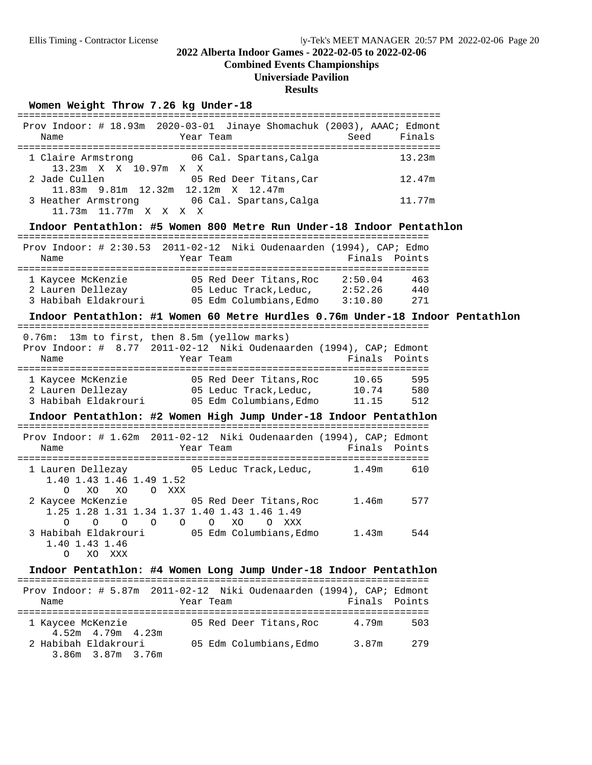## **Combined Events Championships**

## **Universiade Pavilion**

#### **Results**

Women Weight Throw 7.26 kg Under-18

| Name                                                                                                                 | Prov Indoor: # 18.93m 2020-03-01 Jinaye Shomachuk (2003), AAAC; Edmont<br>Year Team and the state of the state of the state of the state of the state of the state of the state of the s |               | Seed Finals |  |
|----------------------------------------------------------------------------------------------------------------------|------------------------------------------------------------------------------------------------------------------------------------------------------------------------------------------|---------------|-------------|--|
| 1 Claire Armstrong 66 Cal. Spartans, Calga 613.23m<br>13.23m X X 10.97m X X                                          |                                                                                                                                                                                          |               |             |  |
| 2 Jade Cullen 05 Red Deer Titans, Car<br>11.83m 9.81m 12.32m 12.12m X 12.47m                                         |                                                                                                                                                                                          |               | 12.47m      |  |
| 3 Heather Armstrong 06 Cal. Spartans, Calga 11.77m<br>11.73m  11.77m  X  X  X  X                                     |                                                                                                                                                                                          |               |             |  |
| Indoor Pentathlon: #5 Women 800 Metre Run Under-18 Indoor Pentathlon                                                 |                                                                                                                                                                                          |               |             |  |
| Prov Indoor: # 2:30.53 2011-02-12 Niki Oudenaarden (1994), CAP; Edmo<br>Name                                         | Year Team                                                                                                                                                                                | Finals Points |             |  |
| 1 Kaycee McKenzie 65 Red Deer Titans, Roc 2:50.04 463                                                                |                                                                                                                                                                                          |               |             |  |
| 2 Lauren Dellezay 15 Leduc Track, Leduc, 2:52.26 440                                                                 |                                                                                                                                                                                          |               |             |  |
| 3 Habibah Eldakrouri (15 Mm Columbians, Edmo 3:10.80 271                                                             |                                                                                                                                                                                          |               |             |  |
| Indoor Pentathlon: #1 Women 60 Metre Hurdles 0.76m Under-18 Indoor Pentathlon                                        |                                                                                                                                                                                          |               |             |  |
| 0.76m: 13m to first, then 8.5m (yellow marks)<br>Prov Indoor: # 8.77 2011-02-12 Niki Oudenaarden (1994), CAP; Edmont |                                                                                                                                                                                          |               |             |  |
| Name                                                                                                                 | Year Team and the state of the state of the state of the state of the state of the state of the state of the s                                                                           | Finals Points |             |  |
| 1 Kaycee McKenzie <b>38 CO</b> 65 Red Deer Titans, Roc 10.65 595                                                     |                                                                                                                                                                                          |               |             |  |
| 2 Lauren Dellezay 65 Leduc Track, Leduc, 10.74 580                                                                   |                                                                                                                                                                                          |               |             |  |
| 3 Habibah Eldakrouri 05 Edm Columbians, Edmo 11.15 512                                                               |                                                                                                                                                                                          |               |             |  |
| Indoor Pentathlon: #2 Women High Jump Under-18 Indoor Pentathlon                                                     |                                                                                                                                                                                          |               |             |  |
| Prov Indoor: # 1.62m 2011-02-12 Niki Oudenaarden (1994), CAP; Edmont                                                 |                                                                                                                                                                                          |               |             |  |
|                                                                                                                      |                                                                                                                                                                                          |               |             |  |
| Name                                                                                                                 | Year Team                                                                                                                                                                                | Finals Points |             |  |
|                                                                                                                      |                                                                                                                                                                                          |               |             |  |
| 1 Lauren Dellezay 65 Leduc Track, Leduc, 1.49m 610<br>1.40 1.43 1.46 1.49 1.52                                       |                                                                                                                                                                                          |               |             |  |
| XO XO O XXX<br>$\circ$<br>2 Kaycee McKenzie <b>3 COVERED 12 COVER 12 COVER 12 COVER</b> 2 Kaycee McKenzie            |                                                                                                                                                                                          |               | 577         |  |
| 1.25 1.28 1.31 1.34 1.37 1.40 1.43 1.46 1.49                                                                         |                                                                                                                                                                                          |               |             |  |
| $\begin{matrix} 0 & 0 & 0 & 0 & 0 \end{matrix}$<br>$\circ$                                                           | XO<br>O XXX                                                                                                                                                                              |               | 544         |  |
| 1.40 1.43 1.46<br>0                                                                                                  |                                                                                                                                                                                          |               |             |  |
| XXX<br>XO                                                                                                            |                                                                                                                                                                                          |               |             |  |
| Indoor Pentathlon: #4 Women Long Jump Under-18 Indoor Pentathlon                                                     |                                                                                                                                                                                          |               |             |  |
| Prov Indoor: # 5.87m 2011-02-12 Niki Oudenaarden (1994), CAP; Edmont                                                 |                                                                                                                                                                                          |               |             |  |
| Name                                                                                                                 | Year Team                                                                                                                                                                                | Finals Points |             |  |
| 1 Kaycee McKenzie<br>4.52m  4.79m  4.23m                                                                             | 05 Red Deer Titans, Roc                                                                                                                                                                  | 4.79m         | 503         |  |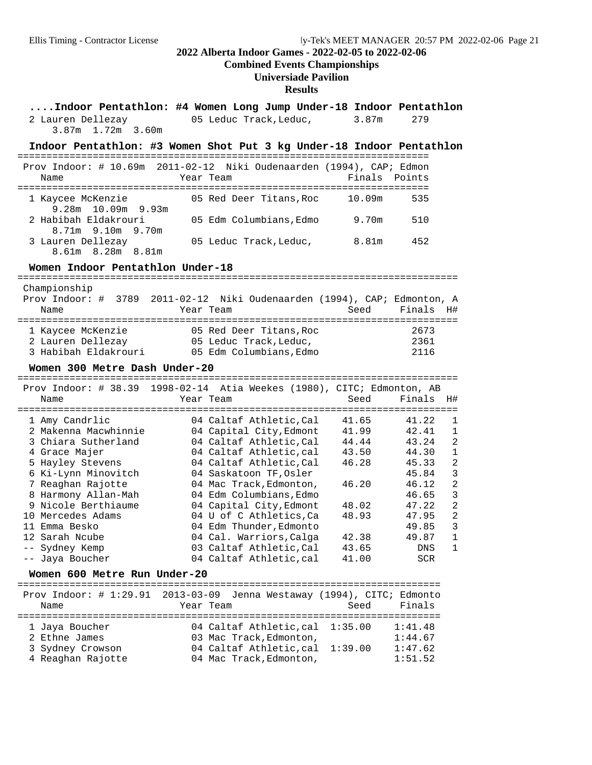# **Combined Events Championships**

**Universiade Pavilion**

#### **Results**

| Indoor Pentathlon: #4 Women Long Jump Under-18 Indoor Pentathlon             |                  |                                                        |                |                                        |                     |
|------------------------------------------------------------------------------|------------------|--------------------------------------------------------|----------------|----------------------------------------|---------------------|
| 2 Lauren Dellezay<br>3.87m 1.72m 3.60m                                       |                  | 05 Leduc Track, Leduc,                                 |                | 3.87m<br>279                           |                     |
| Indoor Pentathlon: #3 Women Shot Put 3 kg Under-18 Indoor Pentathlon         |                  |                                                        |                |                                        |                     |
| Prov Indoor: # 10.69m 2011-02-12 Niki Oudenaarden (1994), CAP; Edmon<br>Name |                  | Year Team                                              |                | Finals<br>Points                       |                     |
| 1 Kaycee McKenzie                                                            |                  | 05 Red Deer Titans, Roc                                |                | 10.09m<br>535                          |                     |
| 9.28m 10.09m 9.93m<br>2 Habibah Eldakrouri<br>9.10m 9.70m<br>8.71m           |                  | 05 Edm Columbians, Edmo                                |                | 9.70m<br>510                           |                     |
| 3 Lauren Dellezay<br>8.61m 8.28m 8.81m                                       |                  | 05 Leduc Track, Leduc,                                 |                | 8.81m<br>452                           |                     |
| Women Indoor Pentathlon Under-18                                             |                  |                                                        |                |                                        |                     |
| Championship<br>Prov Indoor: # 3789 2011-02-12<br>Name                       |                  | Niki Oudenaarden (1994), CAP; Edmonton, A<br>Year Team | Seed           | Finals                                 | H#                  |
| 1 Kaycee McKenzie                                                            |                  | 05 Red Deer Titans, Roc                                |                | 2673                                   |                     |
| 2 Lauren Dellezay                                                            |                  | 05 Leduc Track, Leduc,                                 |                | 2361                                   |                     |
| 3 Habibah Eldakrouri                                                         |                  | 05 Edm Columbians, Edmo                                |                | 2116                                   |                     |
| Women 300 Metre Dash Under-20                                                |                  |                                                        |                |                                        |                     |
| Prov Indoor: # 38.39 1998-02-14 Atia Weekes (1980), CITC; Edmonton, AB       |                  |                                                        |                |                                        |                     |
| Name                                                                         |                  | Year Team                                              | Seed           | Finals                                 | H#                  |
|                                                                              |                  |                                                        |                |                                        |                     |
| 1 Amy Candrlic                                                               |                  | 04 Caltaf Athletic, Cal                                | 41.65          | 41.22                                  | 1                   |
| 2 Makenna Macwhinnie                                                         |                  | 04 Capital City, Edmont                                | 41.99          | 42.41                                  | 1<br>$\overline{a}$ |
| 3 Chiara Sutherland<br>4 Grace Majer                                         |                  | 04 Caltaf Athletic, Cal<br>04 Caltaf Athletic, cal     | 44.44<br>43.50 | 43.24<br>44.30                         | $\mathbf{1}$        |
| 5 Hayley Stevens                                                             |                  | 04 Caltaf Athletic, Cal                                | 46.28          | 45.33                                  | $\overline{a}$      |
| 6 Ki-Lynn Minovitch                                                          |                  | 04 Saskatoon TF, Osler                                 |                | 45.84                                  | 3                   |
| 7 Reaghan Rajotte                                                            |                  | 04 Mac Track, Edmonton,                                | 46.20          | 46.12                                  | $\overline{a}$      |
| 8 Harmony Allan-Mah                                                          |                  | 04 Edm Columbians, Edmo                                |                | 46.65                                  | $\mathbf{3}$        |
| 9 Nicole Berthiaume                                                          |                  | 04 Capital City, Edmont                                | 48.02          | 47.22                                  | $\overline{a}$      |
| 10 Mercedes Adams                                                            |                  | 04 U of C Athletics, Ca                                | 48.93          | 47.95                                  | $\overline{2}$      |
| 11 Emma Besko                                                                |                  | 04 Edm Thunder, Edmonto                                |                | 49.85                                  | 3                   |
| 12 Sarah Ncube                                                               |                  | 04 Cal. Warriors, Calga                                | 42.38          | 49.87                                  | ı                   |
| Sydney Kemp<br>$--$                                                          |                  | 03 Caltaf Athletic, Cal                                | 43.65          | DNS                                    | 1                   |
| -- Jaya Boucher                                                              |                  | 04 Caltaf Athletic, cal                                | 41.00          | SCR                                    |                     |
| Women 600 Metre Run Under-20<br>________________________________             |                  |                                                        |                | ====================================== |                     |
| Prov Indoor: $\#$ 1:29.91                                                    | $2013 - 03 - 09$ |                                                        |                | Jenna Westaway (1994), CITC; Edmonto   |                     |
| Name<br>. _ _ _ _ _ _ _ _ _ _ _ _ _ _ _ _ _ _                                |                  | Year Team                                              | Seed           | Finals                                 |                     |
| 1 Jaya Boucher                                                               |                  | 04 Caltaf Athletic, cal                                | 1:35.00        | 1:41.48                                |                     |
| 2 Ethne James                                                                |                  | 03 Mac Track, Edmonton,                                |                | 1:44.67                                |                     |
| 3 Sydney Crowson                                                             |                  | 04 Caltaf Athletic, cal                                | 1:39.00        | 1:47.62                                |                     |
| 4 Reaghan Rajotte                                                            |                  | 04 Mac Track, Edmonton,                                |                | 1:51.52                                |                     |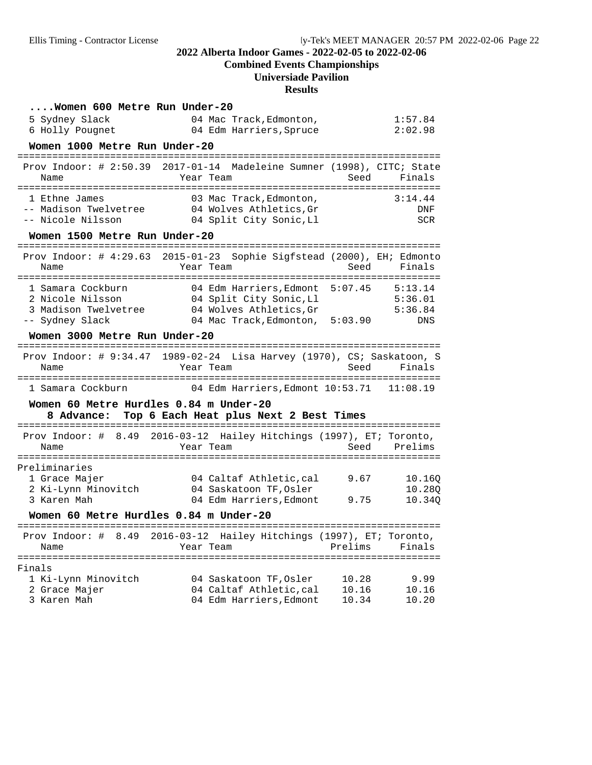**Combined Events Championships**

# **Universiade Pavilion**

**Results**

| Women 600 Metre Run Under-20                                                   |                                                   |                                                 |                    |
|--------------------------------------------------------------------------------|---------------------------------------------------|-------------------------------------------------|--------------------|
| 5 Sydney Slack                                                                 | 04 Mac Track, Edmonton,                           |                                                 | 1:57.84            |
| 6 Holly Pougnet                                                                | 04 Edm Harriers,Spruce                            |                                                 | 2:02.98            |
| Women 1000 Metre Run Under-20                                                  |                                                   |                                                 |                    |
| Prov Indoor: $\#$ 2:50.39                                                      |                                                   | 2017-01-14 Madeleine Sumner (1998), CITC; State |                    |
| Name                                                                           | Year Team                                         | Seed                                            | Finals             |
| 1 Ethne James                                                                  | 03 Mac Track, Edmonton,                           |                                                 | 3:14.44            |
| -- Madison Twelvetree                                                          | 04 Wolves Athletics, Gr                           |                                                 | <b>DNF</b>         |
| -- Nicole Nilsson                                                              | 04 Split City Sonic, Ll                           |                                                 | <b>SCR</b>         |
| Women 1500 Metre Run Under-20                                                  |                                                   |                                                 |                    |
| Prov Indoor: # 4:29.63 2015-01-23 Sophie Sigfstead (2000), EH; Edmonto         |                                                   |                                                 |                    |
| Name                                                                           | Year Team                                         | Seed                                            | Finals             |
|                                                                                |                                                   |                                                 |                    |
| 1 Samara Cockburn                                                              | 04 Edm Harriers,Edmont                            | 5:07.45                                         | 5:13.14            |
| 2 Nicole Nilsson<br>3 Madison Twelvetree                                       | 04 Split City Sonic,Ll<br>04 Wolves Athletics, Gr |                                                 | 5:36.01<br>5:36.84 |
| -- Sydney Slack                                                                |                                                   | 04 Mac Track, Edmonton, 5:03.90                 | DNS                |
| Women 3000 Metre Run Under-20                                                  |                                                   |                                                 |                    |
|                                                                                |                                                   |                                                 |                    |
| Prov Indoor: # 9:34.47 1989-02-24 Lisa Harvey (1970), CS; Saskatoon, S<br>Name | Year Team                                         | Seed                                            | Finals             |
|                                                                                |                                                   |                                                 |                    |
| 1 Samara Cockburn                                                              |                                                   | 04 Edm Harriers, Edmont 10:53.71                | 11:08.19           |
| Women 60 Metre Hurdles 0.84 m Under-20                                         |                                                   |                                                 |                    |
| 8 Advance:                                                                     | Top 6 Each Heat plus Next 2 Best Times            | ---------------------------------               |                    |
| Prov Indoor: # 8.49 2016-03-12 Hailey Hitchings (1997), ET; Toronto,           |                                                   |                                                 |                    |
| Name                                                                           | Year Team                                         | Seed                                            | Prelims            |
| Preliminaries                                                                  |                                                   |                                                 |                    |
| 1 Grace Majer                                                                  | 04 Caltaf Athletic, cal                           | 9.67                                            | 10.160             |
| 2 Ki-Lynn Minovitch                                                            | 04 Saskatoon TF, Osler                            |                                                 | 10.280             |
| 3 Karen Mah                                                                    | 04 Edm Harriers, Edmont                           | 9.75                                            | 10.340             |
| Women 60 Metre Hurdles 0.84 m Under-20                                         |                                                   |                                                 |                    |
|                                                                                |                                                   |                                                 |                    |
| Prov Indoor: # 8.49 2016-03-12 Hailey Hitchings (1997), ET; Toronto,<br>Name   | Year Team                                         | Prelims                                         | Finals             |
|                                                                                |                                                   |                                                 |                    |
| Finals                                                                         |                                                   |                                                 |                    |
| 1 Ki-Lynn Minovitch                                                            | 04 Saskatoon TF, Osler                            | 10.28                                           | 9.99               |
| 2 Grace Majer                                                                  | 04 Caltaf Athletic, cal                           | 10.16                                           | 10.16              |
| 3 Karen Mah                                                                    | 04 Edm Harriers, Edmont                           | 10.34                                           | 10.20              |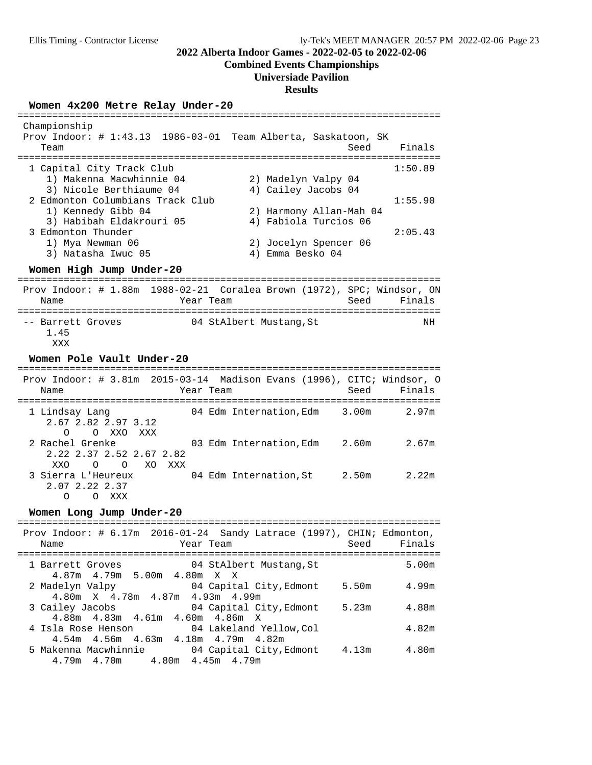#### **Combined Events Championships**

#### **Universiade Pavilion**

#### **Results**

**Women 4x200 Metre Relay Under-20** ========================================================================= Championship Prov Indoor: # 1:43.13 1986-03-01 Team Alberta, Saskatoon, SK Team Seed Finals ========================================================================= 1 Capital City Track Club<br>1) Makenna Macwhinnie 04 2) Madelyn Valpy 04 1:50.89 1) Makenna Macwhinnie 04 2) Madelyn Valpy 04 3) Nicole Berthiaume 04 4) Cailey Jacobs 04 2 Edmonton Columbians Track Club 1:55.90 1) Kennedy Gibb 04 2) Harmony Allan-Mah 04 3) Habibah Eldakrouri 05 4) Fabiola Turcios 06 3 Edmonton Thunder 2:05.43 1) Mya Newman 06 2) Jocelyn Spencer 06<br>3) Natasha Iwuc 05 3) Emma Besko 04 3) Natasha Iwuc 05 **Women High Jump Under-20** ========================================================================= Prov Indoor: # 1.88m 1988-02-21 Coralea Brown (1972), SPC; Windsor, ON Name  $Year$  Team  $Seed$  Finals ========================================================================= -- Barrett Groves 04 StAlbert Mustang, St NH 1.45 XXX

**Women Pole Vault Under-20** ========================================================================= Prov Indoor: # 3.81m 2015-03-14 Madison Evans (1996), CITC; Windsor, O Name Team Team Seed Finals ========================================================================= 1 Lindsay Lang 64 Edm Internation, Edm 3.00m 2.67 2.82 2.97 3.12 O O XXO XXX<br>2 Rachel Grenke 03 Edm Internation,Edm 2.60m 2.67m 2.22 2.37 2.52 2.67 2.82 XXO O O XO XXX 3 Sierra L'Heureux 04 Edm Internation,St 2.50m 2.22m 2.07 2.22 2.37 O O XXX

#### Women Long Jump Under-20

| Prov Indoor: $\#$ 6.17m 2016-01-24 Sandy Latrace (1997), CHIN; Edmonton,<br>Year Team<br>Name | Seed  | Finals |
|-----------------------------------------------------------------------------------------------|-------|--------|
| 04 StAlbert Mustang,St<br>1 Barrett Groves<br>$4.87m$ $4.79m$ 5.00m $4.80m$ X X               |       | 5.00m  |
| 2 Madelyn Valpy 64 Capital City, Edmont<br>4.80 m X 4.78 m 4.87 m 4.93 m 4.99 m               | 5.50m | 4.99m  |
| 04 Capital City,Edmont<br>3 Cailey Jacobs<br>4.88m  4.83m  4.61m  4.60m  4.86m  X             | 5.23m | 4.88m  |
| 4 Isla Rose Henson 64 Lakeland Yellow, Col<br>$4.54m$ $4.56m$ $4.63m$ $4.18m$ $4.79m$ $4.82m$ |       | 4.82m  |
| 5 Makenna Macwhinnie 64 Capital City, Edmont<br>4.79 m 4.70 m 4.80 m 4.45 m 4.79 m            | 4.13m | 4.80m  |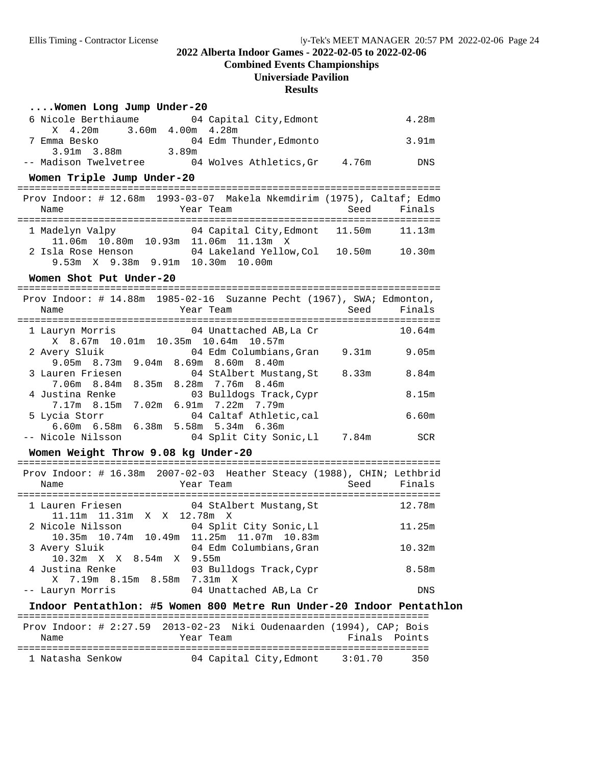**Combined Events Championships**

#### **Universiade Pavilion**

#### **Results**

#### **....Women Long Jump Under-20**

| 6 Nicole Berthiaume   | 04 Capital City, Edmont |       | 4.28m |
|-----------------------|-------------------------|-------|-------|
| X 4.20m               | 3.60m 4.00m 4.28m       |       |       |
| Emma Besko            | 04 Edm Thunder, Edmonto |       | 3.91m |
| 3.91m 3.88m           | 3.89m                   |       |       |
| -- Madison Twelvetree | 04 Wolves Athletics.Gr  | 4.76m | DNS   |

### Women Triple Jump Under-20

|                    |                 | Prov Indoor: # 12.68m 1993-03-07 Makela Nkemdirim (1975), Caltaf; Edmo |        |             |
|--------------------|-----------------|------------------------------------------------------------------------|--------|-------------|
| Name               |                 | Year Team                                                              |        | Seed Finals |
|                    | 1 Madelyn Valpy | 04 Capital City, Edmont 11.50m                                         |        | 11.13m      |
|                    |                 | $11.06m$ $10.80m$ $10.93m$ $11.06m$ $11.13m$ X                         |        |             |
| 2 Isla Rose Henson |                 | 04 Lakeland Yellow.Col                                                 | 10.50m | 10.30m      |
|                    |                 | 9.53m X 9.38m 9.91m 10.30m 10.00m                                      |        |             |

#### Women Shot Put Under-20

| Name              | Prov Indoor: # 14.88m 1985-02-16 Suzanne Pecht (1967), SWA; Edmonton,<br>Year Team | Seed  | Finals     |
|-------------------|------------------------------------------------------------------------------------|-------|------------|
| 1 Lauryn Morris   | 04 Unattached AB,La Cr<br>X 8.67m 10.01m 10.35m 10.64m 10.57m                      |       | 10.64m     |
| 2 Avery Sluik     | 04 Edm Columbians,Gran<br>9.05m 8.73m 9.04m 8.69m 8.60m 8.40m                      | 9.31m | 9.05m      |
| 3 Lauren Friesen  | 04 StAlbert Mustang,St<br>7.06m 8.84m 8.35m 8.28m 7.76m 8.46m                      | 8.33m | 8.84m      |
| 4 Justina Renke   | 03 Bulldogs Track, Cypr<br>7.17m 8.15m 7.02m 6.91m 7.22m 7.79m                     |       | 8.15m      |
| 5 Lycia Storr     | 04 Caltaf Athletic,cal<br>6.60m 6.58m 6.38m 5.58m 5.34m 6.36m                      |       | 6.60m      |
| -- Nicole Nilsson | 04 Split City Sonic,Ll                                                             | 7.84m | <b>SCR</b> |

#### Women Weight Throw 9.08 kg Under-20

| Name                                                          | Prov Indoor: # 16.38m 2007-02-03 Heather Steacy (1988), CHIN; Lethbrid<br>Year Team<br>Seed | Finals |
|---------------------------------------------------------------|---------------------------------------------------------------------------------------------|--------|
| 1 Lauren Friesen<br>11.11m 11.31m X X 12.78m X                | 04 StAlbert Mustang,St                                                                      | 12.78m |
| 2 Nicole Nilsson<br>10.35m 10.74m 10.49m 11.25m 11.07m 10.83m | 04 Split City Sonic, Ll                                                                     | 11.25m |
| 3 Avery Sluik<br>10.32m X X 8.54m X 9.55m                     | 04 Edm Columbians.Gran                                                                      | 10.32m |
| 4 Justina Renke<br>X 7.19m 8.15m 8.58m 7.31m X                | 03 Bulldogs Track, Cypr                                                                     | 8.58m  |
| -- Lauryn Morris                                              | 04 Unattached AB, La Cr                                                                     | DNS.   |

**Indoor Pentathlon: #5 Women 800 Metre Run Under-20 Indoor Pentathlon** ======================================================================= Prov Indoor: # 2:27.59 2013-02-23 Niki Oudenaarden (1994), CAP; Bois Year Team **Finals** Points ======================================================================= 04 Capital City, Edmont 3:01.70 350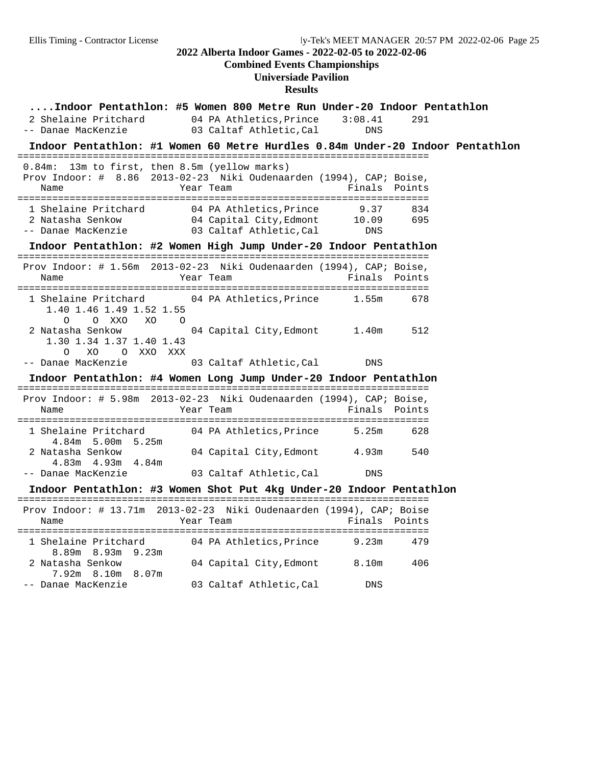**Combined Events Championships**

**Universiade Pavilion**

## **Results**

| Indoor Pentathlon: #5 Women 800 Metre Run Under-20 Indoor Pentathlon<br>2 Shelaine Pritchard 04 PA Athletics, Prince 3:08.41<br>-- Danae MacKenzie | 03 Caltaf Athletic, Cal                           | <b>DNS</b>           | 291        |  |
|----------------------------------------------------------------------------------------------------------------------------------------------------|---------------------------------------------------|----------------------|------------|--|
| Indoor Pentathlon: #1 Women 60 Metre Hurdles 0.84m Under-20 Indoor Pentathlon                                                                      |                                                   |                      |            |  |
| 0.84m: 13m to first, then 8.5m (yellow marks)<br>Prov Indoor: # 8.86 2013-02-23 Niki Oudenaarden (1994), CAP; Boise,<br>Name                       | Year Team                                         | Finals Points        |            |  |
| 1 Shelaine Pritchard 04 PA Athletics, Prince<br>2 Natasha Senkow<br>-- Danae MacKenzie                                                             | 04 Capital City, Edmont<br>03 Caltaf Athletic,Cal | 9.37<br>10.09<br>DNS | 834<br>695 |  |
| Indoor Pentathlon: #2 Women High Jump Under-20 Indoor Pentathlon                                                                                   |                                                   |                      |            |  |
| Prov Indoor: # 1.56m 2013-02-23 Niki Oudenaarden (1994), CAP; Boise,<br>Name                                                                       | Year Team                                         | Finals Points        |            |  |
| 1 Shelaine Pritchard 04 PA Athletics, Prince<br>1.40 1.46 1.49 1.52 1.55<br>$\circ$<br>O XXO<br>XO<br>$\overline{O}$                               |                                                   | 1.55m                | 678        |  |
| 2 Natasha Senkow<br>1.30 1.34 1.37 1.40 1.43<br>O XXO XXX<br>0<br>XO                                                                               | 04 Capital City, Edmont                           | 1.40m                | 512        |  |
| -- Danae MacKenzie                                                                                                                                 | 03 Caltaf Athletic, Cal                           | <b>DNS</b>           |            |  |
| Indoor Pentathlon: #4 Women Long Jump Under-20 Indoor Pentathlon                                                                                   |                                                   |                      |            |  |
| Prov Indoor: # 5.98m 2013-02-23 Niki Oudenaarden (1994), CAP; Boise,<br>Name                                                                       | Year Team                                         | Finals Points        |            |  |
| 1 Shelaine Pritchard<br>4.84m 5.00m 5.25m                                                                                                          | 04 PA Athletics,Prince                            | 5.25m                | 628        |  |
| 2 Natasha Senkow<br>$4.83m$ $4.93m$ $4.84m$                                                                                                        | 04 Capital City, Edmont                           | 4.93m                | 540        |  |
| -- Danae MacKenzie                                                                                                                                 | 03 Caltaf Athletic, Cal                           | DNS                  |            |  |
| Indoor Pentathlon: #3 Women Shot Put 4kg Under-20 Indoor Pentathlon                                                                                |                                                   |                      |            |  |
| Prov Indoor: # 13.71m 2013-02-23 Niki Oudenaarden (1994), CAP; Boise<br>Name                                                                       | Year Team                                         | Finals Points        |            |  |
| 1 Shelaine Pritchard<br>$8.89m$ $8.93m$ $9.23m$                                                                                                    | 04 PA Athletics, Prince 9.23m                     |                      | 479        |  |
| 2 Natasha Senkow<br>7.92m 8.10m 8.07m                                                                                                              | 04 Capital City, Edmont 8.10m                     |                      | 406        |  |
| -- Danae MacKenzie                                                                                                                                 | 03 Caltaf Athletic, Cal                           | <b>DNS</b>           |            |  |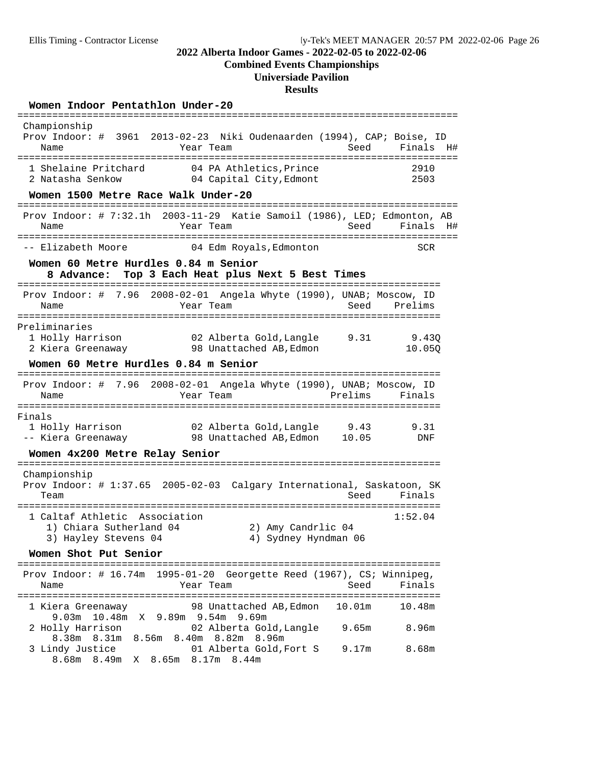**Combined Events Championships**

# **Universiade Pavilion**

#### **Results**

#### Women Indoor Pentathlon Under-20

| Championship<br>Prov Indoor: # 3961 2013-02-23 Niki Oudenaarden (1994), CAP; Boise, ID<br>Name<br>Year Team<br>:========== | Seed                                         | Finals<br>H#    |
|----------------------------------------------------------------------------------------------------------------------------|----------------------------------------------|-----------------|
| 04 PA Athletics, Prince<br>1 Shelaine Pritchard<br>2 Natasha Senkow<br>04 Capital City, Edmont                             |                                              | 2910<br>2503    |
| Women 1500 Metre Race Walk Under-20                                                                                        |                                              |                 |
| Prov Indoor: # 7:32.1h 2003-11-29 Katie Samoil (1986), LED; Edmonton, AB<br>Year Team<br>Name                              | Seed                                         | Finals<br>H#    |
| -- Elizabeth Moore<br>04 Edm Royals, Edmonton                                                                              |                                              | <b>SCR</b>      |
| Women 60 Metre Hurdles 0.84 m Senior<br>Top 3 Each Heat plus Next 5 Best Times<br>8 Advance:                               |                                              |                 |
| Prov Indoor: # 7.96 2008-02-01 Angela Whyte (1990), UNAB; Moscow, ID<br>Year Team<br>Name                                  | Seed                                         | Prelims         |
| Preliminaries<br>1 Holly Harrison<br>02 Alberta Gold, Langle<br>2 Kiera Greenaway<br>98 Unattached AB, Edmon               | 9.31                                         | 9.430<br>10.05Q |
| Women 60 Metre Hurdles 0.84 m Senior                                                                                       |                                              |                 |
| 2008-02-01 Angela Whyte (1990), UNAB; Moscow, ID<br>Prov Indoor: $\#$<br>7.96<br>Year Team<br>Name                         | Prelims                                      | Finals          |
| Finals<br>1 Holly Harrison<br>02 Alberta Gold,Langle 9.43<br>-- Kiera Greenaway<br>98 Unattached AB,Edmon                  | 10.05                                        | 9.31<br>DNF     |
| Women 4x200 Metre Relay Senior                                                                                             |                                              |                 |
| Championship<br>Prov Indoor: # 1:37.65 2005-02-03<br>Team                                                                  | Calgary International, Saskatoon, SK<br>Seed | Finals          |
| ---------------<br>1 Caltaf Athletic Association<br>1) Chiara Sutherland 04<br>3) Hayley Stevens 04                        | 2) Amy Candrlic 04<br>4) Sydney Hyndman 06   | 1:52.04         |
| Women Shot Put Senior<br>;=================                                                                                |                                              |                 |
| Prov Indoor: # 16.74m 1995-01-20 Georgette Reed (1967), CS; Winnipeg,<br>Year Team<br>Name                                 | Seed                                         | Finals          |
| 98 Unattached AB, Edmon<br>1 Kiera Greenaway                                                                               | 10.01 <sub>m</sub>                           | 10.48m          |
| 9.03m 10.48m X 9.89m 9.54m 9.69m<br>2 Holly Harrison<br>02 Alberta Gold, Langle<br>8.38m 8.31m 8.56m 8.40m 8.82m 8.96m     | 9.65m                                        | 8.96m           |
| 3 Lindy Justice<br>01 Alberta Gold, Fort S<br>8.68m 8.49m X 8.65m 8.17m 8.44m                                              | 9.17m                                        | 8.68m           |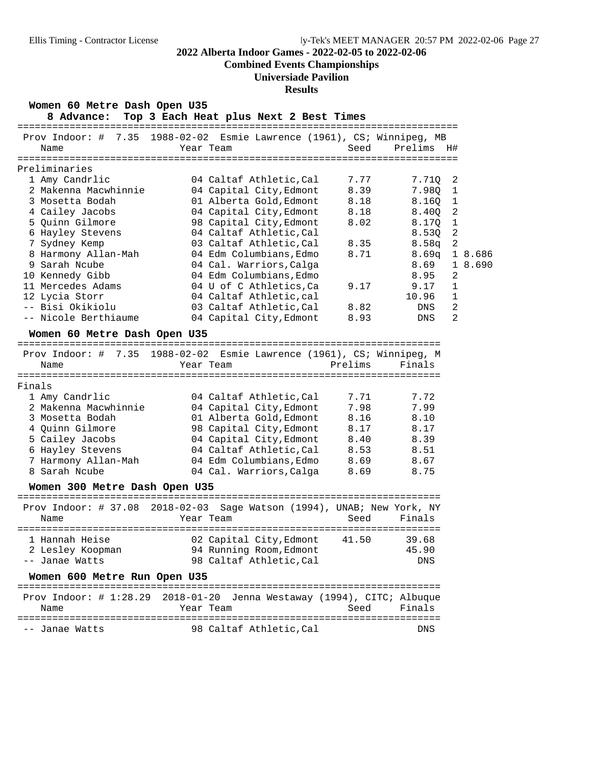# **Combined Events Championships**

# **Universiade Pavilion**

## **Results**

| Women 60 Metre Dash Open U35<br>8 Advance:<br>============= | Top 3 Each Heat plus Next 2 Best Times<br>=========================   |         |            |                |
|-------------------------------------------------------------|-----------------------------------------------------------------------|---------|------------|----------------|
| Prov Indoor: $\#$<br>7.35                                   | $1988 - 02 - 02$<br>Esmie Lawrence (1961), CS; Winnipeg, MB           |         |            |                |
| Name                                                        | Year Team                                                             | Seed    | Prelims H# |                |
| Preliminaries                                               |                                                                       |         |            |                |
| 1 Amy Candrlic                                              | 04 Caltaf Athletic, Cal                                               | 7.77    | 7.71Q      | 2              |
| 2 Makenna Macwhinnie                                        | 04 Capital City, Edmont                                               | 8.39    | 7.98Q      | $1\,$          |
| 3 Mosetta Bodah                                             | 01 Alberta Gold, Edmont                                               | 8.18    | 8.16Q      | 1              |
| 4 Cailey Jacobs                                             | 04 Capital City, Edmont                                               | 8.18    | 8.40Q      | 2              |
| 5 Quinn Gilmore                                             | 98 Capital City, Edmont                                               | 8.02    | 8.170      | $\mathbf{1}$   |
| 6 Hayley Stevens                                            | 04 Caltaf Athletic, Cal                                               |         | 8.53Q      | $\overline{2}$ |
| 7 Sydney Kemp                                               | 03 Caltaf Athletic, Cal                                               | 8.35    | 8.58q      | $\overline{c}$ |
| 8 Harmony Allan-Mah                                         | 04 Edm Columbians, Edmo                                               | 8.71    | 8.69q      | 1 8.686        |
| 9 Sarah Ncube                                               | 04 Cal. Warriors, Calga                                               |         | 8.69       | 1 8.690        |
| 10 Kennedy Gibb                                             | 04 Edm Columbians, Edmo                                               |         | 8.95       | 2              |
| 11 Mercedes Adams                                           | 04 U of C Athletics, Ca                                               | 9.17    | 9.17       | 1              |
| 12 Lycia Storr                                              | 04 Caltaf Athletic, cal                                               |         | 10.96      | $\mathbf 1$    |
| -- Bisi Okikiolu                                            | 03 Caltaf Athletic, Cal                                               | 8.82    | DNS        | $\overline{a}$ |
| -- Nicole Berthiaume                                        | 04 Capital City, Edmont                                               | 8.93    | DNS        | 2              |
| Women 60 Metre Dash Open U35                                |                                                                       |         |            |                |
|                                                             |                                                                       |         |            |                |
|                                                             | Prov Indoor: # 7.35 1988-02-02 Esmie Lawrence (1961), CS; Winnipeg, M |         |            |                |
| Name                                                        | Year Team                                                             | Prelims | Finals     |                |
| Finals                                                      |                                                                       |         |            |                |
| 1 Amy Candrlic                                              | 04 Caltaf Athletic, Cal                                               | 7.71    | 7.72       |                |
| 2 Makenna Macwhinnie                                        | 04 Capital City, Edmont                                               | 7.98    | 7.99       |                |
| 3 Mosetta Bodah                                             | 01 Alberta Gold, Edmont                                               | 8.16    | 8.10       |                |
| 4 Quinn Gilmore                                             | 98 Capital City, Edmont                                               | 8.17    | 8.17       |                |
| 5 Cailey Jacobs                                             | 04 Capital City, Edmont                                               | 8.40    | 8.39       |                |
| 6 Hayley Stevens                                            | 04 Caltaf Athletic, Cal                                               | 8.53    | 8.51       |                |
| 7 Harmony Allan-Mah                                         | 04 Edm Columbians, Edmo                                               | 8.69    | 8.67       |                |
| 8 Sarah Ncube                                               | 04 Cal. Warriors, Calga                                               | 8.69    | 8.75       |                |
| Women 300 Metre Dash Open U35                               |                                                                       |         |            |                |
|                                                             |                                                                       |         |            |                |
| Prov Indoor: $\#$ 37.08                                     | $2018 - 02 - 03$<br>Sage Watson (1994), UNAB; New York, NY            |         |            |                |
| Name                                                        | Year Team                                                             | Seed    | Finals     |                |
| 1 Hannah Heise                                              |                                                                       |         |            |                |
|                                                             | 02 Capital City, Edmont                                               | 41.50   | 39.68      |                |
| 2 Lesley Koopman                                            | 94 Running Room, Edmont                                               |         | 45.90      |                |

| Women 600 Metre Run Open U35 |                                                                                        |             |
|------------------------------|----------------------------------------------------------------------------------------|-------------|
| Name                         | Prov Indoor: $\#$ 1:28.29 2018-01-20 Jenna Westaway (1994), CITC; Albuque<br>Year Team | Seed Finals |
| -- Janae Watts               | 98 Caltaf Athletic.Cal                                                                 | DNS.        |

-- Janae Watts 98 Caltaf Athletic,Cal DNS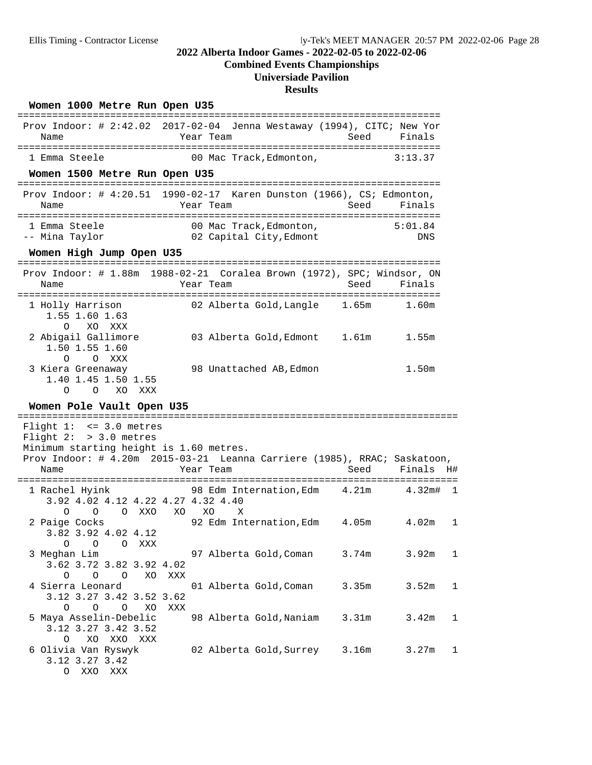# **Combined Events Championships**

# **Universiade Pavilion**

### **Results**

### Women 1000 Metre Run Open U35

|                                                                                                         | Prov Indoor: # 2:42.02 2017-02-04 Jenna Westaway (1994), CITC; New Yor                |       |                |             |
|---------------------------------------------------------------------------------------------------------|---------------------------------------------------------------------------------------|-------|----------------|-------------|
| Name                                                                                                    | Year Team                                                                             | Seed  | Finals         |             |
| 1 Emma Steele                                                                                           | 00 Mac Track, Edmonton,                                                               |       | 3:13.37        |             |
| Women 1500 Metre Run Open U35                                                                           |                                                                                       |       |                |             |
| Name                                                                                                    | Prov Indoor: # 4:20.51 1990-02-17 Karen Dunston (1966), CS; Edmonton,<br>Year Team    | Seed  | Finals         |             |
| 1 Emma Steele<br>-- Mina Taylor                                                                         | 00 Mac Track, Edmonton,<br>02 Capital City,Edmont                                     |       | 5:01.84<br>DNS |             |
| Women High Jump Open U35                                                                                |                                                                                       |       |                |             |
| Name                                                                                                    | Prov Indoor: # 1.88m 1988-02-21 Coralea Brown (1972), SPC; Windsor, ON<br>Year Team   | Seed  | Finals         |             |
| 1 Holly Harrison<br>1.55 1.60 1.63<br>XO XXX<br>$\circ$                                                 | 02 Alberta Gold, Langle 1.65m                                                         |       | 1.60m          |             |
| 2 Abigail Gallimore<br>1.50 1.55 1.60<br>$\circ$<br>O XXX                                               | 03 Alberta Gold, Edmont 1.61m 1.55m                                                   |       |                |             |
| 3 Kiera Greenaway<br>1.40 1.45 1.50 1.55<br>O<br>XO<br>XXX<br>$\Omega$                                  | 98 Unattached AB, Edmon                                                               |       | 1.50m          |             |
| Women Pole Vault Open U35                                                                               |                                                                                       |       |                |             |
|                                                                                                         |                                                                                       |       |                |             |
| Flight $1: < = 3.0$ metres<br>Flight $2:$ > 3.0 metres                                                  |                                                                                       |       |                |             |
| Minimum starting height is 1.60 metres.                                                                 |                                                                                       |       |                |             |
| Name                                                                                                    | Prov Indoor: # 4.20m 2015-03-21 Leanna Carriere (1985), RRAC; Saskatoon,<br>Year Team | Seed  | Finals H#      |             |
| 1 Rachel Hyink<br>3.92 4.02 4.12 4.22 4.27 4.32 4.40                                                    | 98 Edm Internation, Edm 4.21m 4.32m#                                                  |       |                | $\mathbf 1$ |
| O XXO<br>0<br>$\circ$<br>2 Paige Cocks<br>3.82 3.92 4.02 4.12                                           | XO<br>XO<br>X<br>92 Edm Internation, Edm 4.05m                                        |       | 4.02m          | 1           |
| O O O XXX<br>3 Meghan Lim<br>3.62 3.72 3.82 3.92 4.02                                                   | 97 Alberta Gold, Coman                                                                | 3.74m | 3.92m          | 1           |
| O<br>XO<br>0<br>$\circ$<br>4 Sierra Leonard<br>3.12 3.27 3.42 3.52 3.62                                 | XXX<br>01 Alberta Gold, Coman                                                         | 3.35m | 3.52m          | 1           |
| $\circ$<br>$\circ$<br>O<br>XО<br>5 Maya Asselin-Debelic<br>3.12 3.27 3.42 3.52<br>XO<br>XXO<br>XXX<br>O | XXX<br>98 Alberta Gold, Naniam                                                        | 3.31m | 3.42m          | 1           |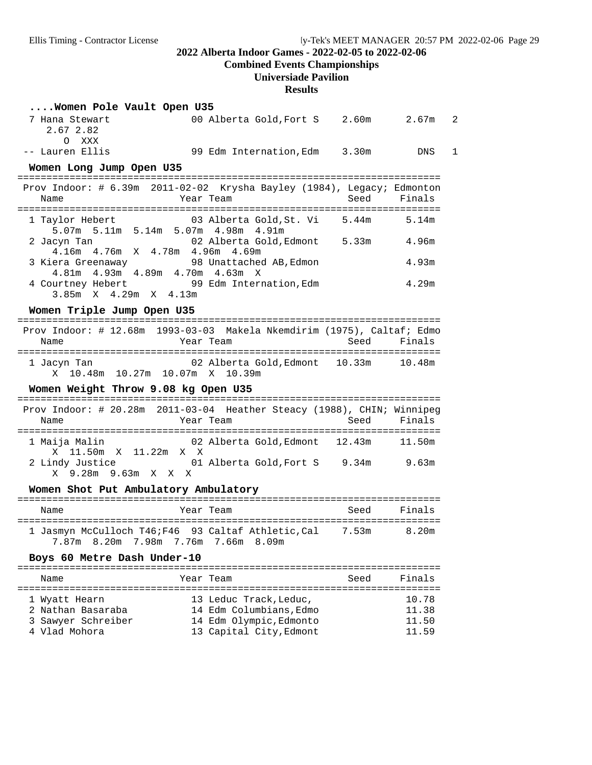### **Combined Events Championships**

### **Universiade Pavilion**

#### **Results**

| Women Pole Vault Open U35                                                                              |                                       |      |        |   |
|--------------------------------------------------------------------------------------------------------|---------------------------------------|------|--------|---|
| 7 Hana Stewart<br>2.67 2.82<br>O XXX                                                                   | 00 Alberta Gold, Fort S 2.60m 2.67m   |      |        | 2 |
| -- Lauren Ellis                                                                                        | 99 Edm Internation, Edm 3.30m DNS     |      |        | 1 |
| Women Long Jump Open U35                                                                               |                                       |      |        |   |
| Prov Indoor: # 6.39m 2011-02-02 Krysha Bayley (1984), Legacy; Edmonton<br>Name                         | Year Team                             | Seed | Finals |   |
| 1 Taylor Hebert 603 Alberta Gold, St. Vi 5.44m<br>5.07m 5.11m 5.14m 5.07m 4.98m 4.91m                  |                                       |      | 5.14m  |   |
| 2 Jacyn Tan<br>4.16m  4.76m  X  4.78m  4.96m  4.69m                                                    | 02 Alberta Gold, Edmont 5.33m 4.96m   |      |        |   |
| 3 Kiera Greenaway 68 Unattached AB, Edmon<br>4.81m  4.93m  4.89m  4.70m  4.63m  X                      |                                       |      | 4.93m  |   |
| 4 Courtney Hebert 99 Edm Internation, Edm 3.85m X 4.29m X 4.13m                                        |                                       |      | 4.29m  |   |
| Women Triple Jump Open U35                                                                             |                                       |      |        |   |
| Prov Indoor: # 12.68m 1993-03-03 Makela Nkemdirim (1975), Caltaf; Edmo<br>Name                         | Year Team                             | Seed | Finals |   |
| 1 Jacyn Tan 10.48m 02 Alberta Gold, Edmont 10.33m 10.48m<br>X 10.48m 10.27m 10.07m X 10.39m            |                                       |      |        |   |
| Women Weight Throw 9.08 kg Open U35                                                                    |                                       |      |        |   |
| Prov Indoor: # 20.28m 2011-03-04 Heather Steacy (1988), CHIN; Winnipeg<br>Name                         | Year Team                             | Seed | Finals |   |
| 1 Maija Malin                                                                                          | 02 Alberta Gold, Edmont 12.43m 11.50m |      |        |   |
| X 11.50m X 11.22m X X<br>2 Lindy Justice<br>X 9.28m 9.63m X X X                                        | 01 Alberta Gold, Fort S 9.34m 9.63m   |      |        |   |
| Women Shot Put Ambulatory Ambulatory                                                                   |                                       |      |        |   |
| Name                                                                                                   | Year Team                             | Seed | Finals |   |
| 1 Jasmyn McCulloch T46; F46 93 Caltaf Athletic, Cal 7.53m 8.20m<br>7.87m 8.20m 7.98m 7.76m 7.66m 8.09m |                                       |      |        |   |
| Boys 60 Metre Dash Under-10                                                                            |                                       |      |        |   |
| Name                                                                                                   | Year Team                             | Seed | Finals |   |
| 1 Wyatt Hearn                                                                                          | 13 Leduc Track, Leduc,                |      | 10.78  |   |

 2 Nathan Basaraba 14 Edm Columbians,Edmo 11.38 3 Sawyer Schreiber 14 Edm Olympic,Edmonto 11.50 4 Vlad Mohora 13 Capital City,Edmont 11.59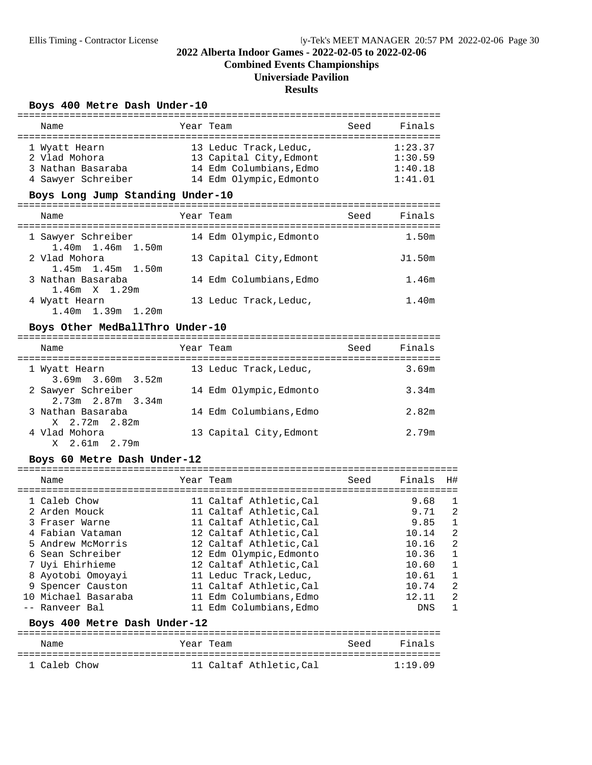**Combined Events Championships**

# **Universiade Pavilion**

### **Results**

#### Boys 400 Metre Dash Under-10

| Name               |  | Year Team               | Seed | Finals  |  |  |
|--------------------|--|-------------------------|------|---------|--|--|
|                    |  |                         |      |         |  |  |
| 1 Wyatt Hearn      |  | 13 Leduc Track, Leduc,  |      | 1:23.37 |  |  |
| 2 Vlad Mohora      |  | 13 Capital City, Edmont |      | 1:30.59 |  |  |
| 3 Nathan Basaraba  |  | 14 Edm Columbians, Edmo |      | 1:40.18 |  |  |
| 4 Sawyer Schreiber |  | 14 Edm Olympic, Edmonto |      | 1:41.01 |  |  |
|                    |  |                         |      |         |  |  |

# Boys Long Jump Standing Under-10

| Name                                                       | Year Team               | Seed | Finals |
|------------------------------------------------------------|-------------------------|------|--------|
| 1 Sawyer Schreiber                                         | 14 Edm Olympic, Edmonto |      | 1.50m  |
| $1.40m$ $1.46m$ $1.50m$<br>2 Vlad Mohora                   | 13 Capital City, Edmont |      | J1.50m |
| $1.45m$ $1.45m$ $1.50m$<br>3 Nathan Basaraba               | 14 Edm Columbians, Edmo |      | 1.46m  |
| $1.46m \times 1.29m$<br>4 Wyatt Hearn<br>1.40m 1.39m 1.20m | 13 Leduc Track, Leduc,  |      | 1.40m  |

#### Boys Other MedBallThro Under-10

| Name                                          | Year Team               | Seed | Finals            |
|-----------------------------------------------|-------------------------|------|-------------------|
| 1 Wyatt Hearn<br>$3.69m$ $3.60m$ $3.52m$      | 13 Leduc Track, Leduc,  |      | 3.69m             |
| 2 Sawyer Schreiber<br>$2.73m$ $2.87m$ $3.34m$ | 14 Edm Olympic, Edmonto |      | 3.34m             |
| 3 Nathan Basaraba<br>X 2.72m 2.82m            | 14 Edm Columbians, Edmo |      | 2.82 <sub>m</sub> |
| 4 Vlad Mohora<br>X 2.61m 2.79m                | 13 Capital City, Edmont |      | 2.79m             |

#### Boys 60 Metre Dash Under-12

| Name                | Year Team               | Seed | Finals     | H# |
|---------------------|-------------------------|------|------------|----|
| 1 Caleb Chow        | 11 Caltaf Athletic, Cal |      | 9.68       | 1  |
| 2 Arden Mouck       | 11 Caltaf Athletic, Cal |      | 9.71       | 2  |
| 3 Fraser Warne      | 11 Caltaf Athletic, Cal |      | 9.85       | 1  |
| 4 Fabian Vataman    | 12 Caltaf Athletic, Cal |      | 10.14      | 2  |
| 5 Andrew McMorris   | 12 Caltaf Athletic, Cal |      | 10.16      | 2  |
| 6 Sean Schreiber    | 12 Edm Olympic, Edmonto |      | 10.36      | 1  |
| 7 Uyi Ehirhieme     | 12 Caltaf Athletic, Cal |      | 10.60      | 1  |
| 8 Ayotobi Omoyayi   | 11 Leduc Track, Leduc,  |      | 10.61      | 1  |
| 9 Spencer Causton   | 11 Caltaf Athletic, Cal |      | 10.74      | 2  |
| 10 Michael Basaraba | 11 Edm Columbians, Edmo |      | 12.11      | 2  |
| -- Ranveer Bal      | 11 Edm Columbians.Edmo  |      | <b>DNS</b> | 1  |

#### Boys 400 Metre Dash Under-12

| Name         | Year Team |                        | Seed | Finals  |
|--------------|-----------|------------------------|------|---------|
|              |           |                        |      |         |
| 1 Caleb Chow |           | 11 Caltaf Athletic.Cal |      | 1:19.09 |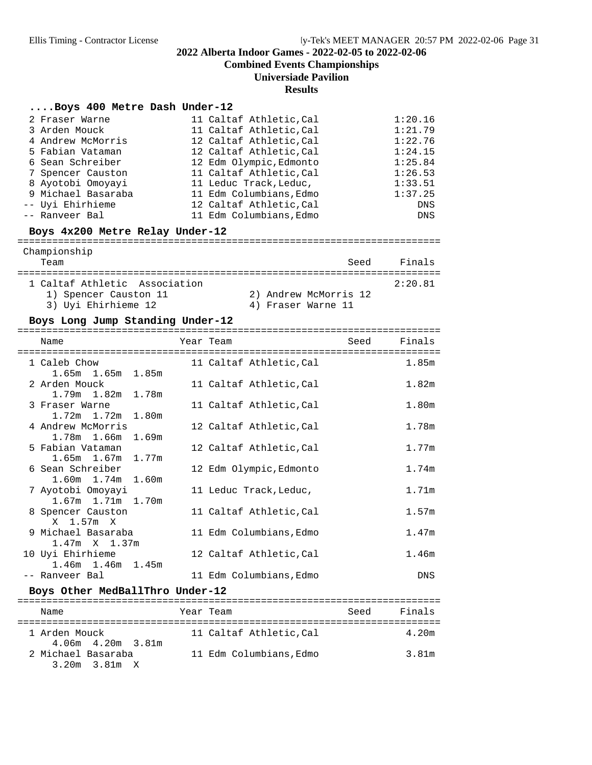**Combined Events Championships**

### **Universiade Pavilion**

#### **Results**

#### **....Boys 400 Metre Dash Under-12**

| 2 Fraser Warne     | 11 Caltaf Athletic, Cal | 1:20.16 |
|--------------------|-------------------------|---------|
| 3 Arden Mouck      | 11 Caltaf Athletic, Cal | 1:21.79 |
| 4 Andrew McMorris  | 12 Caltaf Athletic, Cal | 1:22.76 |
| 5 Fabian Vataman   | 12 Caltaf Athletic, Cal | 1:24.15 |
| 6 Sean Schreiber   | 12 Edm Olympic, Edmonto | 1:25.84 |
| 7 Spencer Causton  | 11 Caltaf Athletic, Cal | 1:26.53 |
| 8 Ayotobi Omoyayi  | 11 Leduc Track, Leduc,  | 1:33.51 |
| 9 Michael Basaraba | 11 Edm Columbians, Edmo | 1:37.25 |
| -- Uyi Ehirhieme   | 12 Caltaf Athletic, Cal | DNS     |
| -- Ranveer Bal     | 11 Edm Columbians, Edmo | DNS     |

**Boys 4x200 Metre Relay Under-12** =========================================================================

| Championship<br>Team          | Seed                  | Finals  |
|-------------------------------|-----------------------|---------|
| 1 Caltaf Athletic Association |                       | 2:20.81 |
| 1) Spencer Causton 11         | 2) Andrew McMorris 12 |         |
| 3) Uvi Ehirhieme 12           | 4) Fraser Warne 11    |         |

#### Boys Long Jump Standing Under-12

| Name                                        | Year Team               | Seed | Finals            |
|---------------------------------------------|-------------------------|------|-------------------|
| 1 Caleb Chow<br>$1.65m$ $1.65m$ $1.85m$     | 11 Caltaf Athletic, Cal |      | 1.85m             |
| 2 Arden Mouck<br>1.79m 1.82m 1.78m          | 11 Caltaf Athletic, Cal |      | 1.82 <sub>m</sub> |
| 3 Fraser Warne<br>$1.72m$ $1.72m$ $1.80m$   | 11 Caltaf Athletic, Cal |      | 1.80m             |
| 4 Andrew McMorris<br>1.78m 1.66m 1.69m      | 12 Caltaf Athletic, Cal |      | 1.78m             |
| 5 Fabian Vataman<br>$1.65m$ $1.67m$ $1.77m$ | 12 Caltaf Athletic, Cal |      | 1.77m             |
| 6 Sean Schreiber<br>$1.60m$ $1.74m$ $1.60m$ | 12 Edm Olympic, Edmonto |      | 1.74m             |
| 7 Ayotobi Omoyayi<br>1.67m 1.71m 1.70m      | 11 Leduc Track, Leduc,  |      | 1.71m             |
| 8 Spencer Causton<br>X 1.57m X              | 11 Caltaf Athletic, Cal |      | 1.57m             |
| 9 Michael Basaraba<br>$1.47m \times 1.37m$  | 11 Edm Columbians, Edmo |      | 1.47m             |
| 10 Uyi Ehirhieme<br>$1.46m$ $1.46m$ $1.45m$ | 12 Caltaf Athletic, Cal |      | 1.46m             |
| -- Ranveer Bal                              | 11 Edm Columbians, Edmo |      | <b>DNS</b>        |

# **Boys Other MedBallThro Under-12** =========================================================================

| Name                                     | Year Team              | Seed | Finals |
|------------------------------------------|------------------------|------|--------|
| 1 Arden Mouck<br>$4.06m$ $4.20m$ $3.81m$ | 11 Caltaf Athletic.Cal |      | 4.20m  |
| 2 Michael Basaraba<br>3.20m 3.81m X      | 11 Edm Columbians.Edmo |      | 3.81m  |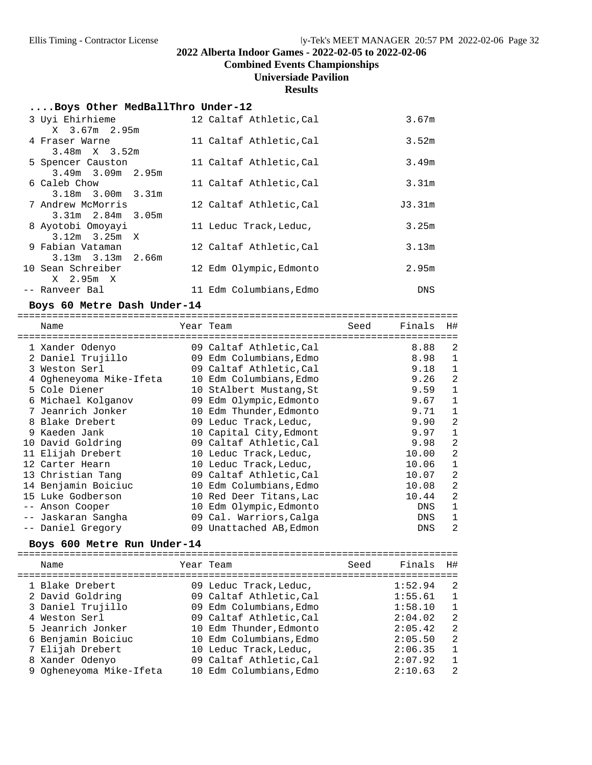**Combined Events Championships**

# **Universiade Pavilion**

#### **Results**

#### **....Boys Other MedBallThro Under-12**

| 3 Uyi Ehirhieme<br>X 3.67m 2.95m             | 12 Caltaf Athletic, Cal | 3.67m      |
|----------------------------------------------|-------------------------|------------|
| 4 Fraser Warne<br>$3.48m \times 3.52m$       | 11 Caltaf Athletic, Cal | 3.52m      |
| 5 Spencer Causton<br>$3.49m$ $3.09m$ $2.95m$ | 11 Caltaf Athletic, Cal | 3.49m      |
| 6 Caleb Chow                                 | 11 Caltaf Athletic, Cal | 3.31m      |
| $3.18m$ $3.00m$ $3.31m$<br>7 Andrew McMorris | 12 Caltaf Athletic, Cal | J3.31m     |
| $3.31m$ $2.84m$ $3.05m$<br>8 Ayotobi Omoyayi | 11 Leduc Track, Leduc,  | 3.25m      |
| $3.12m$ $3.25m$ X<br>9 Fabian Vataman        | 12 Caltaf Athletic, Cal | 3.13m      |
| $3.13m$ $3.13m$ $2.66m$<br>10 Sean Schreiber | 12 Edm Olympic, Edmonto | 2.95m      |
| X 2.95m X<br>-- Ranveer Bal                  | 11 Edm Columbians, Edmo | <b>DNS</b> |

#### Boys 60 Metre Dash Under-14

|                   | Name                    | Year Team               | Seed | Finals     | H#             |
|-------------------|-------------------------|-------------------------|------|------------|----------------|
|                   | 1 Xander Odenyo         | 09 Caltaf Athletic, Cal |      | 8.88       | $\overline{2}$ |
|                   | 2 Daniel Trujillo       | 09 Edm Columbians, Edmo |      | 8.98       | 1              |
|                   | 3 Weston Serl           | 09 Caltaf Athletic, Cal |      | 9.18       | 1              |
|                   | 4 Ogheneyoma Mike-Ifeta | 10 Edm Columbians, Edmo |      | 9.26       | 2              |
|                   | 5 Cole Diener           | 10 StAlbert Mustang, St |      | 9.59       | 1              |
|                   | 6 Michael Kolganov      | 09 Edm Olympic, Edmonto |      | 9.67       | 1              |
|                   | 7 Jeanrich Jonker       | 10 Edm Thunder, Edmonto |      | 9.71       | 1              |
|                   | 8 Blake Drebert         | 09 Leduc Track, Leduc,  |      | 9.90       | $\overline{2}$ |
|                   | 9 Kaeden Jank           | 10 Capital City, Edmont |      | 9.97       | 1              |
|                   | 10 David Goldring       | 09 Caltaf Athletic, Cal |      | 9.98       | 2              |
|                   | 11 Elijah Drebert       | 10 Leduc Track, Leduc,  |      | 10.00      | 2              |
|                   | 12 Carter Hearn         | 10 Leduc Track, Leduc,  |      | 10.06      | $\mathbf 1$    |
|                   | 13 Christian Tang       | 09 Caltaf Athletic, Cal |      | 10.07      | 2              |
|                   | 14 Benjamin Boiciuc     | 10 Edm Columbians, Edmo |      | 10.08      | 2              |
|                   | 15 Luke Godberson       | 10 Red Deer Titans, Lac |      | 10.44      | $\overline{a}$ |
| $\qquad \qquad -$ | Anson Cooper            | 10 Edm Olympic, Edmonto |      | DNS        | 1              |
|                   | -- Jaskaran Sangha      | 09 Cal. Warriors, Calga |      | DNS        | 1              |
|                   | -- Daniel Gregory       | 09 Unattached AB, Edmon |      | <b>DNS</b> | 2              |

# **Boys 600 Metre Run Under-14** ============================================================================

| Name                    | Year Team               | Seed | Finals  | H#             |
|-------------------------|-------------------------|------|---------|----------------|
| 1 Blake Drebert         | 09 Leduc Track, Leduc,  |      | 1:52.94 | -2             |
| 2 David Goldring        | 09 Caltaf Athletic, Cal |      | 1:55.61 | $\overline{1}$ |
| 3 Daniel Trujillo       | 09 Edm Columbians, Edmo |      | 1:58.10 | $\mathbf{1}$   |
| 4 Weston Serl           | 09 Caltaf Athletic, Cal |      | 2:04.02 | -2             |
| 5 Jeanrich Jonker       | 10 Edm Thunder, Edmonto |      | 2:05.42 | 2              |
| 6 Benjamin Boiciuc      | 10 Edm Columbians, Edmo |      | 2:05.50 | 2              |
| 7 Elijah Drebert        | 10 Leduc Track, Leduc,  |      | 2:06.35 | $\mathbf{1}$   |
| 8 Xander Odenyo         | 09 Caltaf Athletic, Cal |      | 2:07.92 | $\mathbf{1}$   |
| 9 Ogheneyoma Mike-Ifeta | 10 Edm Columbians. Edmo |      | 2:10.63 | $\mathfrak{D}$ |
|                         |                         |      |         |                |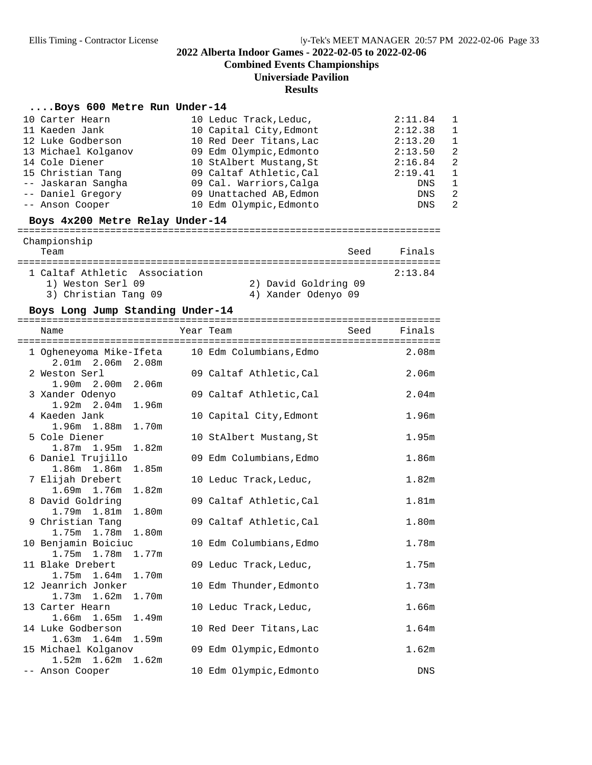**Combined Events Championships**

### **Universiade Pavilion**

#### **Results**

#### **....Boys 600 Metre Run Under-14**

| 10 Carter Hearn     | 10 Leduc Track, Leduc,  | 2:11.84 | - 1            |
|---------------------|-------------------------|---------|----------------|
| 11 Kaeden Jank      | 10 Capital City, Edmont | 2:12.38 | $\overline{1}$ |
| 12 Luke Godberson   | 10 Red Deer Titans, Lac | 2:13.20 | - 1            |
| 13 Michael Kolganov | 09 Edm Olympic, Edmonto | 2:13.50 | $\overline{2}$ |
| 14 Cole Diener      | 10 StAlbert Mustang, St | 2:16.84 | $\overline{2}$ |
| 15 Christian Tang   | 09 Caltaf Athletic, Cal | 2:19.41 | - 1            |
| -- Jaskaran Sangha  | 09 Cal. Warriors, Calga | DNS     | -1             |
| -- Daniel Gregory   | 09 Unattached AB, Edmon | DNS     | $\overline{2}$ |
| -- Anson Cooper     | 10 Edm Olympic, Edmonto | DNS     | $\overline{2}$ |

**Boys 4x200 Metre Relay Under-14** =========================================================================

| Championship<br>Team          | Seed                 | Finals  |
|-------------------------------|----------------------|---------|
| 1 Caltaf Athletic Association |                      | 2:13.84 |
| 1) Weston Serl 09             | 2) David Goldring 09 |         |
| 3) Christian Tang 09          | 4) Xander Odenyo 09  |         |

#### Boys Long Jump Standing Under-14

| Name                                                                 | Year Team               | Seed | Finals<br>$=$ $=$ $=$ |
|----------------------------------------------------------------------|-------------------------|------|-----------------------|
| 1 Ogheneyoma Mike-Ifeta 10 Edm Columbians, Edmo<br>2.01m 2.06m 2.08m |                         |      | 2.08m                 |
| 2 Weston Serl<br>1.90m 2.00m 2.06m                                   | 09 Caltaf Athletic, Cal |      | 2.06 <sub>m</sub>     |
| 3 Xander Odenyo<br>$1.92m$ $2.04m$ $1.96m$                           | 09 Caltaf Athletic, Cal |      | 2.04 <sub>m</sub>     |
| 4 Kaeden Jank<br>1.96m 1.88m 1.70m                                   | 10 Capital City, Edmont |      | 1.96m                 |
| 5 Cole Diener<br>$1.87m$ $1.95m$<br>1.82m                            | 10 StAlbert Mustang, St |      | 1.95m                 |
| 6 Daniel Trujillo<br>1.86m 1.86m<br>1.85m                            | 09 Edm Columbians, Edmo |      | 1.86m                 |
| 7 Elijah Drebert<br>$1.69m$ 1.76m<br>1.82m                           | 10 Leduc Track, Leduc,  |      | 1.82 <sub>m</sub>     |
| 8 David Goldring<br>1.79m 1.81m<br>1.80m                             | 09 Caltaf Athletic, Cal |      | 1.81m                 |
| 9 Christian Tang<br>1.75m 1.78m 1.80m                                | 09 Caltaf Athletic, Cal |      | 1.80m                 |
| 10 Benjamin Boiciuc<br>1.75m 1.78m 1.77m                             | 10 Edm Columbians, Edmo |      | 1.78m                 |
| 11 Blake Drebert<br>1.75m 1.64m 1.70m                                | 09 Leduc Track, Leduc,  |      | 1.75m                 |
| 12 Jeanrich Jonker<br>$1.73m$ $1.62m$ $1.70m$                        | 10 Edm Thunder, Edmonto |      | 1.73m                 |
| 13 Carter Hearn<br>1.66m 1.65m<br>1.49m                              | 10 Leduc Track, Leduc,  |      | 1.66m                 |
| 14 Luke Godberson                                                    | 10 Red Deer Titans, Lac |      | 1.64m                 |
| $1.63m$ $1.64m$<br>1.59m<br>15 Michael Kolganov                      | 09 Edm Olympic, Edmonto |      | 1.62m                 |
| $1.52m$ $1.62m$ $1.62m$<br>-- Anson Cooper                           | 10 Edm Olympic, Edmonto |      | DNS                   |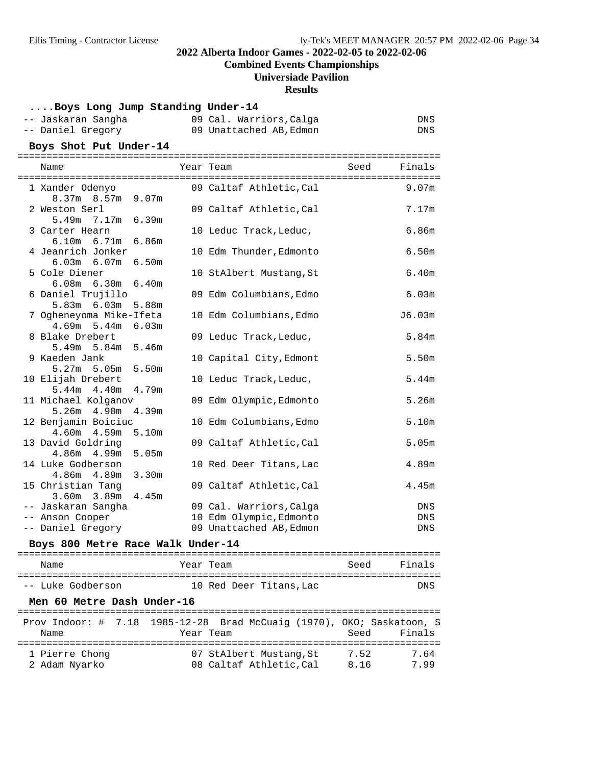### **Combined Events Championships**

## **Universiade Pavilion**

#### **Results**

#### **....Boys Long Jump Standing Under-14**

| -- Jaskaran Sangha | 09 Cal. Warriors, Calga | DNS |
|--------------------|-------------------------|-----|
| -- Daniel Gregory  | 09 Unattached AB, Edmon | DNS |

#### Boys Shot Put Under-14

| Name                                   |       | Year Team               | Seed | Finals<br>$=$ $=$ |
|----------------------------------------|-------|-------------------------|------|-------------------|
| 1 Xander Odenyo                        |       | 09 Caltaf Athletic,Cal  |      | 9.07 <sub>m</sub> |
| 8.37m 8.57m 9.07m                      |       |                         |      |                   |
| 2 Weston Serl<br>$5.49m$ $7.17m$       | 6.39m | 09 Caltaf Athletic, Cal |      | 7.17m             |
| 3 Carter Hearn                         |       | 10 Leduc Track, Leduc,  |      | 6.86m             |
| 6.10m 6.71m 6.86m                      |       |                         |      |                   |
| 4 Jeanrich Jonker                      |       | 10 Edm Thunder, Edmonto |      | 6.50m             |
| $6.03m$ $6.07m$                        | 6.50m |                         |      |                   |
| 5 Cole Diener                          |       | 10 StAlbert Mustang, St |      | 6.40m             |
| $6.08m$ $6.30m$ $6.40m$                |       |                         |      |                   |
| 6 Daniel Trujillo<br>5.83m 6.03m 5.88m |       | 09 Edm Columbians, Edmo |      | 6.03m             |
| 7 Ogheneyoma Mike-Ifeta                |       | 10 Edm Columbians, Edmo |      | J6.03m            |
| 4.69m 5.44m 6.03m                      |       |                         |      |                   |
| 8 Blake Drebert                        |       | 09 Leduc Track, Leduc,  |      | 5.84m             |
| 5.49m 5.84m 5.46m                      |       |                         |      |                   |
| 9 Kaeden Jank                          |       | 10 Capital City, Edmont |      | 5.50m             |
| 5.27m 5.05m 5.50m                      |       |                         |      |                   |
| 10 Elijah Drebert<br>$5.44m$ $4.40m$   | 4.79m | 10 Leduc Track, Leduc,  |      | 5.44m             |
| 11 Michael Kolganov                    |       | 09 Edm Olympic, Edmonto |      | 5.26 <sub>m</sub> |
| $5.26m$ 4.90m                          | 4.39m |                         |      |                   |
| 12 Benjamin Boiciuc                    |       | 10 Edm Columbians, Edmo |      | 5.10m             |
| 4.60m  4.59m  5.10m                    |       |                         |      |                   |
| 13 David Goldring                      |       | 09 Caltaf Athletic, Cal |      | 5.05m             |
| $4.86m$ $4.99m$                        | 5.05m |                         |      |                   |
| 14 Luke Godberson<br>4.86m 4.89m       | 3.30m | 10 Red Deer Titans, Lac |      | 4.89m             |
| 15 Christian Tang                      |       | 09 Caltaf Athletic, Cal |      | 4.45m             |
| $3.60m$ $3.89m$                        | 4.45m |                         |      |                   |
| -- Jaskaran Sangha                     |       | 09 Cal. Warriors, Calga |      | DNS               |
| -- Anson Cooper                        |       | 10 Edm Olympic, Edmonto |      | DNS               |
| -- Daniel Gregory                      |       | 09 Unattached AB, Edmon |      | <b>DNS</b>        |

## **Boys 800 Metre Race Walk Under-14** ========================================================================= Name Tear Team Seed Finals =========================================================================

| -- Luke Godberson | 10 Red Deer Titans, Lac | DNS |
|-------------------|-------------------------|-----|

#### Men 60 Metre Dash Under-16

| Name           | Prov Indoor: # 7.18 1985-12-28 Brad McCuaig (1970), OKO; Saskatoon, S<br>Year Team | Seed | Finals |
|----------------|------------------------------------------------------------------------------------|------|--------|
| 1 Pierre Chong | 07 StAlbert Mustang, St                                                            | 7.52 | 7.64   |
| 2 Adam Nyarko  | 08 Caltaf Athletic.Cal                                                             | 8.16 | 799    |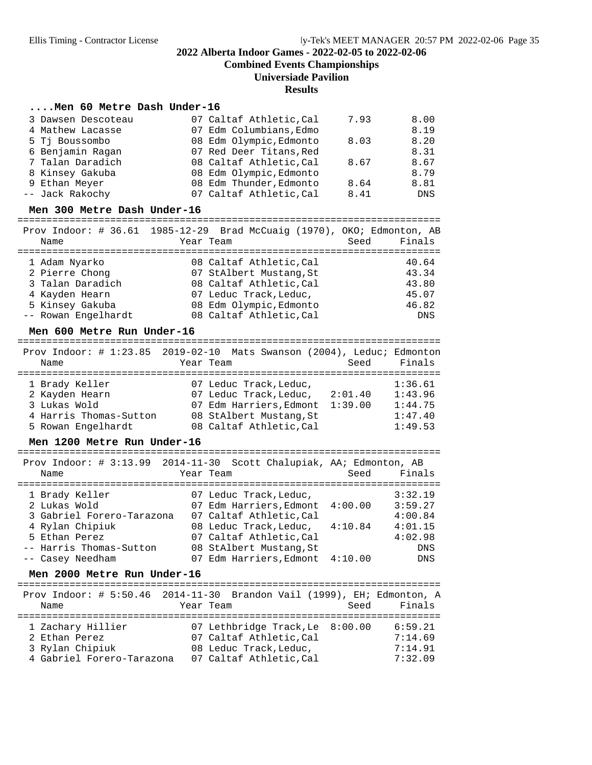**Combined Events Championships**

#### **Universiade Pavilion**

**Results**

#### **....Men 60 Metre Dash Under-16**

| 3 Dawsen Descoteau | 07 Caltaf Athletic, Cal | 7.93 | 8.00 |
|--------------------|-------------------------|------|------|
| 4 Mathew Lacasse   | 07 Edm Columbians, Edmo |      | 8.19 |
| 5 Tj Boussombo     | 08 Edm Olympic, Edmonto | 8.03 | 8.20 |
| 6 Benjamin Ragan   | 07 Red Deer Titans, Red |      | 8.31 |
| 7 Talan Daradich   | 08 Caltaf Athletic, Cal | 8.67 | 8.67 |
| 8 Kinsey Gakuba    | 08 Edm Olympic, Edmonto |      | 8.79 |
| 9 Ethan Meyer      | 08 Edm Thunder, Edmonto | 8.64 | 8.81 |
| -- Jack Rakochy    | 07 Caltaf Athletic, Cal | 8.41 | DNS  |

# **Men 300 Metre Dash Under-16** =========================================================================

Prov Indoor: # 36.61 1985-12-29 Brad McCuaig (1970), OKO; Edmonton, AB

| Name                | Year Team               | Seed | Finals     |
|---------------------|-------------------------|------|------------|
| 1 Adam Nyarko       | 08 Caltaf Athletic, Cal |      | 40.64      |
| 2 Pierre Chong      | 07 StAlbert Mustang, St |      | 43.34      |
| 3 Talan Daradich    | 08 Caltaf Athletic, Cal |      | 43.80      |
| 4 Kayden Hearn      | 07 Leduc Track, Leduc,  |      | 45.07      |
| 5 Kinsey Gakuba     | 08 Edm Olympic, Edmonto |      | 46.82      |
| -- Rowan Engelhardt | 08 Caltaf Athletic, Cal |      | <b>DNS</b> |
|                     |                         |      |            |

**Men 600 Metre Run Under-16** ========================================================================= Prov Indoor: # 1:23.85 2019-02-10 Mats Swanson (2004), Leduc; Edmonton Name Tear Team Seed Finals ========================================================================= 1 Brady Keller 1:36.61 2 Kayden Hearn 07 Leduc Track,Leduc, 2:01.40 1:43.96 3 Lukas Wold 07 Edm Harriers,Edmont 1:39.00 1:44.75 4 Harris Thomas-Sutton 08 StAlbert Mustang,St 1:47.40 5 Rowan Engelhardt 08 Caltaf Athletic,Cal 1:49.53

# **Men 1200 Metre Run Under-16** =========================================================================

 Prov Indoor: # 3:13.99 2014-11-30 Scott Chalupiak, AA; Edmonton, AB Name **Year Team** Seed Finals ========================================================================= 1 Brady Keller 07 Leduc Track,Leduc, 3:32.19 2 Lukas Wold 07 Edm Harriers,Edmont 4:00.00 3:59.27 3 Gabriel Forero-Tarazona 07 Caltaf Athletic,Cal 4:00.84 4 Rylan Chipiuk 08 Leduc Track,Leduc, 4:10.84 4:01.15 5 Ethan Perez 07 Caltaf Athletic,Cal 4:02.98 -- Harris Thomas-Sutton 08 StAlbert Mustang, St -- Casey Needham 07 Edm Harriers,Edmont 4:10.00 DNS

**Men 2000 Metre Run Under-16** ========================================================================= Prov Indoor: # 5:50.46 2014-11-30 Brandon Vail (1999), EH; Edmonton, A Name Year Team Seed Finals ========================================================================= 1 Zachary Hillier 07 Lethbridge Track,Le 8:00.00 6:59.21 2 Ethan Perez 07 Caltaf Athletic,Cal 7:14.69 3 Rylan Chipiuk 08 Leduc Track,Leduc, 7:14.91 4 Gabriel Forero-Tarazona 07 Caltaf Athletic,Cal 7:32.09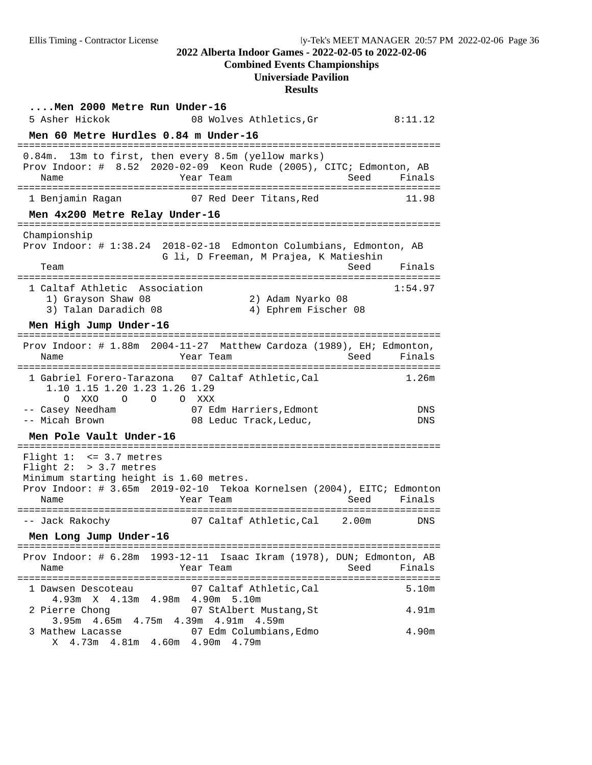**Combined Events Championships**

# **Universiade Pavilion**

**Results**

| Men 2000 Metre Run Under-16<br>5 Asher Hickok<br>08 Wolves Athletics, Gr                                                                                                                                                                                                  | 8:11.12                    |
|---------------------------------------------------------------------------------------------------------------------------------------------------------------------------------------------------------------------------------------------------------------------------|----------------------------|
| Men 60 Metre Hurdles 0.84 m Under-16                                                                                                                                                                                                                                      |                            |
| =================================<br>13m to first, then every 8.5m (yellow marks)<br>$0.84m$ .<br>Prov Indoor: # 8.52 2020-02-09 Keon Rude (2005), CITC; Edmonton, AB<br>Seed<br>Name<br>Year Team                                                                        | Finals                     |
| 07 Red Deer Titans.Red<br>1 Benjamin Raqan                                                                                                                                                                                                                                | 11.98                      |
| Men 4x200 Metre Relay Under-16<br>======================================                                                                                                                                                                                                  |                            |
| Championship<br>Prov Indoor: # 1:38.24 2018-02-18 Edmonton Columbians, Edmonton, AB<br>G li, D Freeman, M Prajea, K Matieshin<br>Team<br>Seed<br>1 Caltaf Athletic Association<br>1) Grayson Shaw 08<br>2) Adam Nyarko 08<br>3) Talan Daradich 08<br>4) Ephrem Fischer 08 | Finals<br>1:54.97          |
| Men High Jump Under-16<br>========================<br>========<br>=================                                                                                                                                                                                       |                            |
| Prov Indoor: # 1.88m 2004-11-27 Matthew Cardoza (1989), EH; Edmonton,<br>Name<br>Year Team<br>Seed<br>=============                                                                                                                                                       | Finals                     |
| 1 Gabriel Forero-Tarazona 07 Caltaf Athletic, Cal<br>1.10 1.15 1.20 1.23 1.26 1.29<br>O O XXX<br>O XXO<br>$\Omega$<br>-- Casey Needham<br>07 Edm Harriers, Edmont<br>-- Micah Brown<br>08 Leduc Track, Leduc,<br>Men Pole Vault Under-16                                  | 1.26m<br>DNS<br><b>DNS</b> |
| Flight $1: < = 3.7$ metres<br>Flight $2:$ > 3.7 metres<br>Minimum starting height is 1.60 metres.<br>Prov Indoor: # 3.65m 2019-02-10 Tekoa Kornelsen (2004), EITC; Edmonton<br>Year Team<br>Seed<br>Name<br>. _ _ _ _ _ _ _ _ _ _ _                                       | Finals                     |
| 07 Caltaf Athletic, Cal<br>-- Jack Rakochy<br>2.00m                                                                                                                                                                                                                       | DNS                        |
| Men Long Jump Under-16                                                                                                                                                                                                                                                    |                            |
| Prov Indoor: # 6.28m 1993-12-11 Isaac Ikram (1978), DUN; Edmonton, AB<br>Seed<br>Name<br>Year Team                                                                                                                                                                        | Finals                     |
| 07 Caltaf Athletic,Cal<br>1 Dawsen Descoteau                                                                                                                                                                                                                              | 5.10m                      |
| 4.93m X 4.13m 4.98m 4.90m 5.10m<br>2 Pierre Chong<br>07 StAlbert Mustang, St<br>3.95m 4.65m 4.75m 4.39m 4.91m 4.59m                                                                                                                                                       | 4.91m                      |
| 07 Edm Columbians, Edmo<br>3 Mathew Lacasse<br>X 4.73m 4.81m 4.60m 4.90m 4.79m                                                                                                                                                                                            | 4.90m                      |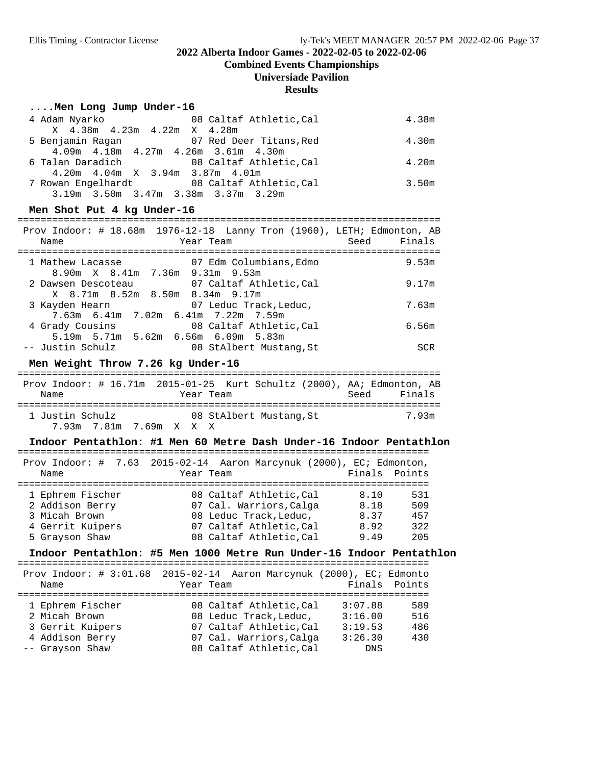**Combined Events Championships**

#### **Universiade Pavilion**

#### **Results**

#### **....Men Long Jump Under-16**

| 4 Adam Nyarko                                   | 08 Caltaf Athletic, Cal | 4.38m |
|-------------------------------------------------|-------------------------|-------|
| X 4.38m 4.23m 4.22m X 4.28m                     |                         |       |
| 5 Benjamin Ragan 607 Red Deer Titans, Red       |                         | 4.30m |
| $4.09m$ $4.18m$ $4.27m$ $4.26m$ $3.61m$ $4.30m$ |                         |       |
| 6 Talan Daradich 6 08 Caltaf Athletic, Cal      |                         | 4.20m |
| $4.20m$ $4.04m$ $X$ $3.94m$ $3.87m$ $4.01m$     |                         |       |
| 7 Rowan Engelhardt 68 Caltaf Athletic, Cal      |                         | 3.50m |
| 3.19m 3.50m 3.47m 3.38m 3.37m 3.29m             |                         |       |

#### Men Shot Put 4 kg Under-16

| Prov Indoor: # 18.68m 1976-12-18 Lanny Tron (1960), LETH; Edmonton, AB |                                     |      |            |
|------------------------------------------------------------------------|-------------------------------------|------|------------|
| Name                                                                   | Year Team                           | Seed | Finals     |
|                                                                        |                                     |      |            |
| 1 Mathew Lacasse                                                       | 07 Edm Columbians, Edmo             |      | 9.53m      |
|                                                                        | 8.90m X 8.41m 7.36m 9.31m 9.53m     |      |            |
| 2 Dawsen Descoteau 67 Caltaf Athletic, Cal                             |                                     |      | 9.17m      |
|                                                                        | X 8.71m 8.52m 8.50m 8.34m 9.17m     |      |            |
| 3 Kayden Hearn                                                         | 07 Leduc Track, Leduc,              |      | 7.63m      |
|                                                                        | 7.63m 6.41m 7.02m 6.41m 7.22m 7.59m |      |            |
| 4 Grady Cousins                                                        | 08 Caltaf Athletic, Cal             |      | 6.56m      |
|                                                                        | 5.19m 5.71m 5.62m 6.56m 6.09m 5.83m |      |            |
| -- Justin Schulz                                                       | 08 StAlbert Mustang, St             |      | <b>SCR</b> |

#### Men Weight Throw 7.26 kg Under-16

| Prov Indoor: $\#$ 16.71m 2015-01-25 Kurt Schultz (2000), AA; Edmonton, AB<br>Name |  | Year Team               |  | Seed Finals |
|-----------------------------------------------------------------------------------|--|-------------------------|--|-------------|
| 1 Justin Schulz<br>7.93 m7.81 m7.69 m x x x                                       |  | 08 StAlbert Mustang, St |  | 7.93m       |

#### Indoor Pentathlon: #1 Men 60 Metre Dash Under-16 Indoor Pentathlon

| Prov Indoor: # 7.63 2015-02-14 Aaron Marcynuk (2000), EC; Edmonton,<br>Finals Points<br>Year Team<br>Name<br>1 Ephrem Fischer<br>08 Caltaf Athletic, Cal<br>8.10<br>2 Addison Berry<br>07 Cal. Warriors, Calga<br>8.18<br>3 Micah Brown<br>08 Leduc Track, Leduc,<br>8.37<br>07 Caltaf Athletic, Cal<br>4 Gerrit Kuipers<br>8.92<br>08 Caltaf Athletic, Cal<br>5 Grayson Shaw<br>9.49 |  |     |
|---------------------------------------------------------------------------------------------------------------------------------------------------------------------------------------------------------------------------------------------------------------------------------------------------------------------------------------------------------------------------------------|--|-----|
|                                                                                                                                                                                                                                                                                                                                                                                       |  |     |
|                                                                                                                                                                                                                                                                                                                                                                                       |  |     |
|                                                                                                                                                                                                                                                                                                                                                                                       |  |     |
|                                                                                                                                                                                                                                                                                                                                                                                       |  | 531 |
|                                                                                                                                                                                                                                                                                                                                                                                       |  | 509 |
|                                                                                                                                                                                                                                                                                                                                                                                       |  | 457 |
|                                                                                                                                                                                                                                                                                                                                                                                       |  | 322 |
|                                                                                                                                                                                                                                                                                                                                                                                       |  | 205 |

## Indoor Pentathlon: #5 Men 1000 Metre Run Under-16 Indoor Pentathlon

| Prov Indoor: # 3:01.68 2015-02-14 Aaron Marcynuk (2000), EC; Edmonto<br>Name | Year Team               |         | Finals Points |
|------------------------------------------------------------------------------|-------------------------|---------|---------------|
|                                                                              |                         |         |               |
| 1 Ephrem Fischer                                                             | 08 Caltaf Athletic.Cal  | 3:07.88 | 589           |
| 2 Micah Brown                                                                | 08 Leduc Track, Leduc,  | 3:16.00 | 516           |
| 3 Gerrit Kuipers                                                             | 07 Caltaf Athletic, Cal | 3:19.53 | 486           |
| 4 Addison Berry                                                              | 07 Cal. Warriors, Calga | 3:26.30 | 430           |
| -- Grayson Shaw                                                              | 08 Caltaf Athletic, Cal | DNS     |               |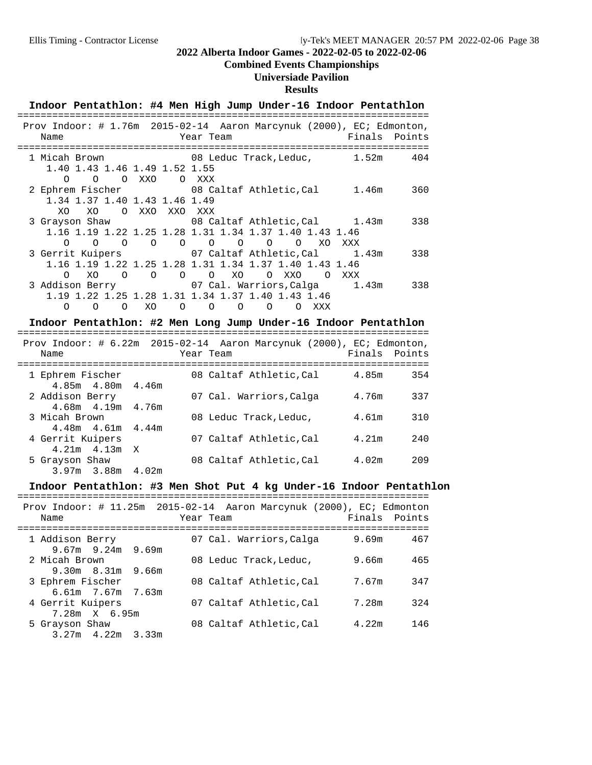### **Combined Events Championships**

## **Universiade Pavilion**

### **Results**

|                                                                           |          |          |                               |                |                                                        |         |          |          |          |     | Indoor Pentathlon: #4 Men High Jump Under-16 Indoor Pentathlon                        |
|---------------------------------------------------------------------------|----------|----------|-------------------------------|----------------|--------------------------------------------------------|---------|----------|----------|----------|-----|---------------------------------------------------------------------------------------|
| Name                                                                      |          |          |                               |                | Year Team                                              |         |          |          |          |     | Prov Indoor: # 1.76m 2015-02-14 Aaron Marcynuk (2000), EC; Edmonton,<br>Finals Points |
| 1 Micah Brown                                                             |          |          |                               |                |                                                        |         |          |          |          |     |                                                                                       |
| $\Omega$                                                                  |          | O O XXO  | 1.40 1.43 1.46 1.49 1.52 1.55 | O XXX          |                                                        |         |          |          |          |     |                                                                                       |
|                                                                           |          |          |                               |                |                                                        |         |          |          |          |     | 2 Ephrem Fischer 68 Caltaf Athletic, Cal 1.46m 360                                    |
|                                                                           |          |          | 1.34 1.37 1.40 1.43 1.46 1.49 |                |                                                        |         |          |          |          |     |                                                                                       |
| XO<br>3 Grayson Shaw                                                      | XO       |          | O XXO XXO XXX                 |                |                                                        |         |          |          |          |     | 08 Caltaf Athletic, Cal 1.43m 338                                                     |
|                                                                           |          |          |                               |                | 1.16 1.19 1.22 1.25 1.28 1.31 1.34 1.37 1.40 1.43 1.46 |         |          |          |          |     |                                                                                       |
| $\Omega$                                                                  | $\Omega$ | $\Omega$ | $\circ$                       |                | $\begin{array}{ccccccccc}\n0 & 0 & 0 & \n\end{array}$  |         | $\circ$  | $\circ$  | XO.      | XXX |                                                                                       |
| 3 Gerrit Kuipers 67 Caltaf Athletic, Cal 1.43m                            |          |          |                               |                |                                                        |         |          |          |          |     | 338                                                                                   |
|                                                                           |          |          |                               |                | 1.16 1.19 1.22 1.25 1.28 1.31 1.34 1.37 1.40 1.43 1.46 |         |          |          |          |     |                                                                                       |
| $\Omega$                                                                  | XO       | $\Omega$ | $\circ$                       | $\overline{O}$ | $\overline{O}$                                         | XO      | O XXO    |          | $\Omega$ | XXX |                                                                                       |
| 3 Addison Berry                       07 Cal. Warriors, Calga       1.43m |          |          |                               |                |                                                        |         |          |          |          |     | 338                                                                                   |
|                                                                           |          |          |                               |                | 1.19 1.22 1.25 1.28 1.31 1.34 1.37 1.40 1.43 1.46      |         |          |          |          |     |                                                                                       |
| ∩                                                                         | O        | $\Omega$ | XO                            | $\circ$        | $\overline{O}$                                         | $\circ$ | $\Omega$ | $\Omega$ | XXX      |     |                                                                                       |

#### Indoor Pentathlon: #2 Men Long Jump Under-16 Indoor Pentathlon

| Name                                     |       | Prov Indoor: # 6.22m 2015-02-14 Aaron Marcynuk (2000), EC; Edmonton,<br>Year Team | Finals Points |      |
|------------------------------------------|-------|-----------------------------------------------------------------------------------|---------------|------|
| 1 Ephrem Fischer<br>4.85m  4.80m  4.46m  |       | 08 Caltaf Athletic, Cal                                                           | 4.85m         | 354  |
| 2 Addison Berry<br>4.68m  4.19m  4.76m   |       | 07 Cal. Warriors, Calga                                                           | 4.76m         | 337  |
| 3 Micah Brown<br>$4.48m$ $4.61m$ $4.44m$ |       | 08 Leduc Track, Leduc,                                                            | 4.61m         | 310  |
| 4 Gerrit Kuipers<br>$4.21m$ $4.13m$ X    |       | 07 Caltaf Athletic, Cal                                                           | 4.21m         | 2.40 |
| 5 Grayson Shaw<br>3.97m 3.88m            | 4.02m | 08 Caltaf Athletic, Cal                                                           | 4.02m         | 209  |

# **Indoor Pentathlon: #3 Men Shot Put 4 kg Under-16 Indoor Pentathlon** =======================================================================

|                                          | Prov Indoor: # 11.25m 2015-02-14 Aaron Marcynuk (2000), EC; Edmonton |               |
|------------------------------------------|----------------------------------------------------------------------|---------------|
| Name                                     | Year Team                                                            | Finals Points |
| 1 Addison Berry<br>$9.67m$ 9.24m 9.69m   | 07 Cal. Warriors, Calga                                              | 9.69m<br>467  |
| 2 Micah Brown<br>$9.30m$ $8.31m$ $9.66m$ | 08 Leduc Track, Leduc,                                               | 465<br>9.66m  |
| 3 Ephrem Fischer<br>6.61m 7.67m 7.63m    | 08 Caltaf Athletic, Cal                                              | 347<br>7.67m  |
| 4 Gerrit Kuipers<br>$7.28m \times 6.95m$ | 07 Caltaf Athletic, Cal                                              | 324<br>7.28m  |
| 5 Grayson Shaw<br>$3.27m$ 4.22m 3.33m    | 08 Caltaf Athletic, Cal                                              | 4.22m<br>146  |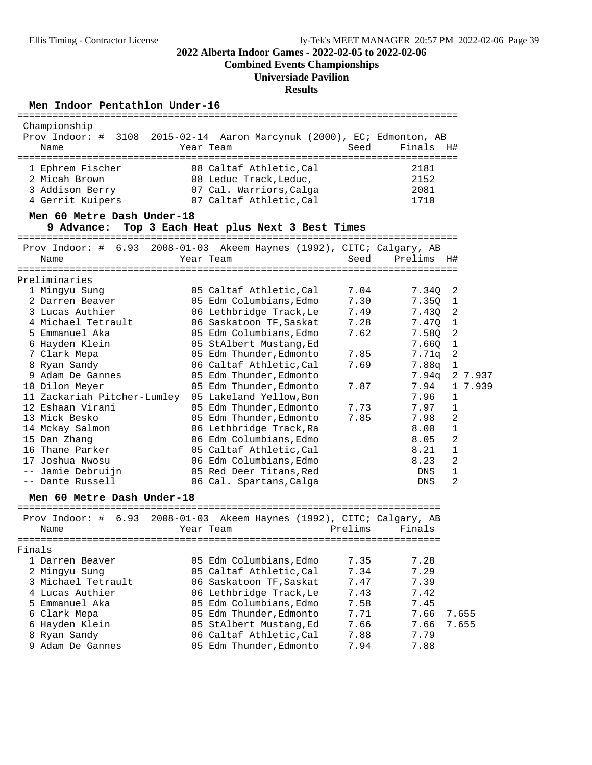**Combined Events Championships**

# **Universiade Pavilion**

**Results**

#### Men Indoor Pentathlon Under-16

| Championship<br>Prov Indoor: # 3108 2015-02-14 Aaron Marcynuk (2000), EC; Edmonton, AB |                                        |              |              |                            |
|----------------------------------------------------------------------------------------|----------------------------------------|--------------|--------------|----------------------------|
| Name                                                                                   | Year Team                              | Seed         | Finals       | H#                         |
| 1 Ephrem Fischer                                                                       | 08 Caltaf Athletic, Cal                |              | 2181         |                            |
| 2 Micah Brown                                                                          | 08 Leduc Track, Leduc,                 |              | 2152         |                            |
| 3 Addison Berry                                                                        | 07 Cal. Warriors, Calga                |              | 2081         |                            |
| 4 Gerrit Kuipers                                                                       | 07 Caltaf Athletic,Cal                 |              | 1710         |                            |
| Men 60 Metre Dash Under-18                                                             |                                        |              |              |                            |
| 9 Advance:                                                                             | Top 3 Each Heat plus Next 3 Best Times |              |              |                            |
| Prov Indoor: # 6.93 2008-01-03 Akeem Haynes (1992), CITC; Calgary, AB                  |                                        |              |              |                            |
| Name                                                                                   | Year Team                              | Seed         | Prelims H#   |                            |
|                                                                                        |                                        |              |              |                            |
| Preliminaries                                                                          |                                        |              |              |                            |
| 1 Mingyu Sung                                                                          | 05 Caltaf Athletic, Cal                | 7.04<br>7.30 | 7.34Q        | 2                          |
| 2 Darren Beaver                                                                        | 05 Edm Columbians, Edmo                |              | 7.35Q        | 1                          |
| 3 Lucas Authier<br>4 Michael Tetrault                                                  | 06 Lethbridge Track, Le                | 7.49<br>7.28 | 7.43Q        | 2                          |
| 5 Emmanuel Aka                                                                         | 06 Saskatoon TF, Saskat                | 7.62         | 7.47Q        | $\overline{1}$             |
|                                                                                        | 05 Edm Columbians, Edmo                |              | 7.58Q        | $\overline{\phantom{a}}^2$ |
| 6 Hayden Klein                                                                         | 05 StAlbert Mustang, Ed                |              | 7.66Q        | $\overline{1}$             |
| 7 Clark Mepa                                                                           | 05 Edm Thunder, Edmonto                | 7.85         | 7.71q        | 2                          |
| 8 Ryan Sandy                                                                           | 06 Caltaf Athletic, Cal                | 7.69         | 7.88q        | $\mathbf{1}$               |
| 9 Adam De Gannes                                                                       | 05 Edm Thunder, Edmonto                |              |              | 7.94q 2 7.937              |
| 10 Dilon Meyer                                                                         | 05 Edm Thunder, Edmonto                | 7.87         | 7.94         | 1 7.939                    |
| 11 Zackariah Pitcher-Lumley                                                            | 05 Lakeland Yellow, Bon                |              | 7.96         | $\mathbf{1}$               |
| 12 Eshaan Virani                                                                       | 05 Edm Thunder, Edmonto                | 7.73         | 7.97         | 1                          |
| 13 Mick Besko                                                                          | 05 Edm Thunder, Edmonto                | 7.85         | 7.98         | 2                          |
| 14 Mckay Salmon                                                                        | 06 Lethbridge Track, Ra                |              | 8.00         | $\mathbf{1}$               |
| 15 Dan Zhang                                                                           | 06 Edm Columbians, Edmo                |              | 8.05         | $\overline{2}$             |
| 16 Thane Parker                                                                        | 05 Caltaf Athletic, Cal                |              | 8.21         | $\mathbf 1$                |
| 17 Joshua Nwosu                                                                        | 06 Edm Columbians, Edmo                |              | 8.23         | 2                          |
| -- Jamie Debruijn                                                                      | 05 Red Deer Titans, Red                |              | DNS          | $\mathbf{1}$               |
| -- Dante Russell                                                                       | 06 Cal. Spartans, Calga                |              | DNS          | 2                          |
| Men 60 Metre Dash Under-18                                                             |                                        |              |              |                            |
| Prov Indoor: # 6.93 2008-01-03 Akeem Haynes (1992), CITC; Calgary, AB                  |                                        |              |              |                            |
| Name                                                                                   | Year Team                              | Prelims      | Finals       |                            |
|                                                                                        |                                        |              |              |                            |
| Finals                                                                                 |                                        |              |              |                            |
| 1 Darren Beaver                                                                        | 05 Edm Columbians, Edmo                | 7.35         | 7.28<br>7.29 |                            |
| 2 Mingyu Sung<br>3 Michael Tetrault                                                    | 05 Caltaf Athletic, Cal                | 7.34         |              |                            |
|                                                                                        | 06 Saskatoon TF, Saskat                | 7.47         | 7.39         |                            |
| 4 Lucas Authier                                                                        | 06 Lethbridge Track, Le                | 7.43         | 7.42         |                            |
| 5 Emmanuel Aka                                                                         | 05 Edm Columbians, Edmo                | 7.58         | 7.45         |                            |
| 6 Clark Mepa                                                                           | 05 Edm Thunder, Edmonto                | 7.71         | 7.66         | 7.655                      |
| 6 Hayden Klein                                                                         | 05 StAlbert Mustang, Ed                | 7.66         | 7.66         | 7.655                      |
| 8 Ryan Sandy                                                                           | 06 Caltaf Athletic, Cal                | 7.88         | 7.79         |                            |
| 9 Adam De Gannes                                                                       | 05 Edm Thunder, Edmonto                | 7.94         | 7.88         |                            |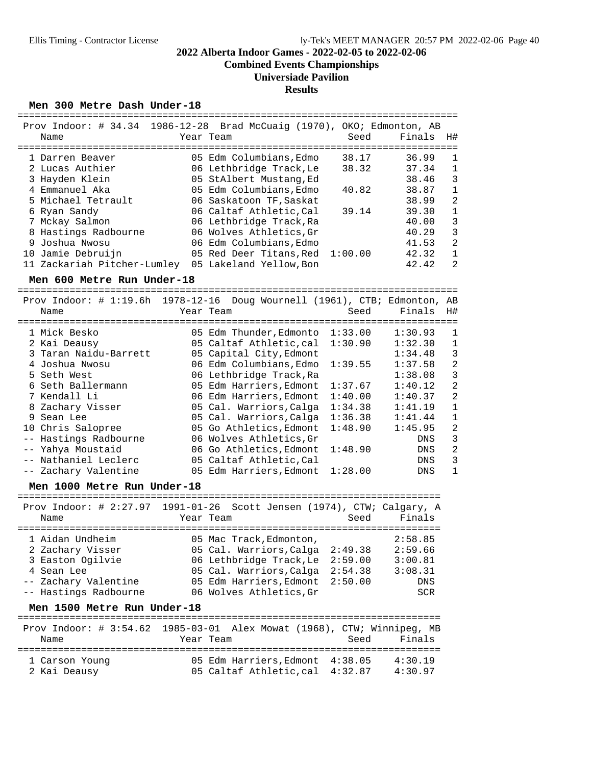**Combined Events Championships**

#### **Universiade Pavilion**

#### **Results**

#### Men 300 Metre Dash Under-18

| Prov Indoor: # 34.34 1986-12-28 Brad McCuaig (1970), OKO; Edmonton, AB<br>Name | Year Team                       | Seed  | Finals | H#             |
|--------------------------------------------------------------------------------|---------------------------------|-------|--------|----------------|
| 1 Darren Beaver                                                                | 05 Edm Columbians, Edmo         | 38.17 | 36.99  | 1              |
| 2 Lucas Authier                                                                | 06 Lethbridge Track, Le         | 38.32 | 37.34  | 1              |
| 3 Hayden Klein                                                                 | 05 StAlbert Mustang, Ed         |       | 38.46  | 3              |
| 4 Emmanuel Aka                                                                 | 05 Edm Columbians, Edmo         | 40.82 | 38.87  | 1              |
| 5 Michael Tetrault                                                             | 06 Saskatoon TF, Saskat         |       | 38.99  | 2              |
| 6 Ryan Sandy                                                                   | 06 Caltaf Athletic.Cal          | 39.14 | 39.30  | $\mathbf{1}$   |
| 7 Mckay Salmon                                                                 | 06 Lethbridge Track, Ra         |       | 40.00  | 3              |
| 8 Hastings Radbourne                                                           | 06 Wolves Athletics, Gr         |       | 40.29  | 3              |
| 9 Joshua Nwosu                                                                 | 06 Edm Columbians. Edmo         |       | 41.53  | 2              |
| 10 Jamie Debruijn                                                              | 05 Red Deer Titans, Red 1:00.00 |       | 42.32  | 1              |
| 11 Zackariah Pitcher-Lumley                                                    | 05 Lakeland Yellow, Bon         |       | 42.42  | $\mathfrak{D}$ |

**Men 600 Metre Run Under-18** ============================================================================ Prov Indoor: # 1:19.6h 1978-12-16 Doug Wournell (1961), CTB; Edmonton, AB Name Year Team Seed Finals H# ============================================================================ 1 Mick Besko 05 Edm Thunder,Edmonto 1:33.00 1:30.93 1 2 Kai Deausy 05 Caltaf Athletic,cal 1:30.90 1:32.30 1 3 Taran Naidu-Barrett 05 Capital City,Edmont 1:34.48 3 4 Joshua Nwosu 06 Edm Columbians,Edmo 1:39.55 1:37.58 2 5 Seth West 06 Lethbridge Track,Ra 1:38.08 3 6 Seth Ballermann 05 Edm Harriers,Edmont 1:37.67 1:40.12 2 7 Kendall Li 06 Edm Harriers,Edmont 1:40.00 1:40.37 2 8 Zachary Visser 05 Cal. Warriors,Calga 1:34.38 1:41.19 1 9 Sean Lee 05 Cal. Warriors,Calga 1:36.38 1:41.44 1 10 Chris Salopree 05 Go Athletics,Edmont 1:48.90 1:45.95 2 -- Hastings Radbourne 06 Wolves Athletics,Gr DNS 3 -- Yahya Moustaid 06 Go Athletics,Edmont 1:48.90 DNS 2 -- Nathaniel Leclerc 05 Caltaf Athletic,Cal DNS 3 -- Zachary Valentine 05 Edm Harriers,Edmont 1:28.00 DNS 1

**Men 1000 Metre Run Under-18** ========================================================================= Prov Indoor: # 2:27.97 1991-01-26 Scott Jensen (1974), CTW; Calgary, A Name Tear Team Seed Finals ========================================================================= 1 Aidan Undheim 05 Mac Track,Edmonton, 2:58.85 2 Zachary Visser 05 Cal. Warriors,Calga 2:49.38 2:59.66 3 Easton Ogilvie 06 Lethbridge Track,Le 2:59.00 3:00.81 4 Sean Lee 05 Cal. Warriors,Calga 2:54.38 3:08.31 -- Zachary Valentine 05 Edm Harriers,Edmont 2:50.00 DNS -- Hastings Radbourne 06 Wolves Athletics, Gr SCR

**Men 1500 Metre Run Under-18** ========================================================================= Prov Indoor: # 3:54.62 1985-03-01 Alex Mowat (1968), CTW; Winnipeg, MB Name Year Team Seed Finals ========================================================================= 1 Carson Young 05 Edm Harriers,Edmont 4:38.05 4:30.19 2 Kai Deausy 05 Caltaf Athletic,cal 4:32.87 4:30.97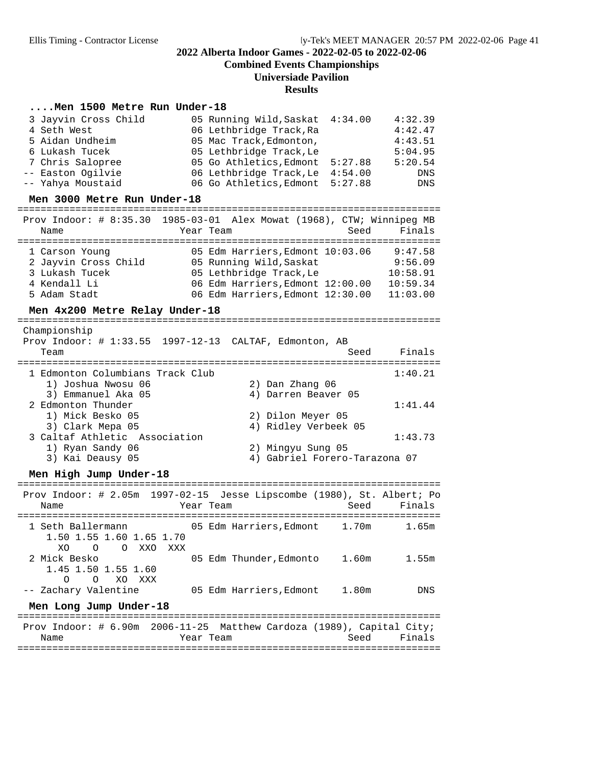**Combined Events Championships**

#### **Universiade Pavilion**

#### **Results**

#### **....Men 1500 Metre Run Under-18**

| 3 Jayvin Cross Child | 05 Running Wild, Saskat 4:34.00 | 4:32.39    |
|----------------------|---------------------------------|------------|
| 4 Seth West          | 06 Lethbridge Track, Ra         | 4:42.47    |
| 5 Aidan Undheim      | 05 Mac Track, Edmonton,         | 4:43.51    |
| 6 Lukash Tucek       | 05 Lethbridge Track, Le         | 5:04.95    |
| 7 Chris Salopree     | 05 Go Athletics, Edmont 5:27.88 | 5:20.54    |
| -- Easton Ogilvie    | 06 Lethbridge Track, Le 4:54.00 | DNS        |
| -- Yahya Moustaid    | 06 Go Athletics, Edmont 5:27.88 | <b>DNS</b> |

# **Men 3000 Metre Run Under-18** ========================================================================= Prov Indoor: # 8:35.30 1985-03-01 Alex Mowat (1968), CTW; Winnipeg MB

| Name                 | Prov Indoor: # 8:35.30 I985-03-01 Alex Mowat (1968), CIW; Winniped MB<br>Seed<br>Year Team | Finals   |
|----------------------|--------------------------------------------------------------------------------------------|----------|
|                      |                                                                                            |          |
| 1 Carson Young       | 05 Edm Harriers, Edmont 10:03.06                                                           | 9:47.58  |
| 2 Jayvin Cross Child | 05 Running Wild, Saskat                                                                    | 9:56.09  |
| 3 Lukash Tucek       | 05 Lethbridge Track, Le                                                                    | 10:58.91 |
| 4 Kendall Li         | 06 Edm Harriers, Edmont 12:00.00                                                           | 10:59.34 |
| 5 Adam Stadt         | 06 Edm Harriers, Edmont 12:30.00                                                           | 11:03.00 |

**Men 4x200 Metre Relay Under-18** ========================================================================= Championship Prov Indoor: # 1:33.55 1997-12-13 CALTAF, Edmonton, AB Team Seed Finals ========================================================================= 1 Edmonton Columbians Track Club 1:40.21 1) Joshua Nwosu 06 2) Dan Zhang 06<br>3) Emmanuel Aka 05 2002 4) Darren Beaver 4) Darren Beaver 05

| <u>JI Sumanuci And VJ</u>     | I, Dallen Deavel VJ           |
|-------------------------------|-------------------------------|
| 2 Edmonton Thunder            | 1:41.44                       |
| 1) Mick Besko 05              | 2) Dilon Meyer 05             |
| 3) Clark Mepa 05              | 4) Ridley Verbeek 05          |
| 3 Caltaf Athletic Association | 1:43.73                       |
| 1) Ryan Sandy 06              | 2) Mingyu Sung 05             |
| 3) Kai Deausy 05              | 4) Gabriel Forero-Tarazona 07 |
|                               |                               |

**Men High Jump Under-18** ========================================================================= Prov Indoor: # 2.05m 1997-02-15 Jesse Lipscombe (1980), St. Albert; Po Name Year Team Seed Finals ========================================================================= 1 Seth Ballermann 05 Edm Harriers,Edmont 1.70m 1.65m 1.50 1.55 1.60 1.65 1.70 XO O O XXO XXX<br>2 Mick Besko 05 Edm Thunder, Edmonto 1.60m 1.55m 1.45 1.50 1.55 1.60 O O XO XXX<br>-- Zachary Valentine 05 Edm Harriers, Edmont 1.80m DNS **Men Long Jump Under-18** ========================================================================= Prov Indoor: # 6.90m 2006-11-25 Matthew Cardoza (1989), Capital City; Name Tear Team Seed Finals

=========================================================================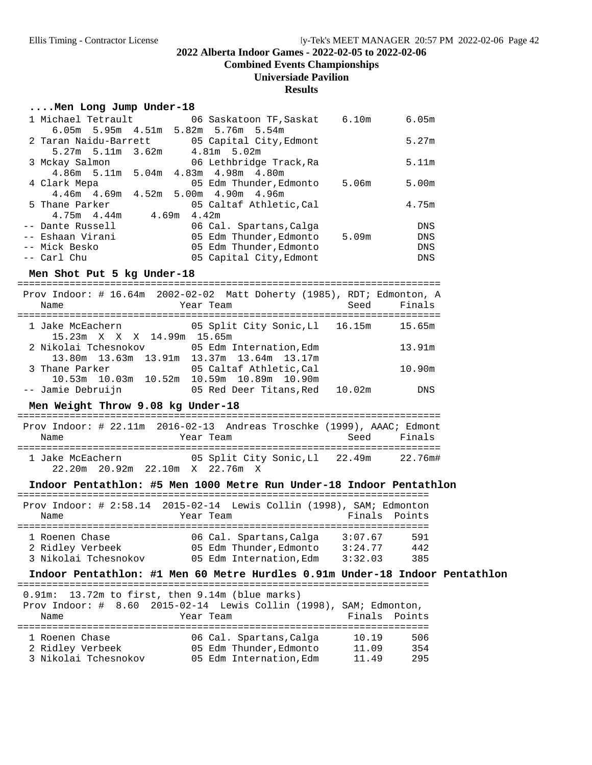**Combined Events Championships**

#### **Universiade Pavilion**

#### **Results**

#### **....Men Long Jump Under-18**

| 1 Michael Tetrault      |       | 06 Saskatoon TF, Saskat<br>6.10m                | 6.05m      |
|-------------------------|-------|-------------------------------------------------|------------|
|                         |       | 6.05m 5.95m 4.51m 5.82m 5.76m 5.54m             |            |
| 2 Taran Naidu-Barrett   |       | 05 Capital City, Edmont                         | 5.27m      |
| $5.27m$ $5.11m$ $3.62m$ |       | 4.81m 5.02m                                     |            |
| 3 Mckay Salmon          |       | 06 Lethbridge Track, Ra                         | 5.11m      |
|                         |       | 4.86m 5.11m 5.04m 4.83m 4.98m 4.80m             |            |
| 4 Clark Mepa            |       | 05 Edm Thunder, Edmonto<br>5.06m                | 5.00m      |
|                         |       | $4.46m$ $4.69m$ $4.52m$ $5.00m$ $4.90m$ $4.96m$ |            |
| 5 Thane Parker          |       | 05 Caltaf Athletic.Cal                          | 4.75m      |
| 4.75m 4.44m             | 4.69m | 4.42m                                           |            |
| -- Dante Russell        |       | 06 Cal. Spartans, Calga                         | <b>DNS</b> |
| -- Eshaan Virani        |       | 05 Edm Thunder, Edmonto<br>5.09m                | DNS        |
| -- Mick Besko           |       | 05 Edm Thunder, Edmonto                         | DNS        |
| -- Carl Chu             |       | 05 Capital City, Edmont                         | <b>DNS</b> |

**Men Shot Put 5 kg Under-18** =========================================================================

| Prov Indoor: # 16.64m 2002-02-02 Matt Doherty (1985), RDT; Edmonton, A |                                           |                                |  |        |            |
|------------------------------------------------------------------------|-------------------------------------------|--------------------------------|--|--------|------------|
| Name                                                                   |                                           | Year Team                      |  | Seed   | Finals     |
| 1 Jake McEachern                                                       |                                           | 05 Split City Sonic, Ll 16.15m |  |        | 15.65m     |
|                                                                        | 15.23m X X X 14.99m 15.65m                |                                |  |        |            |
| 2 Nikolai Tchesnokov 65 Edm Internation, Edm                           |                                           |                                |  |        | 13.91m     |
|                                                                        | 13.80m 13.63m 13.91m 13.37m 13.64m 13.17m |                                |  |        |            |
| 3 Thane Parker                                                         |                                           | 05 Caltaf Athletic, Cal        |  |        | 10.90m     |
|                                                                        | 10.53m 10.03m 10.52m 10.59m 10.89m 10.90m |                                |  |        |            |
| -- Jamie Debruijn                                                      |                                           | 05 Red Deer Titans,Red         |  | 10.02m | <b>DNS</b> |

**Men Weight Throw 9.08 kg Under-18** ========================================================================= Prov Indoor: # 22.11m 2016-02-13 Andreas Troschke (1999), AAAC; Edmont Name Tear Team Seed Finals ========================================================================= 1 Jake McEachern 05 Split City Sonic,Ll 22.49m 22.76m# 22.20m 20.92m 22.10m X 22.76m X

# **Indoor Pentathlon: #5 Men 1000 Metre Run Under-18 Indoor Pentathlon** =======================================================================

 $PA_{\text{2}}$  Trove 11 2015-02-14 Lewis Collin (1998), SAM; Edmonton

# **Indoor Pentathlon: #1 Men 60 Metre Hurdles 0.91m Under-18 Indoor Pentathlon** =======================================================================

0.91m: 13.72m to first, then 9.14m (blue marks)

|                      |           | Prov Indoor: # 8.60 2015-02-14 Lewis Collin (1998), SAM; Edmonton, |               |     |
|----------------------|-----------|--------------------------------------------------------------------|---------------|-----|
| Name                 | Year Team |                                                                    | Finals Points |     |
|                      |           |                                                                    |               |     |
| 1 Roenen Chase       |           | 06 Cal. Spartans, Calga                                            | 10.19         | 506 |
| 2 Ridley Verbeek     |           | 05 Edm Thunder, Edmonto                                            | 11.09         | 354 |
| 3 Nikolai Tchesnokov |           | 05 Edm Internation.Edm                                             | 11.49         | 295 |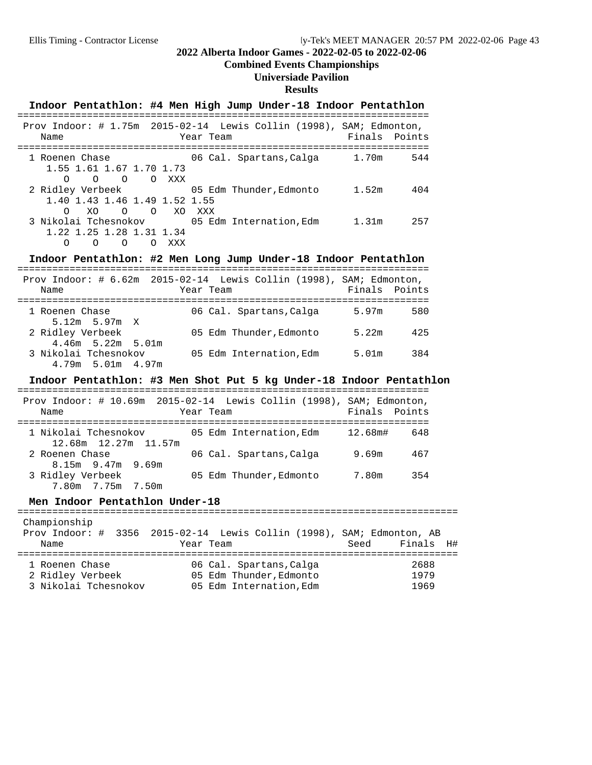# **Combined Events Championships**

# **Universiade Pavilion**

## **Results**

|                                                                               | Indoor Pentathlon: #4 Men High Jump Under-18 Indoor Pentathlon     |                      |
|-------------------------------------------------------------------------------|--------------------------------------------------------------------|----------------------|
| Prov Indoor: # 1.75m 2015-02-14 Lewis Collin (1998), SAM; Edmonton,<br>Name   | Year Team                                                          | Finals Points        |
| 1 Roenen Chase<br>1.55 1.61 1.67 1.70 1.73<br>$O$ $O$ $O$ $XXX$<br>$\Omega$   | 06 Cal. Spartans, Calga                                            | 1.70m<br>544         |
| 2 Ridley Verbeek<br>1.40 1.43 1.46 1.49 1.52 1.55<br>$XO$ 0 0<br>$\Omega$     | 05 Edm Thunder, Edmonto<br>XO XXX                                  | 1.52m<br>404         |
| 3 Nikolai Tchesnokov<br>1.22 1.25 1.28 1.31 1.34<br>O O O XXX<br>$\Omega$     | 05 Edm Internation, Edm 1.31m                                      | 257                  |
|                                                                               | Indoor Pentathlon: #2 Men Long Jump Under-18 Indoor Pentathlon     |                      |
| Prov Indoor: # 6.62m 2015-02-14 Lewis Collin (1998), SAM; Edmonton,<br>Name   | Year Team                                                          | Finals<br>Points     |
| 1 Roenen Chase<br>$5.12m$ 5.97m X                                             | 06 Cal. Spartans, Calga 5.97m                                      | 580                  |
| 2 Ridley Verbeek<br>$4.46m$ 5.22m 5.01m                                       | 05 Edm Thunder,Edmonto                                             | 5.22m<br>425         |
| 3 Nikolai Tchesnokov<br>$4.79m$ 5.01m $4.97m$                                 | 05 Edm Internation,Edm                                             | 5.01m<br>384         |
|                                                                               | Indoor Pentathlon: #3 Men Shot Put 5 kg Under-18 Indoor Pentathlon |                      |
| Prov Indoor: # 10.69m 2015-02-14 Lewis Collin (1998), SAM; Edmonton,<br>Name  | Year Team                                                          | Finals Points        |
| 1 Nikolai Tchesnokov<br>12.68m    12.27m    11.57m                            | 05 Edm Internation, Edm 12.68m#                                    | 648                  |
| 2 Roenen Chase<br>$8.15m$ 9.47m 9.69m                                         | 06 Cal. Spartans, Calga                                            | 9.69m<br>467         |
| 3 Ridley Verbeek<br>7.80m 7.75m 7.50m                                         | 05 Edm Thunder, Edmonto                                            | 7.80m<br>354         |
| Men Indoor Pentathlon Under-18                                                |                                                                    |                      |
| Championship                                                                  |                                                                    |                      |
| Prov Indoor: # 3356 2015-02-14 Lewis Collin (1998), SAM; Edmonton, AB<br>Name | Year Team                                                          | Seed<br>Finals<br>H# |
| 1 Roenen Chase                                                                | 06 Cal. Spartans, Calga                                            | 2688                 |
|                                                                               |                                                                    |                      |

| - ICO - ILLE - CILADU |                         | ---  |
|-----------------------|-------------------------|------|
| 2 Ridley Verbeek      | 05 Edm Thunder, Edmonto | 1979 |
| 3 Nikolai Tchesnokov  | 05 Edm Internation, Edm | 1969 |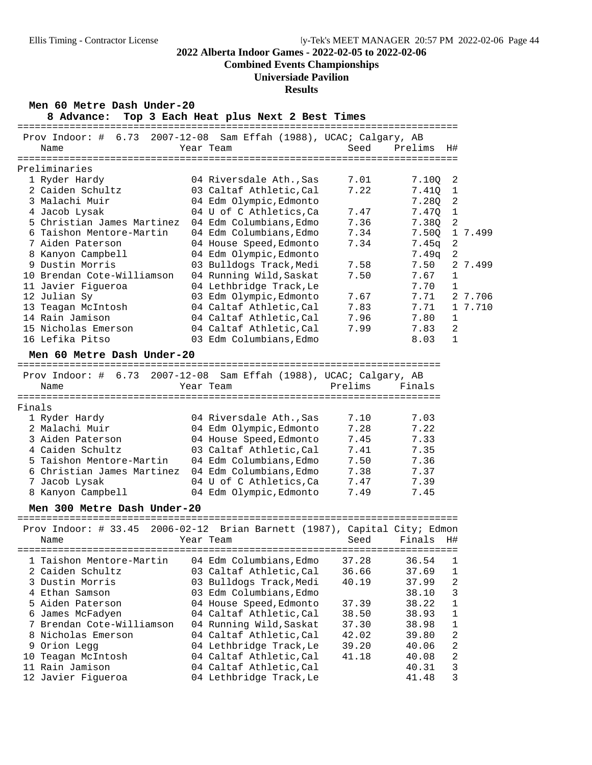# **Combined Events Championships**

# **Universiade Pavilion**

#### **Results**

|        | Men 60 Metre Dash Under-20<br>8 Advance:                           | Top 3 Each Heat plus Next 2 Best Times             |                            |                |                  |         |
|--------|--------------------------------------------------------------------|----------------------------------------------------|----------------------------|----------------|------------------|---------|
|        | Prov Indoor: # 6.73 2007-12-08 Sam Effah (1988), UCAC; Calgary, AB |                                                    |                            |                |                  |         |
|        | Name                                                               | Year Team                                          | Seed                       | Prelims        | H#               |         |
|        |                                                                    |                                                    | ========================== |                |                  |         |
|        | Preliminaries                                                      |                                                    |                            |                |                  |         |
|        | 1 Ryder Hardy                                                      | 04 Riversdale Ath., Sas                            | 7.01                       | 7.100          | 2                |         |
|        | 2 Caiden Schultz                                                   | 03 Caltaf Athletic, Cal                            | 7.22                       | 7.410          | $\mathbf{1}$     |         |
|        | 3 Malachi Muir                                                     | 04 Edm Olympic, Edmonto                            |                            | 7.28Q          | $\overline{2}$   |         |
|        | 4 Jacob Lysak                                                      | 04 U of C Athletics, Ca                            | 7.47                       | 7.470          | $\mathbf{1}$     |         |
|        | 5 Christian James Martinez                                         | 04 Edm Columbians, Edmo                            | 7.36                       | 7.380          | 2                |         |
|        | 6 Taishon Mentore-Martin                                           | 04 Edm Columbians, Edmo                            | 7.34                       | 7.50Q          |                  | 1 7.499 |
|        | 7 Aiden Paterson                                                   | 04 House Speed, Edmonto                            | 7.34                       | 7.45q          | $\overline{c}$   |         |
|        | 8 Kanyon Campbell                                                  | 04 Edm Olympic, Edmonto                            |                            | 7.49q          | $\overline{2}$   |         |
|        | 9 Dustin Morris                                                    | 03 Bulldogs Track, Medi                            | 7.58                       | 7.50           |                  | 2 7.499 |
|        | 10 Brendan Cote-Williamson                                         | 04 Running Wild, Saskat                            | 7.50                       | 7.67           | 1                |         |
|        | 11 Javier Figueroa                                                 | 04 Lethbridge Track, Le                            |                            | 7.70           | $\mathbf{1}$     |         |
|        | 12 Julian Sy                                                       | 03 Edm Olympic, Edmonto                            | 7.67                       | 7.71           |                  | 2 7.706 |
|        | 13 Teagan McIntosh                                                 | 04 Caltaf Athletic, Cal                            | 7.83                       | 7.71           |                  | 1 7.710 |
|        | 14 Rain Jamison                                                    | 04 Caltaf Athletic, Cal                            | 7.96                       | 7.80           | $\mathbf{1}$     |         |
|        | 15 Nicholas Emerson                                                | 04 Caltaf Athletic, Cal                            | 7.99                       | 7.83           | 2                |         |
|        | 16 Lefika Pitso                                                    | 03 Edm Columbians, Edmo                            |                            | 8.03           | $\mathbf{1}$     |         |
|        | Men 60 Metre Dash Under-20                                         |                                                    |                            |                |                  |         |
|        | Prov Indoor: # 6.73 2007-12-08                                     | Sam Effah (1988), UCAC; Calgary, AB                |                            |                |                  |         |
|        | Name                                                               | Year Team                                          | Prelims                    | Finals         |                  |         |
|        |                                                                    |                                                    |                            |                |                  |         |
| Finals |                                                                    |                                                    |                            |                |                  |         |
|        | 1 Ryder Hardy                                                      | 04 Riversdale Ath., Sas                            | 7.10                       | 7.03           |                  |         |
|        | 2 Malachi Muir                                                     | 04 Edm Olympic, Edmonto                            | 7.28                       | 7.22           |                  |         |
|        | 3 Aiden Paterson                                                   | 04 House Speed, Edmonto                            | 7.45                       | 7.33           |                  |         |
|        | 4 Caiden Schultz                                                   | 03 Caltaf Athletic, Cal                            | 7.41                       | 7.35           |                  |         |
|        | 5 Taishon Mentore-Martin                                           | 04 Edm Columbians, Edmo                            | 7.50                       | 7.36           |                  |         |
|        | 6 Christian James Martinez                                         | 04 Edm Columbians, Edmo                            | 7.38                       | 7.37           |                  |         |
|        | 7 Jacob Lysak                                                      | 04 U of C Athletics, Ca                            | 7.47                       | 7.39           |                  |         |
|        | 8 Kanyon Campbell                                                  | 04 Edm Olympic, Edmonto                            | 7.49                       | 7.45           |                  |         |
|        | Men 300 Metre Dash Under-20                                        |                                                    |                            |                |                  |         |
|        | Prov Indoor: # 33.45<br>$2006 - 02 - 12$                           | Brian Barnett (1987), Capital City; Edmon          |                            |                |                  |         |
|        | Name                                                               | Year Team                                          | Seed                       | Finals         | H#               |         |
|        | ============<br>================                                   | -------------                                      | =============              | ========       |                  |         |
|        | 1 Taishon Mentore-Martin<br>2 Caiden Schultz                       | 04 Edm Columbians, Edmo                            | 37.28<br>36.66             | 36.54          | 1<br>$\mathbf 1$ |         |
|        | 3 Dustin Morris                                                    | 03 Caltaf Athletic, Cal                            | 40.19                      | 37.69          | 2                |         |
|        | 4 Ethan Samson                                                     | 03 Bulldogs Track, Medi<br>03 Edm Columbians, Edmo |                            | 37.99<br>38.10 | 3                |         |
|        | 5 Aiden Paterson                                                   |                                                    | 37.39                      | 38.22          | $\mathbf{1}$     |         |
|        | 6 James McFadyen                                                   | 04 House Speed, Edmonto<br>04 Caltaf Athletic, Cal | 38.50                      | 38.93          | $\mathbf 1$      |         |
| 7      | Brendan Cote-Williamson                                            | 04 Running Wild, Saskat                            | 37.30                      | 38.98          | $\mathbf 1$      |         |
|        | 8 Nicholas Emerson                                                 | 04 Caltaf Athletic, Cal                            | 42.02                      | 39.80          | 2                |         |
|        | 9 Orion Legg                                                       | 04 Lethbridge Track, Le                            | 39.20                      | 40.06          | 2                |         |
|        | 10 Teagan McIntosh                                                 | 04 Caltaf Athletic, Cal                            | 41.18                      | 40.08          | 2                |         |
|        | 11 Rain Jamison                                                    | 04 Caltaf Athletic, Cal                            |                            | 40.31          | 3                |         |
|        | 12 Javier Figueroa                                                 | 04 Lethbridge Track, Le                            |                            | 41.48          | 3                |         |
|        |                                                                    |                                                    |                            |                |                  |         |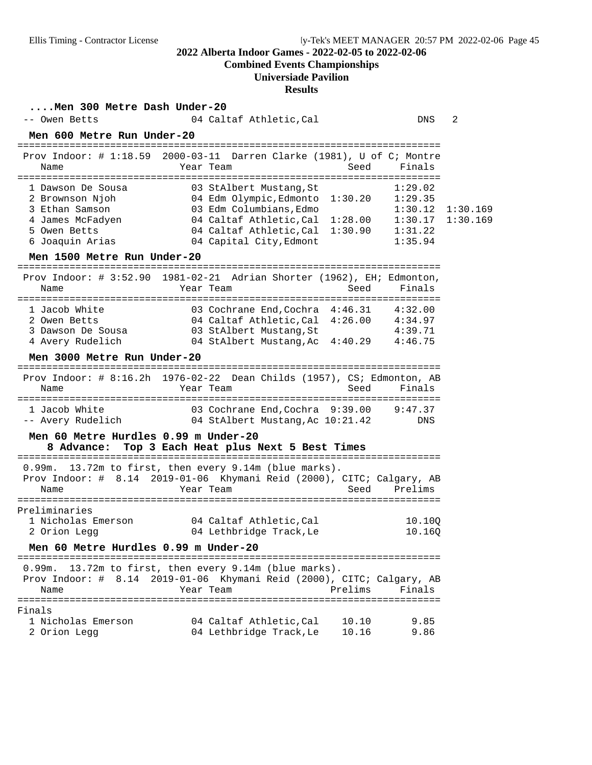# **Combined Events Championships**

# **Universiade Pavilion**

#### **Results**

**....Men 300 Metre Dash Under-20**

| -- Owen Betts                                                                                                                                | 04 Caltaf Athletic, Cal                                                                                                                                                                | 2<br>DNS                                                                               |
|----------------------------------------------------------------------------------------------------------------------------------------------|----------------------------------------------------------------------------------------------------------------------------------------------------------------------------------------|----------------------------------------------------------------------------------------|
| Men 600 Metre Run Under-20                                                                                                                   |                                                                                                                                                                                        |                                                                                        |
| Name                                                                                                                                         | Prov Indoor: # 1:18.59 2000-03-11 Darren Clarke (1981), U of C; Montre<br>Year Team<br>Seed                                                                                            | Finals                                                                                 |
| 1 Dawson De Sousa<br>2 Brownson Njoh<br>3 Ethan Samson<br>4 James McFadyen<br>5 Owen Betts<br>6 Joaquin Arias<br>Men 1500 Metre Run Under-20 | 03 StAlbert Mustang, St<br>04 Edm Olympic, Edmonto 1:30.20<br>03 Edm Columbians, Edmo<br>04 Caltaf Athletic, Cal 1:28.00<br>04 Caltaf Athletic, Cal 1:30.90<br>04 Capital City, Edmont | 1:29.02<br>1:29.35<br>1:30.12<br>1:30.169<br>1:30.169<br>1:30.17<br>1:31.22<br>1:35.94 |
| ===============================<br>Name                                                                                                      | Prov Indoor: # 3:52.90 1981-02-21 Adrian Shorter (1962), EH; Edmonton,<br>Year Team<br>Seed                                                                                            | =====================<br>Finals                                                        |
| 1 Jacob White<br>2 Owen Betts<br>3 Dawson De Sousa<br>4 Avery Rudelich<br>Men 3000 Metre Run Under-20                                        | 03 Cochrane End, Cochra 4:46.31 4:32.00<br>04 Caltaf Athletic, Cal 4:26.00 4:34.97<br>03 StAlbert Mustang, St<br>04 StAlbert Mustang, Ac 4:40.29                                       | 4:39.71<br>4:46.75                                                                     |
| Name                                                                                                                                         | Prov Indoor: # 8:16.2h 1976-02-22 Dean Childs (1957), CS; Edmonton, AB<br>Seed<br>Year Team                                                                                            | Finals                                                                                 |
| 1 Jacob White<br>-- Avery Rudelich                                                                                                           | 03 Cochrane End, Cochra 9:39.00<br>04 StAlbert Mustang, Ac 10:21.42                                                                                                                    | 9:47.37<br>DNS                                                                         |
| Men 60 Metre Hurdles 0.99 m Under-20<br>8 Advance:                                                                                           | Top 3 Each Heat plus Next 5 Best Times                                                                                                                                                 |                                                                                        |
| Name                                                                                                                                         | 0.99m. 13.72m to first, then every 9.14m (blue marks).<br>Prov Indoor: # 8.14 2019-01-06 Khymani Reid (2000), CITC; Calgary, AB<br>Seed<br>Year Team                                   | Prelims                                                                                |
| Preliminaries<br>1 Nicholas Emerson<br>2 Orion Legg                                                                                          | 04 Caltaf Athletic, Cal<br>04 Lethbridge Track, Le                                                                                                                                     | 10.10Q<br>10.16Q                                                                       |
| Men 60 Metre Hurdles 0.99 m Under-20                                                                                                         |                                                                                                                                                                                        |                                                                                        |
| 0.99m.<br>Name                                                                                                                               | 13.72m to first, then every 9.14m (blue marks).<br>Prov Indoor: # 8.14 2019-01-06 Khymani Reid (2000), CITC; Calgary, AB<br>Year Team<br>Prelims                                       | Finals                                                                                 |
| Finals<br>1 Nicholas Emerson<br>2 Orion Legg                                                                                                 | 04 Caltaf Athletic, Cal<br>10.10<br>04 Lethbridge Track, Le<br>10.16                                                                                                                   | 9.85<br>9.86                                                                           |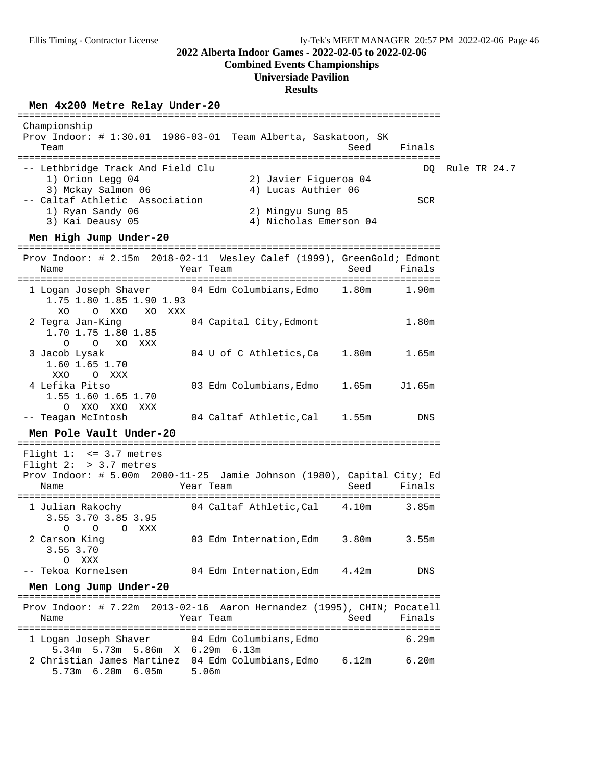**Combined Events Championships**

#### **Universiade Pavilion**

**Results**

# **Men 4x200 Metre Relay Under-20** =========================================================================

 Championship Prov Indoor: # 1:30.01 1986-03-01 Team Alberta, Saskatoon, SK Team Seed Finals ========================================================================= -- Lethbridge Track And Field Clu **D**Q Rule TR 24.7 1) Orion Legg 04 2) Javier Figueroa 04 4) Lucas Authier 06 -- Caltaf Athletic Association SCR 1) Ryan Sandy 06 2) Mingyu Sung 05<br>3) Kai Deausy 05 3) 4) Nicholas Emerso 4) Nicholas Emerson 04 **Men High Jump Under-20** ========================================================================= Prov Indoor: # 2.15m 2018-02-11 Wesley Calef (1999), GreenGold; Edmont Name Tear Team Seed Finals ========================================================================= 1 Logan Joseph Shaver 04 Edm Columbians,Edmo 1.80m 1.90m 1.75 1.80 1.85 1.90 1.93 XO O XXO XO XXX 2 Tegra Jan-King 04 Capital City,Edmont 1.80m 1.70 1.75 1.80 1.85 O O XO XXX 3 Jacob Lysak 04 U of C Athletics,Ca 1.80m 1.65m 1.60 1.65 1.70 XXO O XXX 4 Lefika Pitso 03 Edm Columbians,Edmo 1.65m J1.65m 1.55 1.60 1.65 1.70 O XXO XXO XXX -- Teagan McIntosh 04 Caltaf Athletic,Cal 1.55m DNS **Men Pole Vault Under-20** ========================================================================= Flight 1: <= 3.7 metres Flight 2: > 3.7 metres Prov Indoor: # 5.00m 2000-11-25 Jamie Johnson (1980), Capital City; Ed Name Team Year Team Seed Finals ========================================================================= 1 Julian Rakochy 04 Caltaf Athletic,Cal 4.10m 3.85m 3.55 3.70 3.85 3.95 O O O XXX 2 Carson King 03 Edm Internation,Edm 3.80m 3.55m 3.55 3.70 O XXX -- Tekoa Kornelsen 04 Edm Internation, Edm 4.42m DNS **Men Long Jump Under-20** ========================================================================= Prov Indoor: # 7.22m 2013-02-16 Aaron Hernandez (1995), CHIN; Pocatell Name Tear Team Seed Finals ========================================================================= 1 Logan Joseph Shaver 04 Edm Columbians,Edmo 6.29m 5.34m 5.73m 5.86m X 6.29m 6.13m 2 Christian James Martinez 04 Edm Columbians,Edmo 6.12m 6.20m 5.73m 6.20m 6.05m 5.06m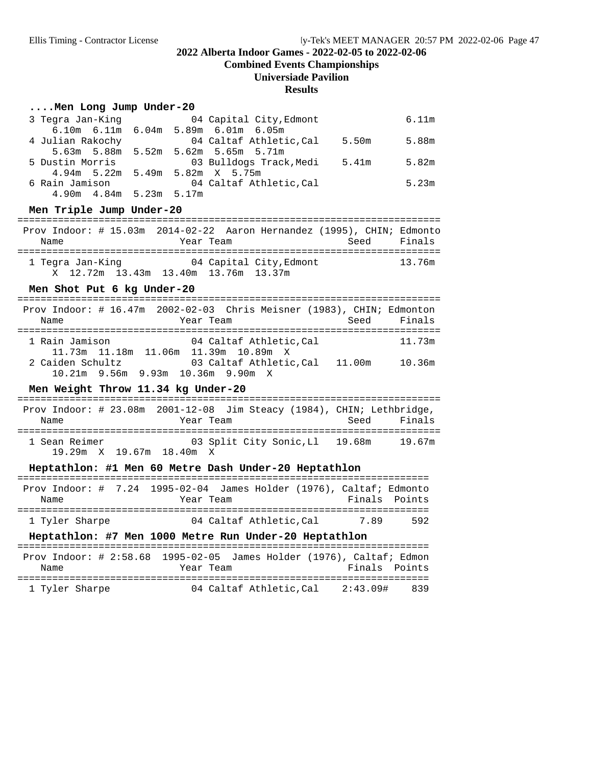**Combined Events Championships**

#### **Universiade Pavilion**

#### **Results**

#### **....Men Long Jump Under-20**

| 3 Tegra Jan-King                | 04 Capital City, Edmont                         | 6.11m |
|---------------------------------|-------------------------------------------------|-------|
|                                 | $6.10m$ $6.11m$ $6.04m$ $5.89m$ $6.01m$ $6.05m$ |       |
| 4 Julian Rakochy                | 04 Caltaf Athletic,Cal<br>5.50m                 | 5.88m |
|                                 | 5.63m 5.88m 5.52m 5.62m 5.65m 5.71m             |       |
| 5 Dustin Morris                 | 03 Bulldogs Track,Medi<br>5.41m                 | 5.82m |
|                                 | 4.94 m 5.22 m 5.49 m 5.82 m X 5.75 m            |       |
| 6 Rain Jamison                  | 04 Caltaf Athletic, Cal                         | 5.23m |
| $4.90m$ $4.84m$ $5.23m$ $5.17m$ |                                                 |       |

**Men Triple Jump Under-20** ========================================================================= Prov Indoor: # 15.03m 2014-02-22 Aaron Hernandez (1995), CHIN; Edmonto Name Year Team Seed Finals ========================================================================= 1 Tegra Jan-King 04 Capital City,Edmont 13.76m X 12.72m 13.43m 13.40m 13.76m 13.37m

#### Men Shot Put 6 kg Under-20

| Prov Indoor: # 16.47m 2002-02-03 Chris Meisner (1983), CHIN; Edmonton<br>Name | Year Team                             |                                      |  | Seed Finals |
|-------------------------------------------------------------------------------|---------------------------------------|--------------------------------------|--|-------------|
| 1 Rain Jamison                                                                |                                       | 04 Caltaf Athletic, Cal              |  | 11.73m      |
|                                                                               |                                       | 11.73m 11.18m 11.06m 11.39m 10.89m X |  |             |
| 2 Caiden Schultz                                                              | $10.21m$ 9.56m 9.93m $10.36m$ 9.90m X | 03 Caltaf Athletic.Cal 11.00m        |  | 10.36m      |

# **Men Weight Throw 11.34 kg Under-20** =========================================================================

# Prov Indoor: # 23.08m 2001-12-08 Jim Steacy (1984), CHIN; Lethbridge,

|               |  |                          |           |                                |      | FIOV INQUOI. # 43.0000 AUUI-14-00 UIM SCEACY (1907), CHINI DECHDIIQUE, |
|---------------|--|--------------------------|-----------|--------------------------------|------|------------------------------------------------------------------------|
| Name          |  |                          | Year Team |                                | Seed | Finals                                                                 |
| 1 Sean Reimer |  | 19.29m X 19.67m 18.40m X |           | 03 Split City Sonic, Ll 19.68m |      | 19.67m                                                                 |

#### Heptathlon: #1 Men 60 Metre Dash Under-20 Heptathlon

| Prov Indoor: $\#$ 7.24 1995-02-04 James Holder (1976), Caltaf; Edmonto |           |  |  |                        |  |     |               |
|------------------------------------------------------------------------|-----------|--|--|------------------------|--|-----|---------------|
| Name                                                                   | Year Team |  |  |                        |  |     | Finals Points |
|                                                                        |           |  |  |                        |  |     |               |
| 1 Tyler Sharpe                                                         |           |  |  | 04 Caltaf Athletic.Cal |  | 789 | 592           |

#### Heptathlon: #7 Men 1000 Metre Run Under-20 Heptathlon

| Prov Indoor: # 2:58.68 1995-02-05 James Holder (1976), Caltaf; Edmon |           |                        |  |               |     |
|----------------------------------------------------------------------|-----------|------------------------|--|---------------|-----|
| Name                                                                 | Year Team |                        |  | Finals Points |     |
|                                                                      |           |                        |  |               |     |
| 1 Tyler Sharpe                                                       |           | 04 Caltaf Athletic.Cal |  | 2:43.09#      | 839 |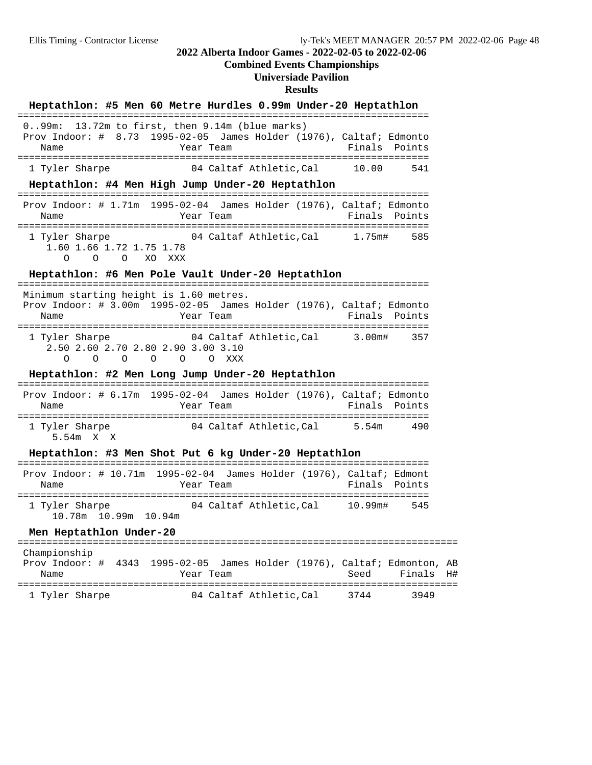#### **Combined Events Championships**

#### **Universiade Pavilion**

#### **Results**

# **Heptathlon: #5 Men 60 Metre Hurdles 0.99m Under-20 Heptathlon** =======================================================================

|                | $0.99$ m: 13.72m to first, then 9.14m (blue marks)                  |       |               |
|----------------|---------------------------------------------------------------------|-------|---------------|
|                | Prov Indoor: # 8.73 1995-02-05 James Holder (1976), Caltaf; Edmonto |       |               |
| Name           | Year Team                                                           |       | Finals Points |
|                |                                                                     |       |               |
| 1 Tyler Sharpe | 04 Caltaf Athletic.Cal                                              | 10.00 | 541           |

#### Heptathlon: #4 Men High Jump Under-20 Heptathlon

| Prov Indoor: # 1.71m 1995-02-04 James Holder (1976), Caltaf; Edmonto<br>Name | Year Team |                        |        | Finals Points |
|------------------------------------------------------------------------------|-----------|------------------------|--------|---------------|
| 1 Tyler Sharpe<br>1.60 1.66 1.72 1.75 1.78<br>000 XOXXX                      |           | 04 Caltaf Athletic.Cal | 1.75m# | 585           |

# **Heptathlon: #6 Men Pole Vault Under-20 Heptathlon** =======================================================================

 Minimum starting height is 1.60 metres. Prov Indoor: # 3.00m 1995-02-05 James Holder (1976), Caltaf; Edmonto Name **The Year Team Property Points** Points ======================================================================= 1 Tyler Sharpe 04 Caltaf Athletic,Cal 3.00m# 357 2.50 2.60 2.70 2.80 2.90 3.00 3.10 O O O O O O XXX

# **Heptathlon: #2 Men Long Jump Under-20 Heptathlon** =======================================================================

 Prov Indoor: # 6.17m 1995-02-04 James Holder (1976), Caltaf; Edmonto Name Year Team Finals Points ======================================================================= 04 Caltaf Athletic,Cal 5.54m 490 5.54m X X

#### $Heptathlon: #3$  Men Shot Put 6 kg Under-20 Heptathlon

| Prov Indoor: $\#$ 10.71m 1995-02-04 James Holder (1976), Caltaf; Edmont |                      |           |                        |               |     |
|-------------------------------------------------------------------------|----------------------|-----------|------------------------|---------------|-----|
| Name                                                                    |                      | Year Team |                        | Finals Points |     |
|                                                                         |                      |           |                        |               |     |
| 1 Tyler Sharpe                                                          |                      |           | 04 Caltaf Athletic.Cal | 10.99m#       | 545 |
|                                                                         | 10.78m 10.99m 10.94m |           |                        |               |     |

## **Men Heptathlon Under-20** ============================================================================ Championship

| CHAMPIONSHIP   |                                                           |                         |      |           |  |
|----------------|-----------------------------------------------------------|-------------------------|------|-----------|--|
| Prov Indoor: # | 4343 1995-02-05 James Holder (1976), Caltaf; Edmonton, AB |                         |      |           |  |
| Name           | Year Team                                                 |                         | Seed | Finals H# |  |
| 1 Tyler Sharpe |                                                           | 04 Caltaf Athletic, Cal | 3744 | 3949      |  |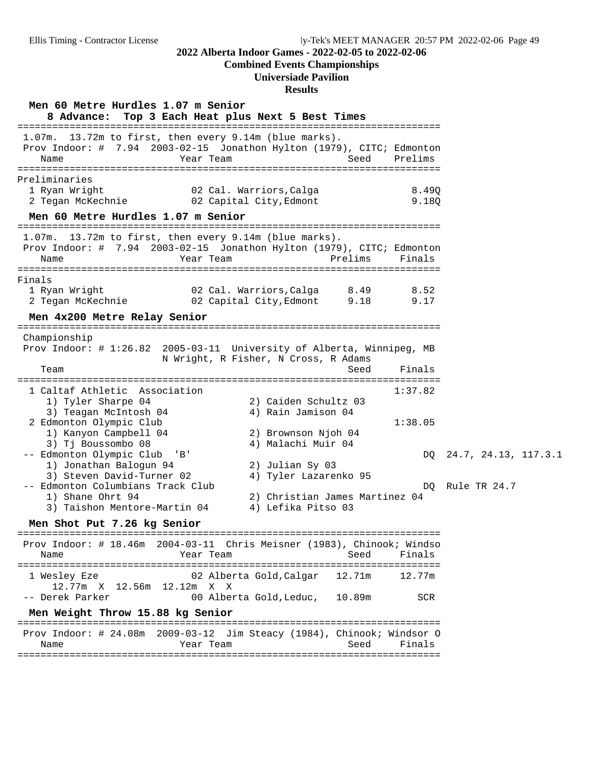#### **Combined Events Championships**

#### **Universiade Pavilion**

#### **Results**

**Men 60 Metre Hurdles 1.07 m Senior 8 Advance: Top 3 Each Heat plus Next 5 Best Times** ========================================================================= 1.07m. 13.72m to first, then every 9.14m (blue marks). Prov Indoor: # 7.94 2003-02-15 Jonathon Hylton (1979), CITC; Edmonton Name Team Year Team Seed Prelims ========================================================================= Preliminaries 1 Ryan Wright 02 Cal. Warriors,Calga 8.49Q 2 Tegan McKechnie 02 Capital City,Edmont 9.18Q **Men 60 Metre Hurdles 1.07 m Senior** experience of Men 60 Metre Hurdles 1.07 m Senior 1.07m. 13.72m to first, then every 9.14m (blue marks). Prov Indoor: # 7.94 2003-02-15 Jonathon Hylton (1979), CITC; Edmonton Name Tear Team Prelims Finals ========================================================================= Finals 1 Ryan Wright 02 Cal. Warriors,Calga 8.49 8.52 2 Tegan McKechnie 02 Capital City,Edmont 9.18 9.17 **Men 4x200 Metre Relay Senior** ========================================================================= Championship Prov Indoor: # 1:26.82 2005-03-11 University of Alberta, Winnipeg, MB N Wright, R Fisher, N Cross, R Adams Team Seed Finals ========================================================================= 1 Caltaf Athletic Association 1:37.82 1) Tyler Sharpe 04 2) Caiden Schultz 03 3) Teagan McIntosh 04  $\hskip 1.6cm 4$ ) Rain Jamison 04 2 Edmonton Olympic Club 1:38.05 1) Kanyon Campbell 04 2) Brownson Njoh 04 3) Tj Boussombo 08 4) Malachi Muir 04 -- Edmonton Olympic Club 'B' DQ 24.7, 24.13, 117.3.1 1) Jonathan Balogun 94 2) Julian Sy 03 3) Steven David-Turner 02 4) Tyler Lazarenko 95 -- Edmonton Columbians Track Club DQ Rule TR 24.7 1) Shane Ohrt 94 2) Christian James Martinez 04 3) Taishon Mentore-Martin 04 4) Lefika Pitso 03 **Men Shot Put 7.26 kg Senior** ========================================================================= Prov Indoor: # 18.46m 2004-03-11 Chris Meisner (1983), Chinook; Windso Name Year Team Seed Finals ========================================================================= 1 Wesley Eze 02 Alberta Gold,Calgar 12.71m 12.77m 12.77m X 12.56m 12.12m X X -- Derek Parker 10.89m SCR **Men Weight Throw 15.88 kg Senior** ========================================================================= Prov Indoor: # 24.08m 2009-03-12 Jim Steacy (1984), Chinook; Windsor O Name Year Team Seed Finals =========================================================================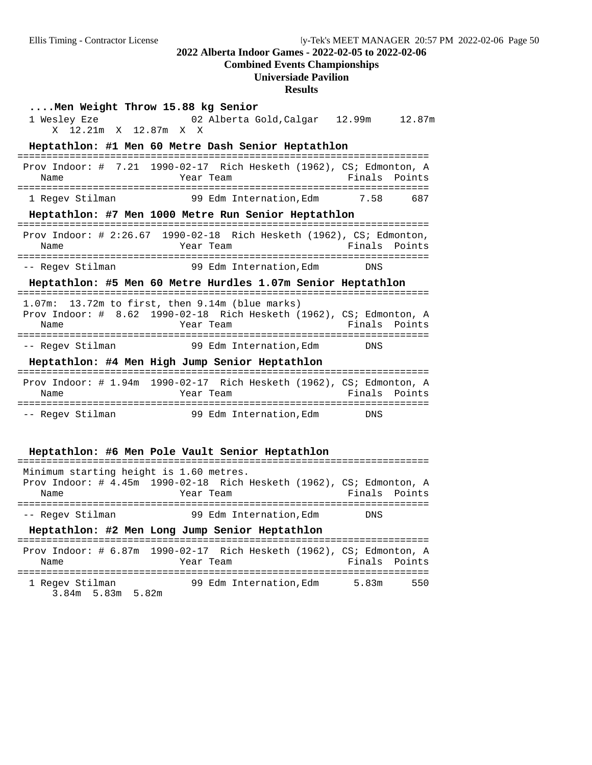# **Combined Events Championships**

### **Universiade Pavilion**

**Results**

|                                                                               | <b>Nesults</b>                                                                                                                                          |
|-------------------------------------------------------------------------------|---------------------------------------------------------------------------------------------------------------------------------------------------------|
| Men Weight Throw 15.88 kg Senior<br>1 Wesley Eze<br>12.21m X 12.87m X X<br>X. | 02 Alberta Gold, Calgar 12.99m<br>12.87m                                                                                                                |
|                                                                               | Heptathlon: #1 Men 60 Metre Dash Senior Heptathlon                                                                                                      |
| Name                                                                          | Prov Indoor: # 7.21 1990-02-17 Rich Hesketh (1962), CS; Edmonton, A<br>Finals<br>Points<br>Year Team                                                    |
| 1 Regev Stilman                                                               | 99 Edm Internation, Edm<br>7.58<br>687                                                                                                                  |
|                                                                               | Heptathlon: #7 Men 1000 Metre Run Senior Heptathlon                                                                                                     |
| Name                                                                          | Prov Indoor: # 2:26.67 1990-02-18 Rich Hesketh (1962), CS; Edmonton,<br>Finals<br>Year Team<br>Points                                                   |
| -- Regev Stilman                                                              | 99 Edm Internation,Edm<br><b>DNS</b>                                                                                                                    |
|                                                                               | Heptathlon: #5 Men 60 Metre Hurdles 1.07m Senior Heptathlon                                                                                             |
| Name                                                                          | 1.07m: 13.72m to first, then 9.14m (blue marks)<br>Prov Indoor: # 8.62 1990-02-18 Rich Hesketh (1962), CS; Edmonton, A<br>Finals<br>Points<br>Year Team |
| -- Regev Stilman                                                              | 99 Edm Internation, Edm<br>DNS                                                                                                                          |
|                                                                               | Heptathlon: #4 Men High Jump Senior Heptathlon                                                                                                          |
| Name                                                                          | Prov Indoor: # 1.94m 1990-02-17 Rich Hesketh (1962), CS; Edmonton, A<br>Year Team<br>Finals<br>Points                                                   |
| -- Regev Stilman                                                              | 99 Edm Internation, Edm<br><b>DNS</b>                                                                                                                   |
|                                                                               | Heptathlon: #6 Men Pole Vault Senior Heptathlon                                                                                                         |
| Minimum starting height is 1.60 metres.                                       |                                                                                                                                                         |
| Name                                                                          | Prov Indoor: # 4.45m 1990-02-18 Rich Hesketh (1962), CS; Edmonton, A<br>Finals<br>Year Team<br>Points                                                   |
| -- Regev Stilman                                                              | 99 Edm Internation, Edm<br>DNS                                                                                                                          |
|                                                                               | Heptathlon: #2 Men Long Jump Senior Heptathlon                                                                                                          |
| Name                                                                          | Prov Indoor: # 6.87m 1990-02-17 Rich Hesketh (1962), CS; Edmonton, A<br>Finals<br>Points<br>Year Team                                                   |

=======================================================================

1 Regev Stilman 99 Edm Internation, Edm 5.83m 550 3.84m 5.83m 5.82m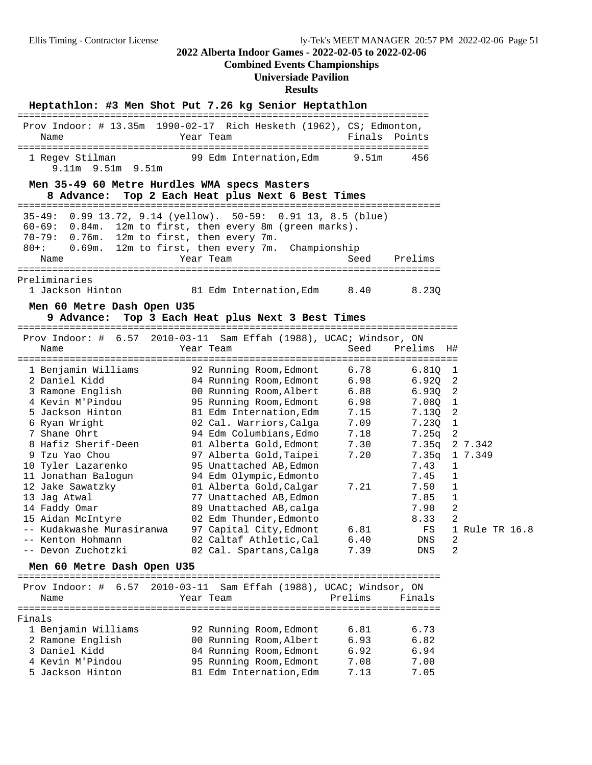**Combined Events Championships**

#### **Universiade Pavilion**

#### **Results**

**Heptathlon: #3 Men Shot Put 7.26 kg Senior Heptathlon** ======================================================================= Prov Indoor: # 13.35m 1990-02-17 Rich Hesketh (1962), CS; Edmonton, Name Tear Team Team Finals Points ======================================================================= 1 Regev Stilman 99 Edm Internation,Edm 9.51m 456 9.11m 9.51m 9.51m **Men 35-49 60 Metre Hurdles WMA specs Masters 8 Advance: Top 2 Each Heat plus Next 6 Best Times** ========================================================================= 35-49: 0.99 13.72, 9.14 (yellow). 50-59: 0.91 13, 8.5 (blue) 60-69: 0.84m. 12m to first, then every 8m (green marks). 70-79: 0.76m. 12m to first, then every 7m. 80+: 0.69m. 12m to first, then every 7m. Championship Name Year Team Seed Prelims ========================================================================= Preliminaries 1 Jackson Hinton 81 Edm Internation,Edm 8.40 8.23Q **Men 60 Metre Dash Open U35 9 Advance: Top 3 Each Heat plus Next 3 Best Times** ============================================================================ Prov Indoor: # 6.57 2010-03-11 Sam Effah (1988), UCAC; Windsor, ON Name Year Team Seed Prelims H# ============================================================================ 1 Benjamin Williams 92 Running Room,Edmont 6.78 6.81Q 1 2 Daniel Kidd 04 Running Room,Edmont 6.98 6.92Q 2 3 Ramone English 00 Running Room,Albert 6.88 6.93Q 2 4 Kevin M'Pindou 95 Running Room,Edmont 6.98 7.08Q 1 5 Jackson Hinton 81 Edm Internation,Edm 7.15 7.13Q 2 6 Ryan Wright 02 Cal. Warriors,Calga 7.09 7.23Q 1 7 Shane Ohrt 94 Edm Columbians,Edmo 7.18 7.25q 2 8 Hafiz Sherif-Deen 01 Alberta Gold,Edmont 7.30 7.35q 2 7.342 9 Tzu Yao Chou 97 Alberta Gold,Taipei 7.20 7.35q 1 7.349 10 Tyler Lazarenko 95 Unattached AB,Edmon 7.43 1 11 Jonathan Balogun 94 Edm Olympic,Edmonto 7.45 1 12 Jake Sawatzky 01 Alberta Gold,Calgar 7.21 7.50 1 13 Jag Atwal 77 Unattached AB,Edmon 7.85 1 14 Faddy Omar 89 Unattached AB,calga 7.90 2 15 Aidan McIntyre 02 Edm Thunder,Edmonto 8.33 2 -- Kudakwashe Murasiranwa 97 Capital City,Edmont 6.81 FS 1 Rule TR 16.8 -- Kenton Hohmann 02 Caltaf Athletic,Cal 6.40 DNS 2 -- Devon Zuchotzki 02 Cal. Spartans,Calga 7.39 DNS 2 **Men 60 Metre Dash Open U35** ========================================================================= Prov Indoor: # 6.57 2010-03-11 Sam Effah (1988), UCAC; Windsor, ON Name Team Team Prelims Finals ========================================================================= Finals 1 Benjamin Williams 92 Running Room,Edmont 6.81 6.73 2 Ramone English 00 Running Room,Albert 6.93 6.82 3 Daniel Kidd 04 Running Room,Edmont 6.92 6.94 4 Kevin M'Pindou 95 Running Room,Edmont 7.08 7.00 5 Jackson Hinton 81 Edm Internation,Edm 7.13 7.05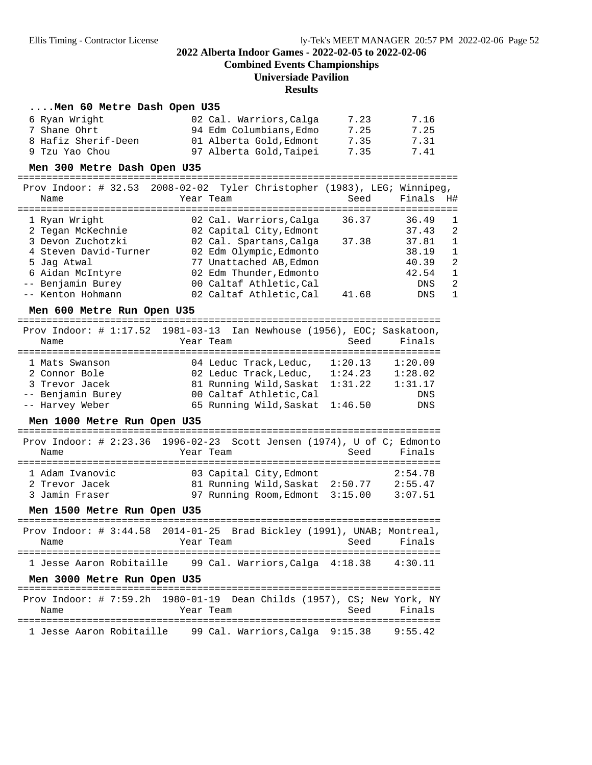**Combined Events Championships**

#### **Universiade Pavilion**

#### **Results**

#### **....Men 60 Metre Dash Open U35**

| 6 Ryan Wright       | 02 Cal. Warriors, Calga | 7.23 | 7.16 |
|---------------------|-------------------------|------|------|
| 7 Shane Ohrt        | 94 Edm Columbians, Edmo | 7.25 | 7.25 |
| 8 Hafiz Sherif-Deen | 01 Alberta Gold, Edmont | 7.35 | 7.31 |
| 9 Tzu Yao Chou      | 97 Alberta Gold.Taipei  | 7.35 | 7.41 |

**Men 300 Metre Dash Open U35** ============================================================================  $P$ 

| Name                  | $Proy \quad Indoor: # 32.53 2008-02-02 17yler Christopher (1983), LEG: Winnipeq,$<br>Year Team | Seed  | Finals H# |              |
|-----------------------|------------------------------------------------------------------------------------------------|-------|-----------|--------------|
|                       |                                                                                                |       |           |              |
| 1 Ryan Wright         | 02 Cal. Warriors, Calga                                                                        | 36.37 | 36.49     | 1            |
| 2 Tegan McKechnie     | 02 Capital City, Edmont                                                                        |       | 37.43     | -2           |
| 3 Devon Zuchotzki     | 02 Cal. Spartans, Calga                                                                        | 37.38 | 37.81     | $\mathbf{1}$ |
| 4 Steven David-Turner | 02 Edm Olympic, Edmonto                                                                        |       | 38.19     | $\mathbf{1}$ |
| 5 Jaq Atwal           | 77 Unattached AB, Edmon                                                                        |       | 40.39     | -2           |
| 6 Aidan McIntyre      | 02 Edm Thunder, Edmonto                                                                        |       | 42.54     | $\mathbf{1}$ |
| -- Benjamin Burey     | 00 Caltaf Athletic, Cal                                                                        |       | DNS       | -2           |
| -- Kenton Hohmann     | 02 Caltaf Athletic, Cal                                                                        | 41.68 | DNS       | $\mathbf{1}$ |
|                       |                                                                                                |       |           |              |

**Men 600 Metre Run Open U35** =========================================================================

|                   | Prov Indoor: $\#$ 1:17.52 1981-03-13 Ian Newhouse (1956), EOC; Saskatoon, |         |         |
|-------------------|---------------------------------------------------------------------------|---------|---------|
| Name              | Year Team                                                                 | Seed    | Finals  |
|                   |                                                                           |         |         |
| 1 Mats Swanson    | 04 Leduc Track, Leduc,                                                    | 1:20.13 | 1:20.09 |
| 2 Connor Bole     | 02 Leduc Track, Leduc,                                                    | 1:24.23 | 1:28.02 |
| 3 Trevor Jacek    | 81 Running Wild, Saskat                                                   | 1:31.22 | 1:31.17 |
| -- Benjamin Burey | 00 Caltaf Athletic, Cal                                                   |         | DNS     |
| -- Harvey Weber   | 65 Running Wild, Saskat 1:46.50                                           |         | DNS     |

# **Men 1000 Metre Run Open U35** =========================================================================

### Prov Indoor: # 2:23.36 1996-02-23 Scott Jensen (1974), U of C; Edmonto Name Tear Team Seed Finals ========================================================================= 1 Adam Ivanovic 03 Capital City,Edmont 2:54.78 2 Trevor Jacek 81 Running Wild,Saskat 2:50.77 2:55.47 3 Jamin Fraser 97 Running Room,Edmont 3:15.00 3:07.51

**Men 1500 Metre Run Open U35** ========================================================================= Prov Indoor: # 3:44.58 2014-01-25 Brad Bickley (1991), UNAB; Montreal, Name Tear Team Seed Finals ========================================================================= 1 Jesse Aaron Robitaille 99 Cal. Warriors,Calga 4:18.38 4:30.11

#### Men 3000 Metre Run Open U35

| Prov Indoor: # 7:59.2h $1980-01-19$ Dean Childs (1957), CS; New York, NY |           |  |                                        |  |
|--------------------------------------------------------------------------|-----------|--|----------------------------------------|--|
| Name                                                                     | Year Team |  | Seed Finals                            |  |
| 1 Jesse Aaron Robitaille                                                 |           |  | 99 Cal. Warriors,Calga 9:15.38 9:55.42 |  |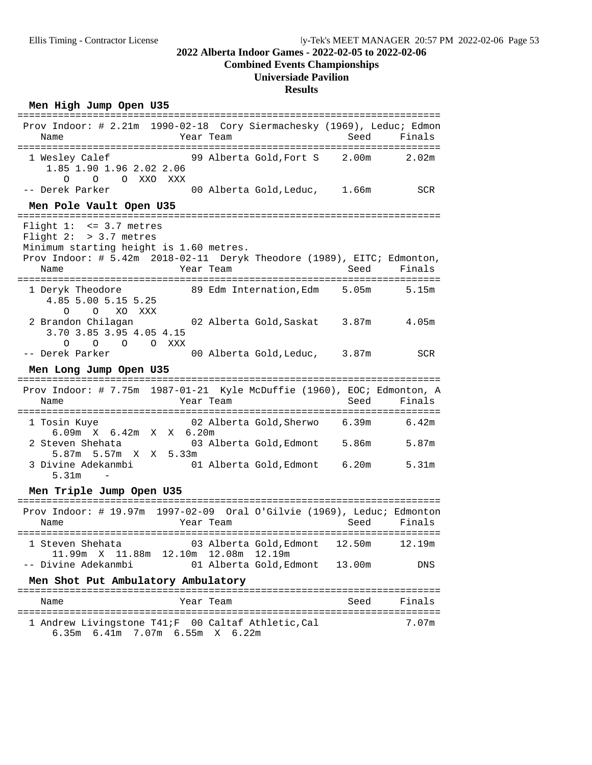# **Combined Events Championships**

# **Universiade Pavilion**

#### **Results**

#### Men High Jump Open U35

| Name                                                                                                      | Prov Indoor: # 2.21m 1990-02-18 Cory Siermachesky (1969), Leduc; Edmon<br>Year Team | Seed<br>Finals    |
|-----------------------------------------------------------------------------------------------------------|-------------------------------------------------------------------------------------|-------------------|
| 1 Wesley Calef<br>1.85 1.90 1.96 2.02 2.06<br>$\Omega$<br>$\Omega$<br>O XXO XXX                           | 99 Alberta Gold, Fort S 2.00m                                                       | 2.02 <sub>m</sub> |
| -- Derek Parker                                                                                           | 00 Alberta Gold, Leduc, 1.66m                                                       | <b>SCR</b>        |
| Men Pole Vault Open U35                                                                                   |                                                                                     |                   |
| Flight $1: < = 3.7$ metres<br>Flight $2:$ > 3.7 metres<br>Minimum starting height is 1.60 metres.<br>Name | Prov Indoor: # 5.42m 2018-02-11 Deryk Theodore (1989), EITC; Edmonton,<br>Year Team | Seed<br>Finals    |
| 1 Deryk Theodore<br>4.85 5.00 5.15 5.25<br>$\Omega$<br>$\circ$<br>XO XXX                                  | 89 Edm Internation, Edm 5.05m                                                       | 5.15m             |
| 2 Brandon Chilagan<br>3.70 3.85 3.95 4.05 4.15<br>$O$ $O$ $O$ $XXX$<br>$\Omega$                           | 02 Alberta Gold,Saskat    3.87m                                                     | 4.05m             |
| -- Derek Parker                                                                                           | 00 Alberta Gold, Leduc, 3.87m                                                       | <b>SCR</b>        |
| Men Long Jump Open U35                                                                                    |                                                                                     |                   |
| Name                                                                                                      | Prov Indoor: # 7.75m 1987-01-21 Kyle McDuffie (1960), EOC; Edmonton, A<br>Year Team | Seed<br>Finals    |
| 1 Tosin Kuye                                                                                              | 02 Alberta Gold,Sherwo     6.39m<br>X X 6.20m                                       | 6.42m             |
| 6.09m X 6.42m                                                                                             |                                                                                     |                   |
| 2 Steven Shehata                                                                                          | 03 Alberta Gold, Edmont 5.86m                                                       | 5.87m             |
| 5.87m 5.57m X X 5.33m<br>3 Divine Adekanmbi<br>5.31m                                                      | 01 Alberta Gold, Edmont 6.20m                                                       | 5.31 <sub>m</sub> |
| Men Triple Jump Open U35                                                                                  |                                                                                     |                   |
| Name                                                                                                      | Prov Indoor: # 19.97m 1997-02-09 Oral O'Gilvie (1969), Leduc; Edmonton<br>Year Team | Seed<br>Finals    |
| 1 Steven Shehata                                                                                          | 03 Alberta Gold,Edmont<br>12.50m                                                    | 12.19m            |
| 11.99m X 11.88m 12.10m 12.08m 12.19m<br>-- Divine Adekanmbi                                               | 01 Alberta Gold, Edmont<br>13.00m                                                   | <b>DNS</b>        |
| Men Shot Put Ambulatory Ambulatory<br>===================================                                 |                                                                                     |                   |

========================================================================= 1 Andrew Livingstone T41;F 00 Caltaf Athletic, Cal 6.35m 6.41m 7.07m 6.55m X 6.22m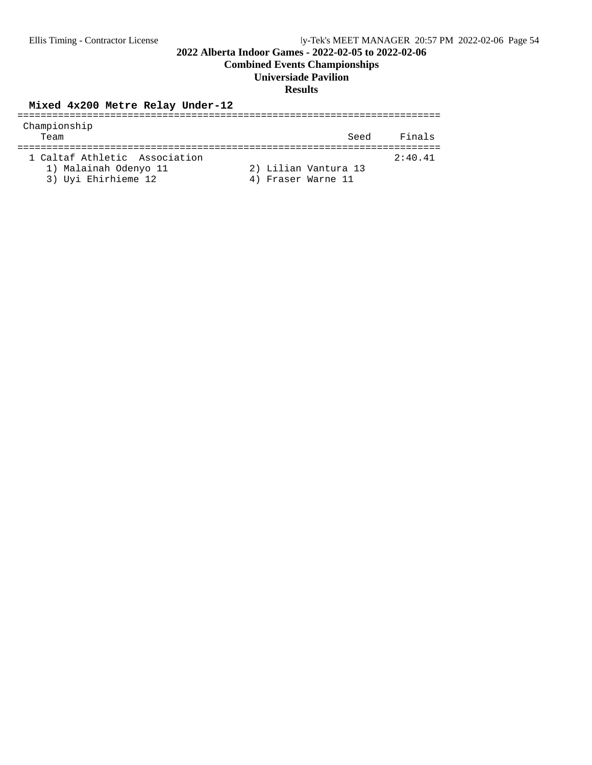**Combined Events Championships**

#### **Universiade Pavilion**

#### **Results**

**Mixed 4x200 Metre Relay Under-12** ========================================================================= Championship Team Seed Finals ========================================================================= 1 Caltaf Athletic Association 1) Malainah Odenyo 11 2) Lilian Vantura 13 3) Uyi Ehirhieme 12 4) Fraser Warne 11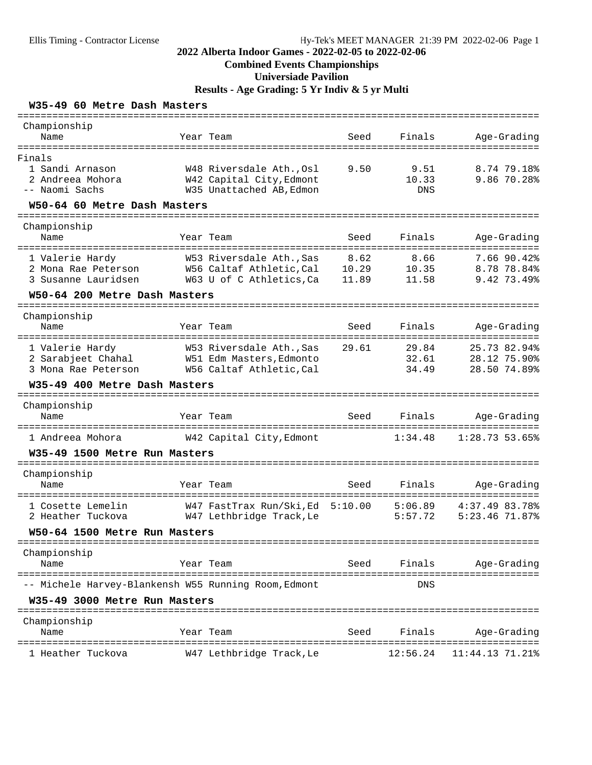### Ellis Timing - Contractor License Hy-Tek's MEET MANAGER 21:39 PM 2022-02-06 Page 1

### **2022 Alberta Indoor Games - 2022-02-05 to 2022-02-06**

### **Combined Events Championships**

**Universiade Pavilion**

**Results - Age Grading: 5 Yr Indiv & 5 yr Multi**

#### **W35-49 60 Metre Dash Masters**

| Championship<br>Name                                                                                  |             | Year Team                                                                        | Seed                     | Finals                      | Age-Grading                                                          |
|-------------------------------------------------------------------------------------------------------|-------------|----------------------------------------------------------------------------------|--------------------------|-----------------------------|----------------------------------------------------------------------|
| ==============                                                                                        | =========== |                                                                                  |                          |                             |                                                                      |
| Finals<br>1 Sandi Arnason<br>2 Andreea Mohora<br>-- Naomi Sachs                                       |             | W48 Riversdale Ath., Osl<br>W42 Capital City, Edmont<br>W35 Unattached AB, Edmon | 9.50                     | 9.51<br>10.33<br><b>DNS</b> | 8.74 79.18%<br>9.86 70.28%                                           |
| W50-64 60 Metre Dash Masters                                                                          |             |                                                                                  |                          |                             |                                                                      |
| ===================                                                                                   |             |                                                                                  |                          |                             |                                                                      |
| Championship<br>Name                                                                                  |             | Year Team                                                                        | Seed                     | Finals                      | Age-Grading                                                          |
| 1 Valerie Hardy<br>2 Mona Rae Peterson<br>3 Susanne Lauridsen                                         |             | W53 Riversdale Ath., Sas<br>W56 Caltaf Athletic, Cal<br>W63 U of C Athletics, Ca | 8.62<br>10.29<br>11.89   | 8.66<br>10.35<br>11.58      | 7.66 90.42%<br>8.78 78.84%<br>9.42 73.49%                            |
| W50-64 200 Metre Dash Masters                                                                         |             |                                                                                  |                          |                             |                                                                      |
| ======================================<br>Championship<br>Name                                        |             | Year Team                                                                        | Seed                     | Finals                      | Age-Grading                                                          |
| =====================================<br>1 Valerie Hardy<br>2 Sarabjeet Chahal<br>3 Mona Rae Peterson |             | W53 Riversdale Ath., Sas<br>W51 Edm Masters, Edmonto<br>W56 Caltaf Athletic, Cal | 29.61                    | 29.84<br>32.61<br>34.49     | ====================<br>25.73 82.94%<br>28.12 75.90%<br>28.50 74.89% |
| W35-49 400 Metre Dash Masters                                                                         |             |                                                                                  |                          |                             |                                                                      |
| ------------------------------<br>Championship<br>Name                                                |             | Year Team                                                                        | Seed                     | Finals                      | Age-Grading                                                          |
|                                                                                                       |             |                                                                                  | ======================== |                             | ================                                                     |
| 1 Andreea Mohora                                                                                      |             | W42 Capital City, Edmont                                                         |                          | 1:34.48                     | 1:28.73 53.65%                                                       |
| W35-49 1500 Metre Run Masters                                                                         |             |                                                                                  |                          |                             |                                                                      |
| Championship                                                                                          |             |                                                                                  |                          |                             |                                                                      |
| Name<br>=================                                                                             |             | Year Team<br>=======================                                             | Seed                     | Finals<br>==========        | Age-Grading                                                          |
| 1 Cosette Lemelin<br>2 Heather Tuckova                                                                |             | W47 FastTrax Run/Ski, Ed 5:10.00<br>W47 Lethbridge Track, Le                     |                          | 5:06.89<br>5:57.72          | 4:37.49 83.78%<br>5:23.46 71.87%                                     |
| W50-64 1500 Metre Run Masters                                                                         |             |                                                                                  |                          |                             |                                                                      |
| ================================<br>Championship                                                      |             |                                                                                  |                          |                             |                                                                      |
| Name                                                                                                  |             | Year Team                                                                        | Seed                     | Finals                      | Age-Grading                                                          |
| ---------------------<br>-- Michele Harvey-Blankensh W55 Running Room, Edmont                         | =========   | ==========                                                                       |                          | ========<br>DNS             |                                                                      |
| W35-49 3000 Metre Run Masters                                                                         |             |                                                                                  |                          |                             |                                                                      |
| Championship<br>Name                                                                                  |             | Year Team                                                                        | Seed                     | Finals                      | Age-Grading                                                          |
| =====================<br>1 Heather Tuckova                                                            |             | W47 Lethbridge Track, Le                                                         |                          | 12:56.24                    | $11:44.13$ 71.21%                                                    |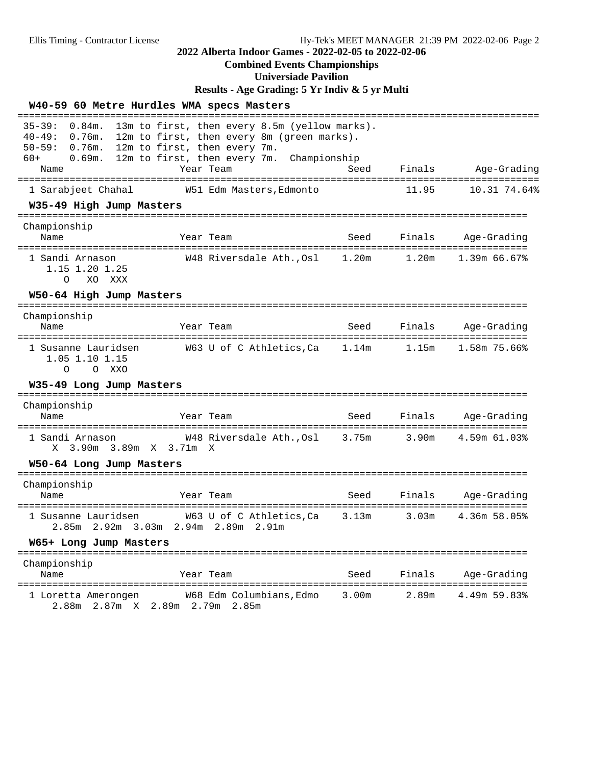# **Combined Events Championships**

**Universiade Pavilion**

**Results - Age Grading: 5 Yr Indiv & 5 yr Multi**

|                                                                                               | W40-59 60 Metre Hurdles WMA specs Masters                                                                                                                                |       |           |                                    |
|-----------------------------------------------------------------------------------------------|--------------------------------------------------------------------------------------------------------------------------------------------------------------------------|-------|-----------|------------------------------------|
| $35 - 39:$<br>$0.84$ m.<br>$40 - 49:$<br>$0.76m$ .<br>$50 - 59:$<br>0.76m.<br>$60+$<br>0.69m. | 13m to first, then every 8.5m (yellow marks).<br>12m to first, then every 8m (green marks).<br>12m to first, then every 7m.<br>12m to first, then every 7m. Championship |       |           |                                    |
| Name                                                                                          | Year Team                                                                                                                                                                | Seed  |           | Finals Age-Grading                 |
| 1 Sarabjeet Chahal                                                                            | W51 Edm Masters, Edmonto                                                                                                                                                 |       | 11.95     | 10.31 74.64%                       |
| W35-49 High Jump Masters                                                                      |                                                                                                                                                                          |       |           |                                    |
| Championship<br>Name                                                                          | Year Team                                                                                                                                                                | Seed  | Finals    | Age-Grading                        |
| 1 Sandi Arnason<br>1.15 1.20 1.25<br>XO XXX<br>O                                              | W48 Riversdale Ath., Osl 1.20m                                                                                                                                           |       | 1.20m     | $1.39m$ 66.67%                     |
| W50-64 High Jump Masters                                                                      |                                                                                                                                                                          |       |           |                                    |
| Championship<br>Name                                                                          | Year Team                                                                                                                                                                | Seed  | Finals    | Age-Grading                        |
| 1 Susanne Lauridsen<br>1.05 1.10 1.15<br>O XXO<br>$\circ$                                     | W63 U of C Athletics, Ca 1.14m                                                                                                                                           |       | 1.15m     | 1.58m 75.66%                       |
| W35-49 Long Jump Masters                                                                      |                                                                                                                                                                          |       |           |                                    |
| Championship<br>Name                                                                          | Year Team<br>---------------                                                                                                                                             | Seed  | ========= | Finals Age-Grading<br>============ |
| 1 Sandi Arnason<br>X 3.90m 3.89m X 3.71m X                                                    | W48 Riversdale Ath.,Osl 3.75m 3.90m                                                                                                                                      |       |           | 4.59m 61.03%                       |
| W50-64 Long Jump Masters                                                                      |                                                                                                                                                                          |       |           |                                    |
| Championship<br>Name                                                                          | Year Team<br>================                                                                                                                                            | Seed  | Finals    | Age-Grading                        |
| 1 Susanne Lauridsen                                                                           | W63 U of C Athletics,Ca<br>2.85m 2.92m 3.03m 2.94m 2.89m 2.91m                                                                                                           | 3.13m |           | 3.03m 4.36m 58.05%                 |
| W65+ Long Jump Masters                                                                        |                                                                                                                                                                          |       |           |                                    |
| Championship<br>Name                                                                          | Year Team                                                                                                                                                                | Seed  | Finals    | Age-Grading                        |
| =======<br>1 Loretta Amerongen<br>2.88m 2.87m X 2.89m 2.79m 2.85m                             | W68 Edm Columbians, Edmo                                                                                                                                                 | 3.00m | 2.89m     | ===========<br>4.49m 59.83%        |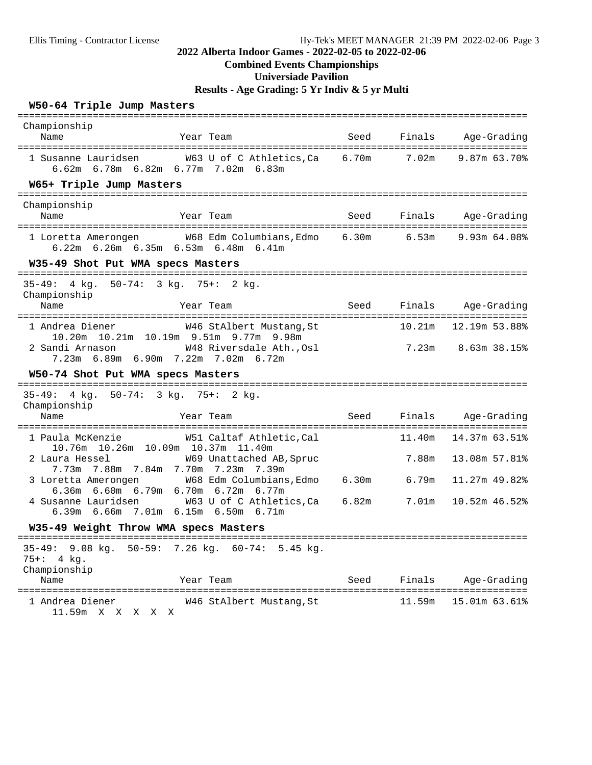## **Combined Events Championships**

**Universiade Pavilion**

**Results - Age Grading: 5 Yr Indiv & 5 yr Multi**

#### **W50-64 Triple Jump Masters**

| Championship<br>Name                                                                              | Year Team                         | Seed | Finals            | Age-Grading        |
|---------------------------------------------------------------------------------------------------|-----------------------------------|------|-------------------|--------------------|
| 1 Susanne Lauridsen<br>6.62m 6.78m 6.82m 6.77m 7.02m 6.83m                                        | W63 U of C Athletics, Ca 6.70m    |      | 7.02 <sub>m</sub> | 9.87m 63.70%       |
| W65+ Triple Jump Masters                                                                          |                                   |      |                   |                    |
| Championship<br>Name                                                                              | Year Team                         | Seed | Finals            | Age-Grading        |
| 1 Loretta Amerongen 6.30m W68 Edm Columbians, Edmo 6.30m<br>6.22m 6.26m 6.35m 6.53m 6.48m 6.41m   |                                   |      | 6.53m             | 9.93m 64.08%       |
| W35-49 Shot Put WMA specs Masters                                                                 |                                   |      |                   |                    |
| $35 - 49:$<br>4 kg. 50-74: 3 kg. 75+: 2 kg.<br>Championship<br>Name                               | Year Team                         | Seed | Finals            | Age-Grading        |
|                                                                                                   |                                   |      |                   |                    |
| 1 Andrea Diener<br>10.20m  10.21m  10.19m  9.51m  9.77m  9.98m                                    | W46 StAlbert Mustang, St          |      | 10.21m            | 12.19m 53.88%      |
| 2 Sandi Arnason<br>7.23m 6.89m 6.90m 7.22m 7.02m 6.72m                                            | W48 Riversdale Ath., Osl          |      |                   | 7.23m 8.63m 38.15% |
| W50-74 Shot Put WMA specs Masters<br>-------------------                                          | ---------------------             |      |                   |                    |
| 35-49: 4 kg. 50-74: 3 kg. 75+: 2 kg.                                                              |                                   |      |                   |                    |
| Championship<br>Name                                                                              | Year Team                         | Seed | Finals            | Age-Grading        |
| 1 Paula McKenzie                                                                                  | W51 Caltaf Athletic, Cal          |      | 11.40m            | 14.37m 63.51%      |
| 10.76m  10.26m  10.09m  10.37m  11.40m<br>2 Laura Hessel<br>7.73m 7.88m 7.84m 7.70m 7.23m         | W69 Unattached AB, Spruc<br>7.39m |      | 7.88m             | 13.08m 57.81%      |
| 3 Loretta Amerongen                                                                               | W68 Edm Columbians, Edmo 6.30m    |      | 6.79m             | 11.27m 49.82%      |
| 6.36m 6.60m 6.79m 6.70m 6.72m 6.77m<br>4 Susanne Lauridsen<br>6.39m 6.66m 7.01m 6.15m 6.50m 6.71m | W63 U of C Athletics, Ca 6.82m    |      | 7.01m             | 10.52m 46.52%      |
| W35-49 Weight Throw WMA specs Masters                                                             |                                   |      |                   |                    |
| $35-49:$ 9.08 kg. 50-59: 7.26 kg. 60-74: 5.45 kg.<br>75+: 4 kg.<br>Championship                   |                                   |      |                   |                    |
| Name                                                                                              | Year Team                         | Seed | Finals            | Age-Grading        |
| 1 Andrea Diener<br>11.59m X X X X X                                                               | W46 StAlbert Mustang, St          |      | 11.59m            | 15.01m 63.61%      |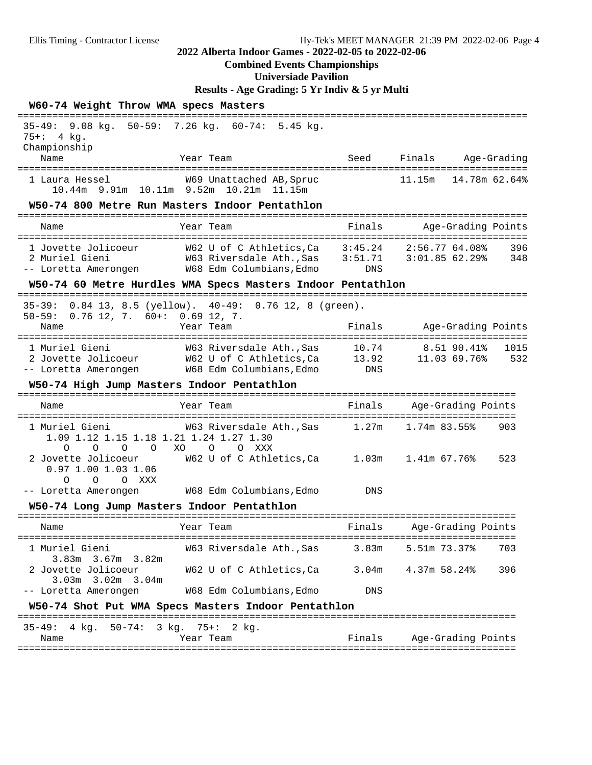#### **Combined Events Championships**

**Universiade Pavilion**

**Results - Age Grading: 5 Yr Indiv & 5 yr Multi**

| W60-74 Weight Throw WMA specs Masters                                                             | :=====================                                                                                    |                     |                                             |               |  |  |
|---------------------------------------------------------------------------------------------------|-----------------------------------------------------------------------------------------------------------|---------------------|---------------------------------------------|---------------|--|--|
| $35 - 49:$<br>$75 + : 4 kg.$<br>Championship                                                      | 9.08 kg. 50-59: 7.26 kg. 60-74: 5.45 kg.                                                                  |                     |                                             |               |  |  |
| Name                                                                                              | Year Team                                                                                                 | Seed                | Finals Age-Grading                          |               |  |  |
| 1 Laura Hessel                                                                                    | W69 Unattached AB, Spruc<br>10.44m 9.91m 10.11m 9.52m 10.21m 11.15m                                       |                     | 11.15m                                      | 14.78m 62.64% |  |  |
| W50-74 800 Metre Run Masters Indoor Pentathlon                                                    |                                                                                                           |                     | :==========================                 |               |  |  |
| Name                                                                                              | Year Team                                                                                                 | Finals              | Age-Grading Points                          |               |  |  |
| 1 Jovette Jolicoeur<br>2 Muriel Gieni                                                             | -- Loretta Amerongen W68 Edm Columbians, Edmo                                                             | DNS                 | 2:56.77 64.08%                              | 396<br>348    |  |  |
|                                                                                                   | W50-74 60 Metre Hurdles WMA Specs Masters Indoor Pentathlon                                               |                     |                                             |               |  |  |
| $0.76$ 12, 7. $60+$ : 0.69 12, 7.<br>$50 - 59:$<br>Name                                           | 35-39: 0.84 13, 8.5 (yellow). 40-49: 0.76 12, 8 (green).<br>Year Team                                     | Finals              | Age-Grading Points                          |               |  |  |
| 1 Muriel Gieni<br>-- Loretta Amerongen                                                            | W63 Riversdale Ath.,Sas<br>2 Jovette Jolicoeur M62 U of C Athletics, Ca 13.92<br>W68 Edm Columbians, Edmo | 10.74<br><b>DNS</b> | ============<br>8.51 90.41%<br>11.03 69.76% | 1015<br>532   |  |  |
| W50-74 High Jump Masters Indoor Pentathlon                                                        |                                                                                                           |                     |                                             |               |  |  |
| Name                                                                                              | Year Team                                                                                                 | Finals              | Age-Grading Points                          |               |  |  |
| 1 Muriel Gieni<br>1.09 1.12 1.15 1.18 1.21 1.24 1.27 1.30                                         | W63 Riversdale Ath.,Sas                                                                                   |                     | $1.27m$ $1.74m$ 83.55%                      | 903           |  |  |
| $\Omega$<br>$\circ$<br>$\overline{O}$<br>$\Omega$<br>2 Jovette Jolicoeur<br>$0.97$ 1.00 1.03 1.06 | XO<br>$\circ$<br>O XXX<br>W62 U of C Athletics, Ca $1.03$ m $1.41$ m 67.76%                               |                     |                                             | 523           |  |  |
| $\circ$<br>O XXX<br>$\Omega$<br>-- Loretta Amerongen M68 Edm Columbians, Edmo                     |                                                                                                           | DNS                 |                                             |               |  |  |
| W50-74 Long Jump Masters Indoor Pentathlon                                                        |                                                                                                           |                     |                                             |               |  |  |
| =====================================<br>Name                                                     | ================<br>Year Team                                                                             | Finals              | Age-Grading Points                          |               |  |  |
| 1 Muriel Gieni                                                                                    | W63 Riversdale AthSas 3.83m                                                                               |                     | 5.51m 73.37%                                | 703           |  |  |
| 3.83m 3.67m 3.82m<br>2 Jovette Jolicoeur<br>3.03m 3.02m 3.04m                                     | W62 U of C Athletics,Ca                                                                                   |                     | 3.04m 4.37m 58.24%                          | 396           |  |  |
| -- Loretta Amerongen                                                                              | W68 Edm Columbians, Edmo                                                                                  | DNS                 |                                             |               |  |  |
|                                                                                                   | W50-74 Shot Put WMA Specs Masters Indoor Pentathlon                                                       |                     |                                             |               |  |  |
| 35-49: 4 kg. 50-74: 3 kg. 75+: 2 kg.<br>Name                                                      | Year Team                                                                                                 | Finals              | Age-Grading Points                          |               |  |  |

======================================================================================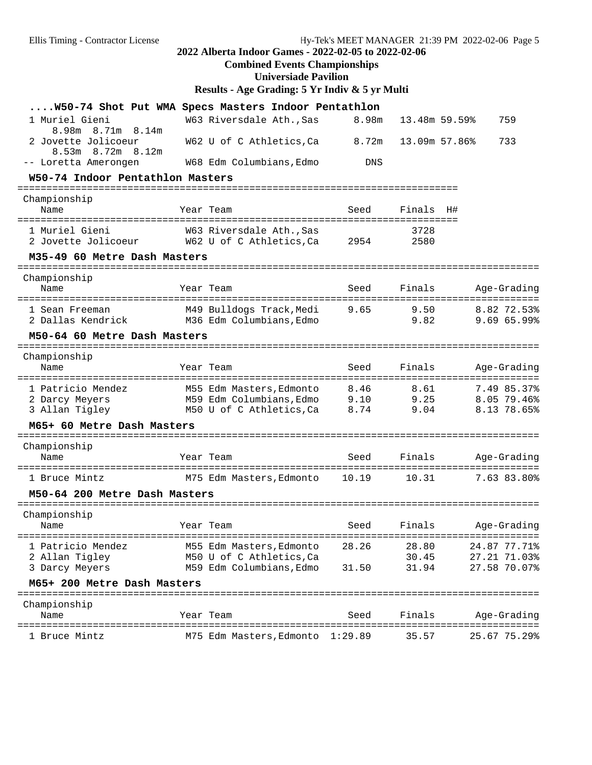## **Combined Events Championships**

**Universiade Pavilion**

# **Results - Age Grading: 5 Yr Indiv & 5 yr Multi**

| W50-74 Shot Put WMA Specs Masters Indoor Pentathlon              |                          |                   |               |                                                 |
|------------------------------------------------------------------|--------------------------|-------------------|---------------|-------------------------------------------------|
| 1 Muriel Gieni                                                   | W63 Riversdale Ath., Sas | 8.98m             | 13.48m 59.59% | 759                                             |
| 8.98m<br>8.71m<br>8.14m<br>2 Jovette Jolicoeur                   | W62 U of C Athletics, Ca | 8.72m             | 13.09m 57.86% | 733                                             |
| 8.53m 8.72m 8.12m<br>-- Loretta Amerongen                        | W68 Edm Columbians, Edmo | DNS               |               |                                                 |
| W50-74 Indoor Pentathlon Masters                                 |                          |                   |               |                                                 |
|                                                                  |                          |                   |               |                                                 |
| Championship<br>Name<br>===================                      | Year Team                | Seed<br>========= | Finals        | H#                                              |
| 1 Muriel Gieni                                                   | W63 Riversdale Ath., Sas |                   | 3728          |                                                 |
| 2 Jovette Jolicoeur                                              | W62 U of C Athletics,Ca  | 2954              | 2580          |                                                 |
| M35-49 60 Metre Dash Masters                                     |                          |                   |               |                                                 |
| Championship                                                     |                          |                   |               |                                                 |
| Name                                                             | Year Team                | Seed              | Finals        | Age-Grading                                     |
| 1 Sean Freeman                                                   | M49 Bulldogs Track,Medi  | 9.65              | 9.50          | ================================<br>8.82 72.53% |
| 2 Dallas Kendrick                                                | M36 Edm Columbians,Edmo  |                   | 9.82          | 9.69 65.99%                                     |
| M50-64 60 Metre Dash Masters                                     |                          |                   |               |                                                 |
| Championship                                                     |                          |                   |               |                                                 |
| Name                                                             | Year Team                | Seed              | Finals        | Age-Grading                                     |
| 1 Patricio Mendez                                                | M55 Edm Masters, Edmonto | 8.46              | 8.61          | 7.49 85.37%                                     |
| 2 Darcy Meyers                                                   | M59 Edm Columbians, Edmo | 9.10              | 9.25          | 8.05 79.46%                                     |
| 3 Allan Tigley                                                   | M50 U of C Athletics,Ca  | 8.74              | 9.04          | 8.13 78.65%                                     |
| M65+ 60 Metre Dash Masters<br>================================== |                          |                   |               |                                                 |
| Championship                                                     |                          |                   |               |                                                 |
| Name                                                             | Year Team                | Seed              | Finals        | Age-Grading                                     |
| 1 Bruce Mintz                                                    | M75 Edm Masters, Edmonto | 10.19             | 10.31         | 7.63 83.80%                                     |
| M50-64 200 Metre Dash Masters                                    |                          |                   |               |                                                 |
| -------------------<br>Championship                              |                          |                   |               |                                                 |
| Name                                                             | Year Team                | Seed              | Finals        | Age-Grading                                     |
| 1 Patricio Mendez                                                | M55 Edm Masters, Edmonto | 28.26             | 28.80         | 24.87 77.71%                                    |
| 2 Allan Tigley                                                   | M50 U of C Athletics, Ca |                   | 30.45         | 27.21 71.03%                                    |
| 3 Darcy Meyers                                                   | M59 Edm Columbians, Edmo | 31.50             | 31.94         | 27.58 70.07%                                    |
| M65+ 200 Metre Dash Masters                                      |                          |                   |               |                                                 |
| Championship                                                     |                          |                   |               |                                                 |
| Name<br>====================                                     | Year Team                | Seed              | Finals        | Age-Grading                                     |
| 1 Bruce Mintz                                                    | M75 Edm Masters, Edmonto | 1:29.89           | 35.57         | 25.67 75.29%                                    |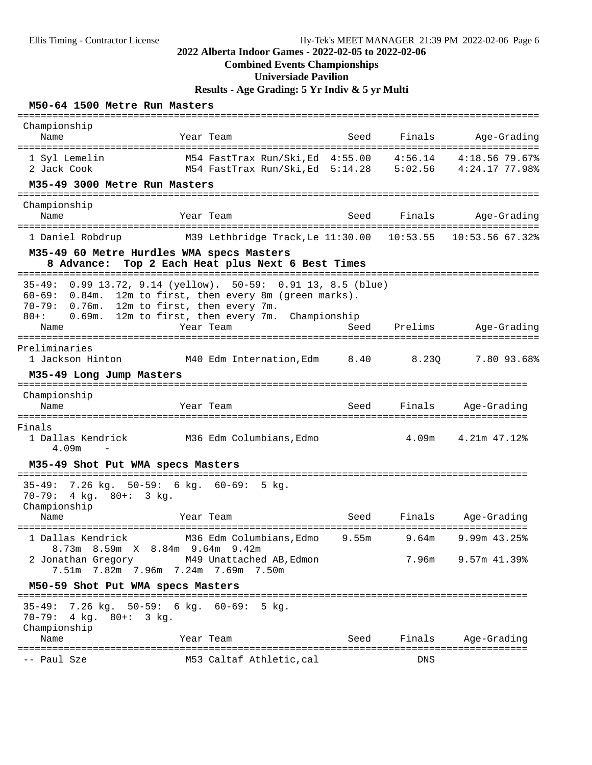## **Combined Events Championships**

# **Universiade Pavilion**

**Results - Age Grading: 5 Yr Indiv & 5 yr Multi**

#### **M50-64 1500 Metre Run Masters**

| Championship<br>Name<br>======================================                                          | Year Team                                                                                                                                                                                     | Seed<br>:============= | Finals  | Age-Grading                         |
|---------------------------------------------------------------------------------------------------------|-----------------------------------------------------------------------------------------------------------------------------------------------------------------------------------------------|------------------------|---------|-------------------------------------|
| 1 Syl Lemelin<br>2 Jack Cook<br>M35-49 3000 Metre Run Masters                                           | M54 FastTrax Run/Ski,Ed 4:55.00<br>M54 FastTrax Run/Ski, Ed 5:14.28 5:02.56 4:24.17 77.98%                                                                                                    |                        | 4:56.14 | 4:18.56 79.67%                      |
| Championship                                                                                            |                                                                                                                                                                                               |                        |         |                                     |
| Name                                                                                                    | Year Team                                                                                                                                                                                     | Seed                   | Finals  | Age-Grading                         |
| 1 Daniel Robdrup                                                                                        | M39 Lethbridge Track, Le 11:30.00 10:53.55                                                                                                                                                    |                        |         | 10:53.56 67.32%                     |
| 8 Advance:                                                                                              | M35-49 60 Metre Hurdles WMA specs Masters<br>Top 2 Each Heat plus Next 6 Best Times                                                                                                           |                        |         |                                     |
| $35 - 49:$<br>$60 - 69:$<br>0.84m.<br>$70 - 79:$<br>$0.76m$ .<br>$80 + :$<br>0.69m.<br>Name             | 0.99 13.72, 9.14 (yellow). 50-59: 0.91 13, 8.5 (blue)<br>12m to first, then every 8m (green marks).<br>12m to first, then every 7m.<br>12m to first, then every 7m. Championship<br>Year Team | Seed                   | Prelims | Age-Grading                         |
| Preliminaries<br>1 Jackson Hinton<br>M35-49 Long Jump Masters                                           | M40 Edm Internation, Edm 8.40                                                                                                                                                                 |                        | 8.230   | ====================<br>7.80 93.68% |
| . _ _ _ _ _ _ _ _ _ _ _ _<br>Championship                                                               |                                                                                                                                                                                               |                        |         |                                     |
| Name                                                                                                    | Year Team                                                                                                                                                                                     | Seed                   | Finals  | Age-Grading                         |
| -------------<br>Finals<br>1 Dallas Kendrick<br>4.09m                                                   | M36 Edm Columbians, Edmo                                                                                                                                                                      |                        | 4.09m   | 4.21m 47.12%                        |
| M35-49 Shot Put WMA specs Masters                                                                       |                                                                                                                                                                                               |                        |         |                                     |
| $35 - 49:$<br>4 kg. 80+: 3 kg.<br>$70 - 79:$<br>Championship                                            | 7.26 kg. 50-59: 6 kg. 60-69: 5 kg.                                                                                                                                                            |                        |         |                                     |
| Name                                                                                                    | Year Team                                                                                                                                                                                     | Seed                   | Finals  | Age-Grading                         |
| ================================<br>1 Dallas Kendrick                                                   | M36 Edm Columbians,Edmo<br>8.73m 8.59m X 8.84m 9.64m 9.42m                                                                                                                                    | 9.55m                  | 9.64m   | $9.99m$ 43.25%                      |
|                                                                                                         | 2 Jonathan Gregory M49 Unattached AB, Edmon<br>7.51m 7.82m 7.96m 7.24m 7.69m 7.50m                                                                                                            |                        | 7.96m   | 9.57m 41.39%                        |
| M50-59 Shot Put WMA specs Masters                                                                       |                                                                                                                                                                                               |                        |         |                                     |
| $35-49: 7.26 \text{ kg}. 50-59: 6 \text{ kg}. 60-69:$<br>$70 - 79:$<br>4 kg. 80+: 3 kg.<br>Championship | 5 kg.                                                                                                                                                                                         |                        |         |                                     |
| Name                                                                                                    | Year Team                                                                                                                                                                                     | Seed                   | Finals  | Age-Grading                         |
| -- Paul Sze                                                                                             | M53 Caltaf Athletic, cal                                                                                                                                                                      |                        | DNS     |                                     |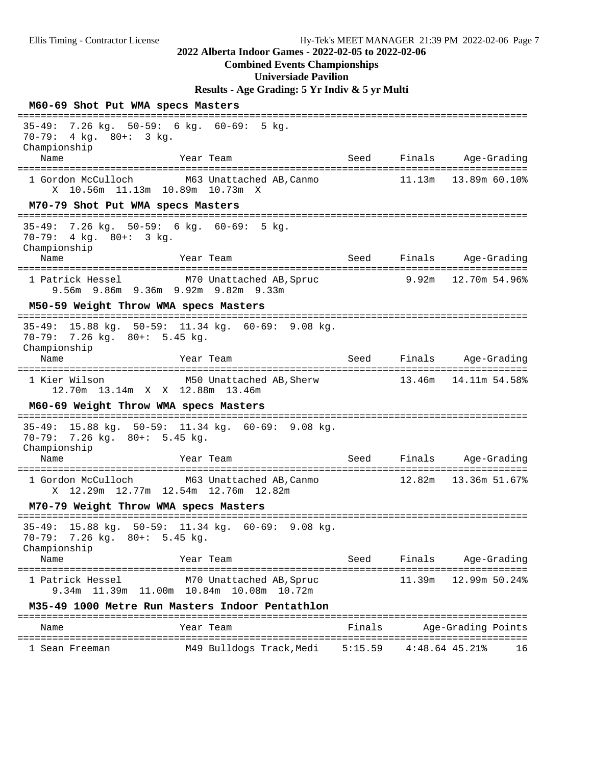#### **Combined Events Championships**

**Universiade Pavilion**

**Results - Age Grading: 5 Yr Indiv & 5 yr Multi**

| M60-69 Shot Put WMA specs Masters<br>------------------------------------                    |                                                                      |                     |                         |                                 |    |
|----------------------------------------------------------------------------------------------|----------------------------------------------------------------------|---------------------|-------------------------|---------------------------------|----|
| 35-49: 7.26 kg. 50-59: 6 kg. 60-69: 5 kg.<br>70-79: 4 kg. 80+: 3 kg.<br>Championship<br>Name | Year Team                                                            | Seed                |                         | Finals Age-Grading              |    |
|                                                                                              |                                                                      |                     |                         |                                 |    |
| 1 Gordon McCulloch<br>X 10.56m 11.13m 10.89m 10.73m X                                        | M63 Unattached AB, Canmo                                             |                     |                         | $11.13m$ $13.89m$ 60.10%        |    |
| M70-79 Shot Put WMA specs Masters                                                            |                                                                      |                     |                         |                                 |    |
| 35-49: 7.26 kg. 50-59: 6 kg. 60-69: 5 kg.<br>$70-79: 4 kg. 80+: 3 kg.$<br>Championship       |                                                                      |                     |                         |                                 |    |
| Name                                                                                         | Year Team                                                            | Seed                |                         | Finals Age-Grading              |    |
| 1 Patrick Hessel<br>9.56m 9.86m 9.36m 9.92m 9.82m 9.33m                                      | M70 Unattached AB, Spruc                                             |                     |                         | 9.92m 12.70m 54.96%             |    |
| M50-59 Weight Throw WMA specs Masters                                                        |                                                                      |                     |                         |                                 |    |
| 70-79: 7.26 kg. 80+: 5.45 kg.<br>Championship                                                | 35-49: 15.88 kg. 50-59: 11.34 kg. 60-69: 9.08 kg.                    |                     |                         |                                 |    |
| Name                                                                                         | Year Team                                                            | =================== | Seed Finals Age-Grading | =======                         |    |
| 1 Kier Wilson<br>12.70m  13.14m  X  X  12.88m  13.46m                                        | M50 Unattached AB, Sherw                                             |                     | 13.46m                  | 14.11m 54.58%                   |    |
| M60-69 Weight Throw WMA specs Masters                                                        |                                                                      |                     |                         |                                 |    |
| 70-79: 7.26 kg. 80+: 5.45 kg.<br>Championship                                                | 35-49: 15.88 kg. 50-59: 11.34 kg. 60-69: 9.08 kg.                    |                     |                         |                                 |    |
| Name                                                                                         | Year Team                                                            | Seed                |                         | Finals Age-Grading              |    |
| 1 Gordon McCulloch<br>X 12.29m 12.77m 12.54m 12.76m 12.82m                                   | M63 Unattached AB, Canmo                                             |                     |                         | 12.82m  13.36m  51.67%          |    |
| M70-79 Weight Throw WMA specs Masters                                                        |                                                                      |                     |                         |                                 |    |
| 70-79: 7.26 kg. 80+: 5.45 kg.<br>Championship                                                | 35-49: 15.88 kg. 50-59: 11.34 kg. 60-69: 9.08 kg.                    |                     |                         |                                 |    |
| Name                                                                                         | Year Team                                                            | Seed                | Finals                  | Age-Grading                     |    |
| 1 Patrick Hessel                                                                             | M70 Unattached AB, Spruc<br>9.34m 11.39m 11.00m 10.84m 10.08m 10.72m |                     | 11.39m                  | ==============<br>12.99m 50.24% |    |
|                                                                                              | M35-49 1000 Metre Run Masters Indoor Pentathlon                      |                     |                         |                                 |    |
| Name                                                                                         | Year Team                                                            | Finals              |                         | Age-Grading Points              |    |
| 1 Sean Freeman                                                                               | M49 Bulldogs Track,Medi                                              | 5:15.59             | 4:48.64 45.21%          |                                 | 16 |